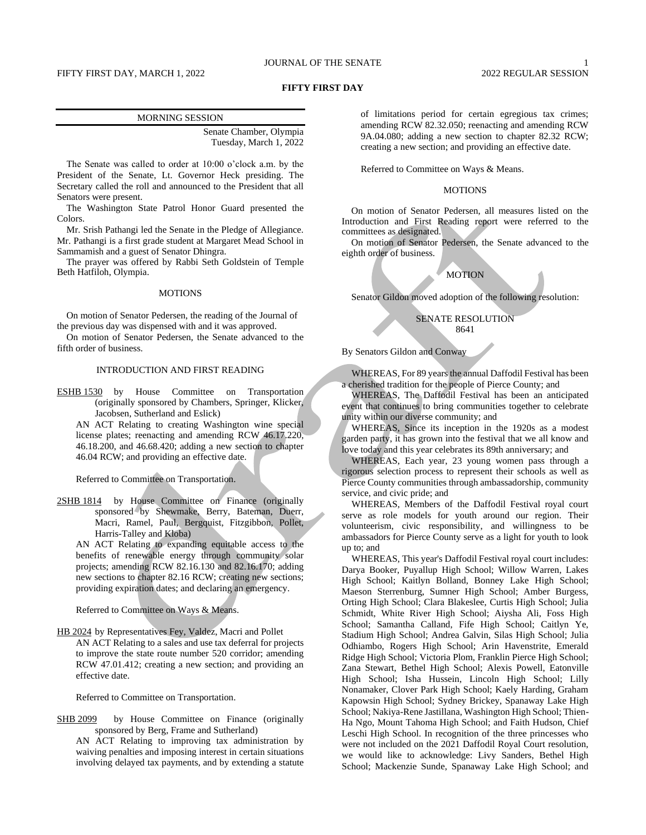# JOURNAL OF THE SENATE 1

# FIFTY FIRST DAY, MARCH 1, 2022 2022 REGULAR SESSION

### **FIFTY FIRST DAY**

#### MORNING SESSION

Senate Chamber, Olympia Tuesday, March 1, 2022

The Senate was called to order at 10:00 o'clock a.m. by the President of the Senate, Lt. Governor Heck presiding. The Secretary called the roll and announced to the President that all Senators were present.

The Washington State Patrol Honor Guard presented the Colors.

Mr. Srish Pathangi led the Senate in the Pledge of Allegiance. Mr. Pathangi is a first grade student at Margaret Mead School in Sammamish and a guest of Senator Dhingra.

The prayer was offered by Rabbi Seth Goldstein of Temple Beth Hatfiloh, Olympia.

### **MOTIONS**

On motion of Senator Pedersen, the reading of the Journal of the previous day was dispensed with and it was approved.

On motion of Senator Pedersen, the Senate advanced to the fifth order of business.

### INTRODUCTION AND FIRST READING

ESHB 1530 by House Committee on Transportation (originally sponsored by Chambers, Springer, Klicker, Jacobsen, Sutherland and Eslick)

AN ACT Relating to creating Washington wine special license plates; reenacting and amending RCW 46.17.220, 46.18.200, and 46.68.420; adding a new section to chapter 46.04 RCW; and providing an effective date.

# Referred to Committee on Transportation.

2SHB 1814 by House Committee on Finance (originally sponsored by Shewmake, Berry, Bateman, Duerr, Macri, Ramel, Paul, Bergquist, Fitzgibbon, Pollet, Harris-Talley and Kloba)

AN ACT Relating to expanding equitable access to the benefits of renewable energy through community solar projects; amending RCW 82.16.130 and 82.16.170; adding new sections to chapter 82.16 RCW; creating new sections; providing expiration dates; and declaring an emergency.

Referred to Committee on Ways & Means.

HB 2024 by Representatives Fey, Valdez, Macri and Pollet AN ACT Relating to a sales and use tax deferral for projects to improve the state route number 520 corridor; amending RCW 47.01.412; creating a new section; and providing an effective date.

Referred to Committee on Transportation.

SHB 2099 by House Committee on Finance (originally sponsored by Berg, Frame and Sutherland)

AN ACT Relating to improving tax administration by waiving penalties and imposing interest in certain situations involving delayed tax payments, and by extending a statute of limitations period for certain egregious tax crimes; amending RCW 82.32.050; reenacting and amending RCW 9A.04.080; adding a new section to chapter 82.32 RCW; creating a new section; and providing an effective date.

Referred to Committee on Ways & Means.

# MOTIONS

On motion of Senator Pedersen, all measures listed on the Introduction and First Reading report were referred to the committees as designated.

On motion of Senator Pedersen, the Senate advanced to the eighth order of business.

### **MOTION**

Senator Gildon moved adoption of the following resolution:

# SENATE RESOLUTION 8641

By Senators Gildon and Conway

WHEREAS, For 89 years the annual Daffodil Festival has been a cherished tradition for the people of Pierce County; and

WHEREAS, The Daffodil Festival has been an anticipated event that continues to bring communities together to celebrate unity within our diverse community; and

WHEREAS, Since its inception in the 1920s as a modest garden party, it has grown into the festival that we all know and love today and this year celebrates its 89th anniversary; and

WHEREAS, Each year, 23 young women pass through a rigorous selection process to represent their schools as well as Pierce County communities through ambassadorship, community service, and civic pride; and

WHEREAS, Members of the Daffodil Festival royal court serve as role models for youth around our region. Their volunteerism, civic responsibility, and willingness to be ambassadors for Pierce County serve as a light for youth to look up to; and

WHEREAS, This year's Daffodil Festival royal court includes: Darya Booker, Puyallup High School; Willow Warren, Lakes High School; Kaitlyn Bolland, Bonney Lake High School; Maeson Sterrenburg, Sumner High School; Amber Burgess, Orting High School; Clara Blakeslee, Curtis High School; Julia Schmidt, White River High School; Aiysha Ali, Foss High School; Samantha Calland, Fife High School; Caitlyn Ye, Stadium High School; Andrea Galvin, Silas High School; Julia Odhiambo, Rogers High School; Arin Havenstrite, Emerald Ridge High School; Victoria Plom, Franklin Pierce High School; Zana Stewart, Bethel High School; Alexis Powell, Eatonville High School; Isha Hussein, Lincoln High School; Lilly Nonamaker, Clover Park High School; Kaely Harding, Graham Kapowsin High School; Sydney Brickey, Spanaway Lake High School; Nakiya-Rene Jastillana, Washington High School; Thien-Ha Ngo, Mount Tahoma High School; and Faith Hudson, Chief Leschi High School. In recognition of the three princesses who were not included on the 2021 Daffodil Royal Court resolution, we would like to acknowledge: Livy Sanders, Bethel High School; Mackenzie Sunde, Spanaway Lake High School; and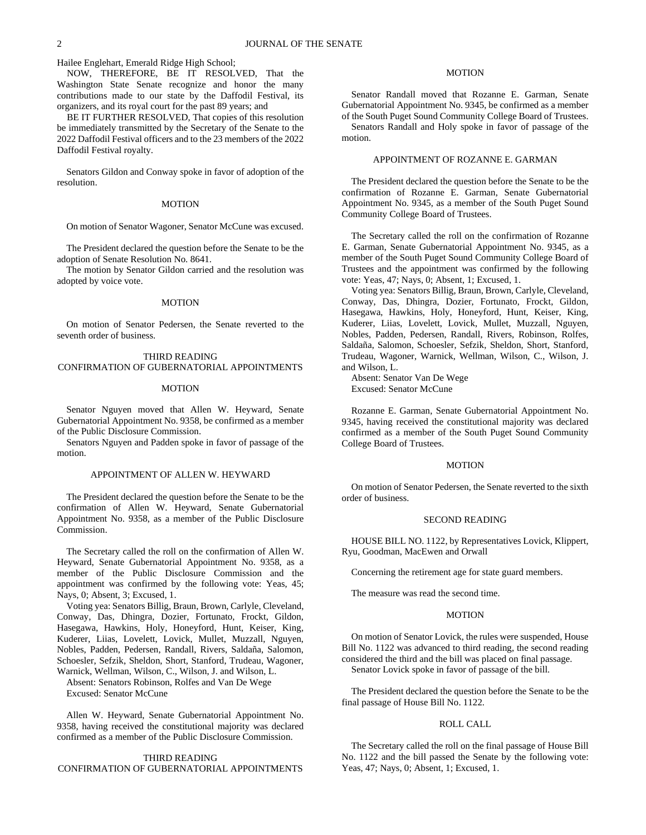Hailee Englehart, Emerald Ridge High School;

NOW, THEREFORE, BE IT RESOLVED, That the Washington State Senate recognize and honor the many contributions made to our state by the Daffodil Festival, its organizers, and its royal court for the past 89 years; and

BE IT FURTHER RESOLVED, That copies of this resolution be immediately transmitted by the Secretary of the Senate to the 2022 Daffodil Festival officers and to the 23 members of the 2022 Daffodil Festival royalty.

Senators Gildon and Conway spoke in favor of adoption of the resolution.

### MOTION

On motion of Senator Wagoner, Senator McCune was excused.

The President declared the question before the Senate to be the adoption of Senate Resolution No. 8641.

The motion by Senator Gildon carried and the resolution was adopted by voice vote.

### **MOTION**

On motion of Senator Pedersen, the Senate reverted to the seventh order of business.

# THIRD READING CONFIRMATION OF GUBERNATORIAL APPOINTMENTS

# **MOTION**

Senator Nguyen moved that Allen W. Heyward, Senate Gubernatorial Appointment No. 9358, be confirmed as a member of the Public Disclosure Commission.

Senators Nguyen and Padden spoke in favor of passage of the motion.

### APPOINTMENT OF ALLEN W. HEYWARD

The President declared the question before the Senate to be the confirmation of Allen W. Heyward, Senate Gubernatorial Appointment No. 9358, as a member of the Public Disclosure Commission.

The Secretary called the roll on the confirmation of Allen W. Heyward, Senate Gubernatorial Appointment No. 9358, as a member of the Public Disclosure Commission and the appointment was confirmed by the following vote: Yeas, 45; Nays, 0; Absent, 3; Excused, 1.

Voting yea: Senators Billig, Braun, Brown, Carlyle, Cleveland, Conway, Das, Dhingra, Dozier, Fortunato, Frockt, Gildon, Hasegawa, Hawkins, Holy, Honeyford, Hunt, Keiser, King, Kuderer, Liias, Lovelett, Lovick, Mullet, Muzzall, Nguyen, Nobles, Padden, Pedersen, Randall, Rivers, Saldaña, Salomon, Schoesler, Sefzik, Sheldon, Short, Stanford, Trudeau, Wagoner, Warnick, Wellman, Wilson, C., Wilson, J. and Wilson, L.

Absent: Senators Robinson, Rolfes and Van De Wege Excused: Senator McCune

Allen W. Heyward, Senate Gubernatorial Appointment No. 9358, having received the constitutional majority was declared confirmed as a member of the Public Disclosure Commission.

# THIRD READING CONFIRMATION OF GUBERNATORIAL APPOINTMENTS

# MOTION

Senator Randall moved that Rozanne E. Garman, Senate Gubernatorial Appointment No. 9345, be confirmed as a member of the South Puget Sound Community College Board of Trustees.

Senators Randall and Holy spoke in favor of passage of the motion.

# APPOINTMENT OF ROZANNE E. GARMAN

The President declared the question before the Senate to be the confirmation of Rozanne E. Garman, Senate Gubernatorial Appointment No. 9345, as a member of the South Puget Sound Community College Board of Trustees.

The Secretary called the roll on the confirmation of Rozanne E. Garman, Senate Gubernatorial Appointment No. 9345, as a member of the South Puget Sound Community College Board of Trustees and the appointment was confirmed by the following vote: Yeas, 47; Nays, 0; Absent, 1; Excused, 1.

Voting yea: Senators Billig, Braun, Brown, Carlyle, Cleveland, Conway, Das, Dhingra, Dozier, Fortunato, Frockt, Gildon, Hasegawa, Hawkins, Holy, Honeyford, Hunt, Keiser, King, Kuderer, Liias, Lovelett, Lovick, Mullet, Muzzall, Nguyen, Nobles, Padden, Pedersen, Randall, Rivers, Robinson, Rolfes, Saldaña, Salomon, Schoesler, Sefzik, Sheldon, Short, Stanford, Trudeau, Wagoner, Warnick, Wellman, Wilson, C., Wilson, J. and Wilson, L.

Absent: Senator Van De Wege Excused: Senator McCune

Rozanne E. Garman, Senate Gubernatorial Appointment No. 9345, having received the constitutional majority was declared confirmed as a member of the South Puget Sound Community College Board of Trustees.

# MOTION

On motion of Senator Pedersen, the Senate reverted to the sixth order of business.

# SECOND READING

HOUSE BILL NO. 1122, by Representatives Lovick, Klippert, Ryu, Goodman, MacEwen and Orwall

Concerning the retirement age for state guard members.

The measure was read the second time.

# MOTION

On motion of Senator Lovick, the rules were suspended, House Bill No. 1122 was advanced to third reading, the second reading considered the third and the bill was placed on final passage. Senator Lovick spoke in favor of passage of the bill.

The President declared the question before the Senate to be the final passage of House Bill No. 1122.

### ROLL CALL

The Secretary called the roll on the final passage of House Bill No. 1122 and the bill passed the Senate by the following vote: Yeas, 47; Nays, 0; Absent, 1; Excused, 1.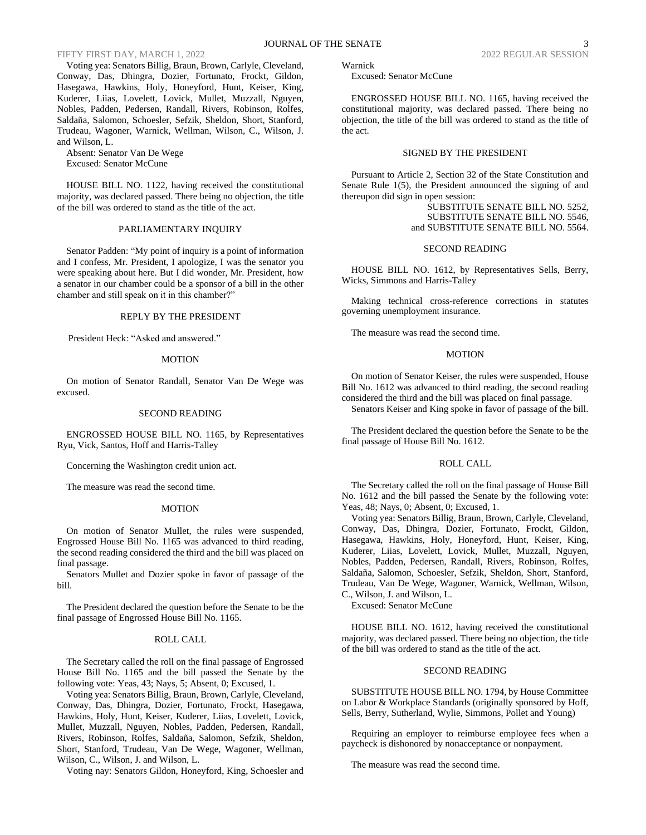Voting yea: Senators Billig, Braun, Brown, Carlyle, Cleveland, Conway, Das, Dhingra, Dozier, Fortunato, Frockt, Gildon, Hasegawa, Hawkins, Holy, Honeyford, Hunt, Keiser, King, Kuderer, Liias, Lovelett, Lovick, Mullet, Muzzall, Nguyen, Nobles, Padden, Pedersen, Randall, Rivers, Robinson, Rolfes, Saldaña, Salomon, Schoesler, Sefzik, Sheldon, Short, Stanford, Trudeau, Wagoner, Warnick, Wellman, Wilson, C., Wilson, J. and Wilson, L.

Absent: Senator Van De Wege Excused: Senator McCune

HOUSE BILL NO. 1122, having received the constitutional majority, was declared passed. There being no objection, the title of the bill was ordered to stand as the title of the act.

### PARLIAMENTARY INQUIRY

Senator Padden: "My point of inquiry is a point of information and I confess, Mr. President, I apologize, I was the senator you were speaking about here. But I did wonder, Mr. President, how a senator in our chamber could be a sponsor of a bill in the other chamber and still speak on it in this chamber?"

#### REPLY BY THE PRESIDENT

President Heck: "Asked and answered."

### MOTION

On motion of Senator Randall, Senator Van De Wege was excused.

### SECOND READING

ENGROSSED HOUSE BILL NO. 1165, by Representatives Ryu, Vick, Santos, Hoff and Harris-Talley

Concerning the Washington credit union act.

The measure was read the second time.

#### MOTION

On motion of Senator Mullet, the rules were suspended, Engrossed House Bill No. 1165 was advanced to third reading, the second reading considered the third and the bill was placed on final passage.

Senators Mullet and Dozier spoke in favor of passage of the bill.

The President declared the question before the Senate to be the final passage of Engrossed House Bill No. 1165.

#### ROLL CALL

The Secretary called the roll on the final passage of Engrossed House Bill No. 1165 and the bill passed the Senate by the following vote: Yeas, 43; Nays, 5; Absent, 0; Excused, 1.

Voting yea: Senators Billig, Braun, Brown, Carlyle, Cleveland, Conway, Das, Dhingra, Dozier, Fortunato, Frockt, Hasegawa, Hawkins, Holy, Hunt, Keiser, Kuderer, Liias, Lovelett, Lovick, Mullet, Muzzall, Nguyen, Nobles, Padden, Pedersen, Randall, Rivers, Robinson, Rolfes, Saldaña, Salomon, Sefzik, Sheldon, Short, Stanford, Trudeau, Van De Wege, Wagoner, Wellman, Wilson, C., Wilson, J. and Wilson, L.

Voting nay: Senators Gildon, Honeyford, King, Schoesler and

Warnick

Excused: Senator McCune

ENGROSSED HOUSE BILL NO. 1165, having received the constitutional majority, was declared passed. There being no objection, the title of the bill was ordered to stand as the title of the act.

# SIGNED BY THE PRESIDENT

Pursuant to Article 2, Section 32 of the State Constitution and Senate Rule 1(5), the President announced the signing of and thereupon did sign in open session:

> SUBSTITUTE SENATE BILL NO. 5252, SUBSTITUTE SENATE BILL NO. 5546, and SUBSTITUTE SENATE BILL NO. 5564.

### SECOND READING

HOUSE BILL NO. 1612, by Representatives Sells, Berry, Wicks, Simmons and Harris-Talley

Making technical cross-reference corrections in statutes governing unemployment insurance.

The measure was read the second time.

### MOTION

On motion of Senator Keiser, the rules were suspended, House Bill No. 1612 was advanced to third reading, the second reading considered the third and the bill was placed on final passage.

Senators Keiser and King spoke in favor of passage of the bill.

The President declared the question before the Senate to be the final passage of House Bill No. 1612.

### ROLL CALL

The Secretary called the roll on the final passage of House Bill No. 1612 and the bill passed the Senate by the following vote: Yeas, 48; Nays, 0; Absent, 0; Excused, 1.

Voting yea: Senators Billig, Braun, Brown, Carlyle, Cleveland, Conway, Das, Dhingra, Dozier, Fortunato, Frockt, Gildon, Hasegawa, Hawkins, Holy, Honeyford, Hunt, Keiser, King, Kuderer, Liias, Lovelett, Lovick, Mullet, Muzzall, Nguyen, Nobles, Padden, Pedersen, Randall, Rivers, Robinson, Rolfes, Saldaña, Salomon, Schoesler, Sefzik, Sheldon, Short, Stanford, Trudeau, Van De Wege, Wagoner, Warnick, Wellman, Wilson, C., Wilson, J. and Wilson, L.

Excused: Senator McCune

HOUSE BILL NO. 1612, having received the constitutional majority, was declared passed. There being no objection, the title of the bill was ordered to stand as the title of the act.

#### SECOND READING

SUBSTITUTE HOUSE BILL NO. 1794, by House Committee on Labor & Workplace Standards (originally sponsored by Hoff, Sells, Berry, Sutherland, Wylie, Simmons, Pollet and Young)

Requiring an employer to reimburse employee fees when a paycheck is dishonored by nonacceptance or nonpayment.

The measure was read the second time.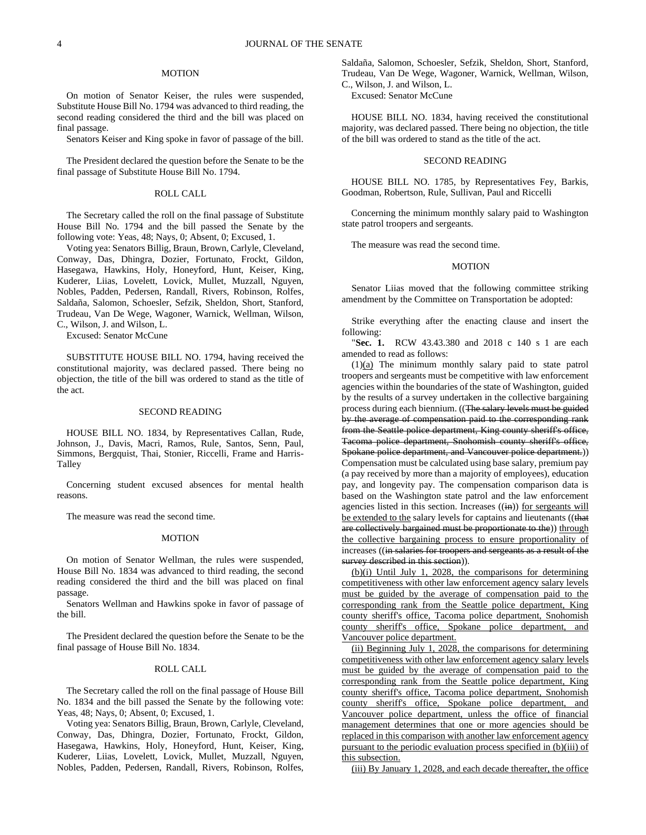### MOTION

On motion of Senator Keiser, the rules were suspended, Substitute House Bill No. 1794 was advanced to third reading, the second reading considered the third and the bill was placed on final passage.

Senators Keiser and King spoke in favor of passage of the bill.

The President declared the question before the Senate to be the final passage of Substitute House Bill No. 1794.

#### ROLL CALL

The Secretary called the roll on the final passage of Substitute House Bill No. 1794 and the bill passed the Senate by the following vote: Yeas, 48; Nays, 0; Absent, 0; Excused, 1.

Voting yea: Senators Billig, Braun, Brown, Carlyle, Cleveland, Conway, Das, Dhingra, Dozier, Fortunato, Frockt, Gildon, Hasegawa, Hawkins, Holy, Honeyford, Hunt, Keiser, King, Kuderer, Liias, Lovelett, Lovick, Mullet, Muzzall, Nguyen, Nobles, Padden, Pedersen, Randall, Rivers, Robinson, Rolfes, Saldaña, Salomon, Schoesler, Sefzik, Sheldon, Short, Stanford, Trudeau, Van De Wege, Wagoner, Warnick, Wellman, Wilson, C., Wilson, J. and Wilson, L.

Excused: Senator McCune

SUBSTITUTE HOUSE BILL NO. 1794, having received the constitutional majority, was declared passed. There being no objection, the title of the bill was ordered to stand as the title of the act.

# SECOND READING

HOUSE BILL NO. 1834, by Representatives Callan, Rude, Johnson, J., Davis, Macri, Ramos, Rule, Santos, Senn, Paul, Simmons, Bergquist, Thai, Stonier, Riccelli, Frame and Harris-Talley

Concerning student excused absences for mental health reasons.

The measure was read the second time.

### MOTION

On motion of Senator Wellman, the rules were suspended, House Bill No. 1834 was advanced to third reading, the second reading considered the third and the bill was placed on final passage.

Senators Wellman and Hawkins spoke in favor of passage of the bill.

The President declared the question before the Senate to be the final passage of House Bill No. 1834.

### ROLL CALL

The Secretary called the roll on the final passage of House Bill No. 1834 and the bill passed the Senate by the following vote: Yeas, 48; Nays, 0; Absent, 0; Excused, 1.

Voting yea: Senators Billig, Braun, Brown, Carlyle, Cleveland, Conway, Das, Dhingra, Dozier, Fortunato, Frockt, Gildon, Hasegawa, Hawkins, Holy, Honeyford, Hunt, Keiser, King, Kuderer, Liias, Lovelett, Lovick, Mullet, Muzzall, Nguyen, Nobles, Padden, Pedersen, Randall, Rivers, Robinson, Rolfes,

Saldaña, Salomon, Schoesler, Sefzik, Sheldon, Short, Stanford, Trudeau, Van De Wege, Wagoner, Warnick, Wellman, Wilson, C., Wilson, J. and Wilson, L.

Excused: Senator McCune

HOUSE BILL NO. 1834, having received the constitutional majority, was declared passed. There being no objection, the title of the bill was ordered to stand as the title of the act.

#### SECOND READING

HOUSE BILL NO. 1785, by Representatives Fey, Barkis, Goodman, Robertson, Rule, Sullivan, Paul and Riccelli

Concerning the minimum monthly salary paid to Washington state patrol troopers and sergeants.

The measure was read the second time.

#### MOTION

Senator Liias moved that the following committee striking amendment by the Committee on Transportation be adopted:

Strike everything after the enacting clause and insert the following:

"**Sec. 1.** RCW 43.43.380 and 2018 c 140 s 1 are each amended to read as follows:

(1)(a) The minimum monthly salary paid to state patrol troopers and sergeants must be competitive with law enforcement agencies within the boundaries of the state of Washington, guided by the results of a survey undertaken in the collective bargaining process during each biennium. ((The salary levels must be guided by the average of compensation paid to the corresponding rank from the Seattle police department, King county sheriff's office, Tacoma police department, Snohomish county sheriff's office, Spokane police department, and Vancouver police department.)) Compensation must be calculated using base salary, premium pay (a pay received by more than a majority of employees), education pay, and longevity pay. The compensation comparison data is based on the Washington state patrol and the law enforcement agencies listed in this section. Increases  $((\text{in}))$  for sergeants will be extended to the salary levels for captains and lieutenants ((that are collectively bargained must be proportionate to the)) through the collective bargaining process to ensure proportionality of increases ((in salaries for troopers and sergeants as a result of the survey described in this section)).

(b)(i) Until July 1, 2028, the comparisons for determining competitiveness with other law enforcement agency salary levels must be guided by the average of compensation paid to the corresponding rank from the Seattle police department, King county sheriff's office, Tacoma police department, Snohomish county sheriff's office, Spokane police department, and Vancouver police department.

(ii) Beginning July 1, 2028, the comparisons for determining competitiveness with other law enforcement agency salary levels must be guided by the average of compensation paid to the corresponding rank from the Seattle police department, King county sheriff's office, Tacoma police department, Snohomish county sheriff's office, Spokane police department, and Vancouver police department, unless the office of financial management determines that one or more agencies should be replaced in this comparison with another law enforcement agency pursuant to the periodic evaluation process specified in (b)(iii) of this subsection.

(iii) By January 1, 2028, and each decade thereafter, the office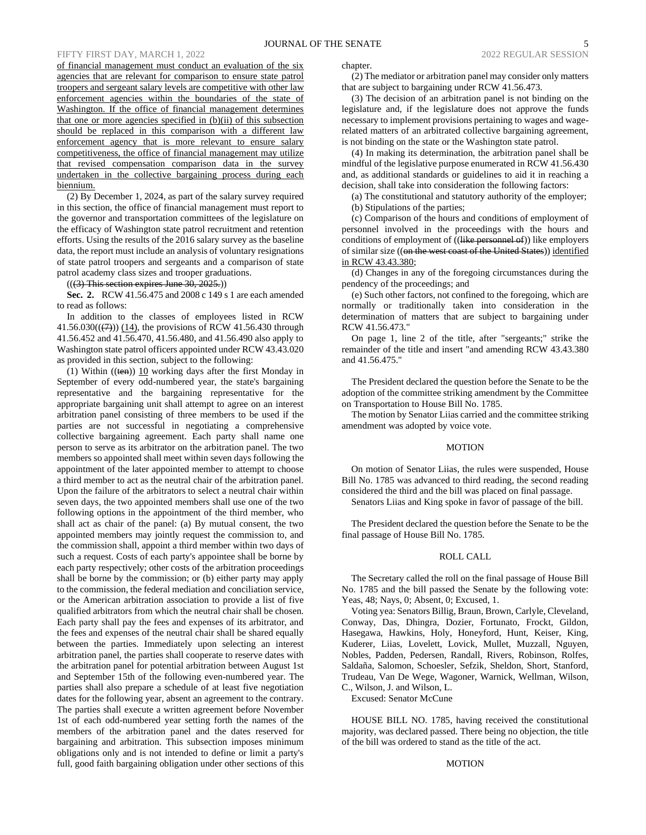# FIFTY FIRST DAY, MARCH 1, 2022

of financial management must conduct an evaluation of the six agencies that are relevant for comparison to ensure state patrol troopers and sergeant salary levels are competitive with other law enforcement agencies within the boundaries of the state of Washington. If the office of financial management determines that one or more agencies specified in (b)(ii) of this subsection should be replaced in this comparison with a different law enforcement agency that is more relevant to ensure salary competitiveness, the office of financial management may utilize that revised compensation comparison data in the survey undertaken in the collective bargaining process during each biennium.

(2) By December 1, 2024, as part of the salary survey required in this section, the office of financial management must report to the governor and transportation committees of the legislature on the efficacy of Washington state patrol recruitment and retention efforts. Using the results of the 2016 salary survey as the baseline data, the report must include an analysis of voluntary resignations of state patrol troopers and sergeants and a comparison of state patrol academy class sizes and trooper graduations.

 $(((3)$  This section expires June 30, 2025.))

**Sec. 2.** RCW 41.56.475 and 2008 c 149 s 1 are each amended to read as follows:

In addition to the classes of employees listed in RCW  $41.56.030((\frac{7}{7}))$  (14), the provisions of RCW 41.56.430 through 41.56.452 and 41.56.470, 41.56.480, and 41.56.490 also apply to Washington state patrol officers appointed under RCW 43.43.020 as provided in this section, subject to the following:

(1) Within  $((\text{ten}))$  10 working days after the first Monday in September of every odd-numbered year, the state's bargaining representative and the bargaining representative for the appropriate bargaining unit shall attempt to agree on an interest arbitration panel consisting of three members to be used if the parties are not successful in negotiating a comprehensive collective bargaining agreement. Each party shall name one person to serve as its arbitrator on the arbitration panel. The two members so appointed shall meet within seven days following the appointment of the later appointed member to attempt to choose a third member to act as the neutral chair of the arbitration panel. Upon the failure of the arbitrators to select a neutral chair within seven days, the two appointed members shall use one of the two following options in the appointment of the third member, who shall act as chair of the panel: (a) By mutual consent, the two appointed members may jointly request the commission to, and the commission shall, appoint a third member within two days of such a request. Costs of each party's appointee shall be borne by each party respectively; other costs of the arbitration proceedings shall be borne by the commission; or (b) either party may apply to the commission, the federal mediation and conciliation service, or the American arbitration association to provide a list of five qualified arbitrators from which the neutral chair shall be chosen. Each party shall pay the fees and expenses of its arbitrator, and the fees and expenses of the neutral chair shall be shared equally between the parties. Immediately upon selecting an interest arbitration panel, the parties shall cooperate to reserve dates with the arbitration panel for potential arbitration between August 1st and September 15th of the following even-numbered year. The parties shall also prepare a schedule of at least five negotiation dates for the following year, absent an agreement to the contrary. The parties shall execute a written agreement before November 1st of each odd-numbered year setting forth the names of the members of the arbitration panel and the dates reserved for bargaining and arbitration. This subsection imposes minimum obligations only and is not intended to define or limit a party's full, good faith bargaining obligation under other sections of this chapter.

(2) The mediator or arbitration panel may consider only matters that are subject to bargaining under RCW 41.56.473.

(3) The decision of an arbitration panel is not binding on the legislature and, if the legislature does not approve the funds necessary to implement provisions pertaining to wages and wagerelated matters of an arbitrated collective bargaining agreement, is not binding on the state or the Washington state patrol.

(4) In making its determination, the arbitration panel shall be mindful of the legislative purpose enumerated in RCW 41.56.430 and, as additional standards or guidelines to aid it in reaching a decision, shall take into consideration the following factors:

(a) The constitutional and statutory authority of the employer; (b) Stipulations of the parties;

(c) Comparison of the hours and conditions of employment of personnel involved in the proceedings with the hours and conditions of employment of ((like personnel of)) like employers of similar size ((on the west coast of the United States)) identified in RCW 43.43.380;

(d) Changes in any of the foregoing circumstances during the pendency of the proceedings; and

(e) Such other factors, not confined to the foregoing, which are normally or traditionally taken into consideration in the determination of matters that are subject to bargaining under RCW 41.56.473."

On page 1, line 2 of the title, after "sergeants;" strike the remainder of the title and insert "and amending RCW 43.43.380 and 41.56.475."

The President declared the question before the Senate to be the adoption of the committee striking amendment by the Committee on Transportation to House Bill No. 1785.

The motion by Senator Liias carried and the committee striking amendment was adopted by voice vote.

### MOTION

On motion of Senator Liias, the rules were suspended, House Bill No. 1785 was advanced to third reading, the second reading considered the third and the bill was placed on final passage.

Senators Liias and King spoke in favor of passage of the bill.

The President declared the question before the Senate to be the final passage of House Bill No. 1785.

# ROLL CALL

The Secretary called the roll on the final passage of House Bill No. 1785 and the bill passed the Senate by the following vote: Yeas, 48; Nays, 0; Absent, 0; Excused, 1.

Voting yea: Senators Billig, Braun, Brown, Carlyle, Cleveland, Conway, Das, Dhingra, Dozier, Fortunato, Frockt, Gildon, Hasegawa, Hawkins, Holy, Honeyford, Hunt, Keiser, King, Kuderer, Liias, Lovelett, Lovick, Mullet, Muzzall, Nguyen, Nobles, Padden, Pedersen, Randall, Rivers, Robinson, Rolfes, Saldaña, Salomon, Schoesler, Sefzik, Sheldon, Short, Stanford, Trudeau, Van De Wege, Wagoner, Warnick, Wellman, Wilson, C., Wilson, J. and Wilson, L.

Excused: Senator McCune

HOUSE BILL NO. 1785, having received the constitutional majority, was declared passed. There being no objection, the title of the bill was ordered to stand as the title of the act.

# **MOTION**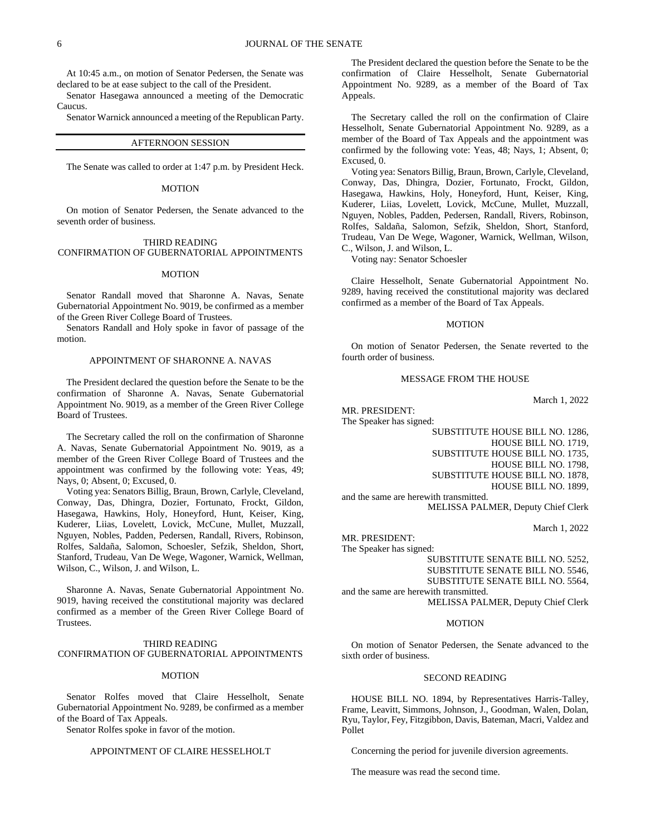At 10:45 a.m., on motion of Senator Pedersen, the Senate was declared to be at ease subject to the call of the President.

Senator Hasegawa announced a meeting of the Democratic Caucus.

Senator Warnick announced a meeting of the Republican Party.

### AFTERNOON SESSION

The Senate was called to order at 1:47 p.m. by President Heck.

#### **MOTION**

On motion of Senator Pedersen, the Senate advanced to the seventh order of business.

# THIRD READING

# CONFIRMATION OF GUBERNATORIAL APPOINTMENTS

# MOTION

Senator Randall moved that Sharonne A. Navas, Senate Gubernatorial Appointment No. 9019, be confirmed as a member of the Green River College Board of Trustees.

Senators Randall and Holy spoke in favor of passage of the motion.

# APPOINTMENT OF SHARONNE A. NAVAS

The President declared the question before the Senate to be the confirmation of Sharonne A. Navas, Senate Gubernatorial Appointment No. 9019, as a member of the Green River College Board of Trustees.

The Secretary called the roll on the confirmation of Sharonne A. Navas, Senate Gubernatorial Appointment No. 9019, as a member of the Green River College Board of Trustees and the appointment was confirmed by the following vote: Yeas, 49; Nays, 0; Absent, 0; Excused, 0.

Voting yea: Senators Billig, Braun, Brown, Carlyle, Cleveland, Conway, Das, Dhingra, Dozier, Fortunato, Frockt, Gildon, Hasegawa, Hawkins, Holy, Honeyford, Hunt, Keiser, King, Kuderer, Liias, Lovelett, Lovick, McCune, Mullet, Muzzall, Nguyen, Nobles, Padden, Pedersen, Randall, Rivers, Robinson, Rolfes, Saldaña, Salomon, Schoesler, Sefzik, Sheldon, Short, Stanford, Trudeau, Van De Wege, Wagoner, Warnick, Wellman, Wilson, C., Wilson, J. and Wilson, L.

Sharonne A. Navas, Senate Gubernatorial Appointment No. 9019, having received the constitutional majority was declared confirmed as a member of the Green River College Board of Trustees.

# THIRD READING

CONFIRMATION OF GUBERNATORIAL APPOINTMENTS

### MOTION

Senator Rolfes moved that Claire Hesselholt, Senate Gubernatorial Appointment No. 9289, be confirmed as a member of the Board of Tax Appeals.

Senator Rolfes spoke in favor of the motion.

### APPOINTMENT OF CLAIRE HESSELHOLT

The President declared the question before the Senate to be the confirmation of Claire Hesselholt, Senate Gubernatorial Appointment No. 9289, as a member of the Board of Tax Appeals.

The Secretary called the roll on the confirmation of Claire Hesselholt, Senate Gubernatorial Appointment No. 9289, as a member of the Board of Tax Appeals and the appointment was confirmed by the following vote: Yeas, 48; Nays, 1; Absent, 0; Excused, 0.

Voting yea: Senators Billig, Braun, Brown, Carlyle, Cleveland, Conway, Das, Dhingra, Dozier, Fortunato, Frockt, Gildon, Hasegawa, Hawkins, Holy, Honeyford, Hunt, Keiser, King, Kuderer, Liias, Lovelett, Lovick, McCune, Mullet, Muzzall, Nguyen, Nobles, Padden, Pedersen, Randall, Rivers, Robinson, Rolfes, Saldaña, Salomon, Sefzik, Sheldon, Short, Stanford, Trudeau, Van De Wege, Wagoner, Warnick, Wellman, Wilson, C., Wilson, J. and Wilson, L.

Voting nay: Senator Schoesler

Claire Hesselholt, Senate Gubernatorial Appointment No. 9289, having received the constitutional majority was declared confirmed as a member of the Board of Tax Appeals.

### **MOTION**

On motion of Senator Pedersen, the Senate reverted to the fourth order of business.

### MESSAGE FROM THE HOUSE

March 1, 2022

MR. PRESIDENT:

MR. PRESIDENT:

The Speaker has signed:

SUBSTITUTE HOUSE BILL NO. 1286, HOUSE BILL NO. 1719, SUBSTITUTE HOUSE BILL NO. 1735, HOUSE BILL NO. 1798,

SUBSTITUTE HOUSE BILL NO. 1878,

HOUSE BILL NO. 1899,

and the same are herewith transmitted. MELISSA PALMER, Deputy Chief Clerk

March 1, 2022

The Speaker has signed: SUBSTITUTE SENATE BILL NO. 5252, SUBSTITUTE SENATE BILL NO. 5546, SUBSTITUTE SENATE BILL NO. 5564, and the same are herewith transmitted. MELISSA PALMER, Deputy Chief Clerk

#### MOTION

On motion of Senator Pedersen, the Senate advanced to the sixth order of business.

# SECOND READING

HOUSE BILL NO. 1894, by Representatives Harris-Talley, Frame, Leavitt, Simmons, Johnson, J., Goodman, Walen, Dolan, Ryu, Taylor, Fey, Fitzgibbon, Davis, Bateman, Macri, Valdez and Pollet

Concerning the period for juvenile diversion agreements.

The measure was read the second time.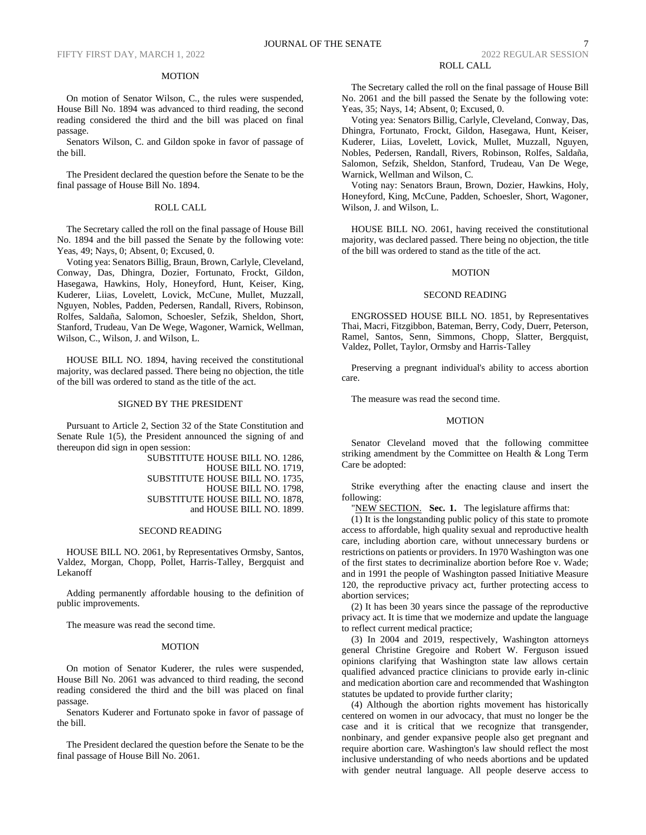# MOTION

On motion of Senator Wilson, C., the rules were suspended, House Bill No. 1894 was advanced to third reading, the second reading considered the third and the bill was placed on final passage.

Senators Wilson, C. and Gildon spoke in favor of passage of the bill.

The President declared the question before the Senate to be the final passage of House Bill No. 1894.

# ROLL CALL

The Secretary called the roll on the final passage of House Bill No. 1894 and the bill passed the Senate by the following vote: Yeas, 49; Nays, 0; Absent, 0; Excused, 0.

Voting yea: Senators Billig, Braun, Brown, Carlyle, Cleveland, Conway, Das, Dhingra, Dozier, Fortunato, Frockt, Gildon, Hasegawa, Hawkins, Holy, Honeyford, Hunt, Keiser, King, Kuderer, Liias, Lovelett, Lovick, McCune, Mullet, Muzzall, Nguyen, Nobles, Padden, Pedersen, Randall, Rivers, Robinson, Rolfes, Saldaña, Salomon, Schoesler, Sefzik, Sheldon, Short, Stanford, Trudeau, Van De Wege, Wagoner, Warnick, Wellman, Wilson, C., Wilson, J. and Wilson, L.

HOUSE BILL NO. 1894, having received the constitutional majority, was declared passed. There being no objection, the title of the bill was ordered to stand as the title of the act.

#### SIGNED BY THE PRESIDENT

Pursuant to Article 2, Section 32 of the State Constitution and Senate Rule 1(5), the President announced the signing of and thereupon did sign in open session:

SUBSTITUTE HOUSE BILL NO. 1286, HOUSE BILL NO. 1719, SUBSTITUTE HOUSE BILL NO. 1735, HOUSE BILL NO. 1798, SUBSTITUTE HOUSE BILL NO. 1878, and HOUSE BILL NO. 1899.

#### SECOND READING

HOUSE BILL NO. 2061, by Representatives Ormsby, Santos, Valdez, Morgan, Chopp, Pollet, Harris-Talley, Bergquist and Lekanoff

Adding permanently affordable housing to the definition of public improvements.

The measure was read the second time.

### **MOTION**

On motion of Senator Kuderer, the rules were suspended, House Bill No. 2061 was advanced to third reading, the second reading considered the third and the bill was placed on final passage.

Senators Kuderer and Fortunato spoke in favor of passage of the bill.

The President declared the question before the Senate to be the final passage of House Bill No. 2061.

The Secretary called the roll on the final passage of House Bill No. 2061 and the bill passed the Senate by the following vote: Yeas, 35; Nays, 14; Absent, 0; Excused, 0.

Voting yea: Senators Billig, Carlyle, Cleveland, Conway, Das, Dhingra, Fortunato, Frockt, Gildon, Hasegawa, Hunt, Keiser, Kuderer, Liias, Lovelett, Lovick, Mullet, Muzzall, Nguyen, Nobles, Pedersen, Randall, Rivers, Robinson, Rolfes, Saldaña, Salomon, Sefzik, Sheldon, Stanford, Trudeau, Van De Wege, Warnick, Wellman and Wilson, C.

Voting nay: Senators Braun, Brown, Dozier, Hawkins, Holy, Honeyford, King, McCune, Padden, Schoesler, Short, Wagoner, Wilson, J. and Wilson, L.

HOUSE BILL NO. 2061, having received the constitutional majority, was declared passed. There being no objection, the title of the bill was ordered to stand as the title of the act.

### **MOTION**

### SECOND READING

ENGROSSED HOUSE BILL NO. 1851, by Representatives Thai, Macri, Fitzgibbon, Bateman, Berry, Cody, Duerr, Peterson, Ramel, Santos, Senn, Simmons, Chopp, Slatter, Bergquist, Valdez, Pollet, Taylor, Ormsby and Harris-Talley

Preserving a pregnant individual's ability to access abortion care.

The measure was read the second time.

### MOTION

Senator Cleveland moved that the following committee striking amendment by the Committee on Health & Long Term Care be adopted:

Strike everything after the enacting clause and insert the following:

"NEW SECTION. Sec. 1. The legislature affirms that:

(1) It is the longstanding public policy of this state to promote access to affordable, high quality sexual and reproductive health care, including abortion care, without unnecessary burdens or restrictions on patients or providers. In 1970 Washington was one of the first states to decriminalize abortion before Roe v. Wade; and in 1991 the people of Washington passed Initiative Measure 120, the reproductive privacy act, further protecting access to abortion services;

(2) It has been 30 years since the passage of the reproductive privacy act. It is time that we modernize and update the language to reflect current medical practice;

(3) In 2004 and 2019, respectively, Washington attorneys general Christine Gregoire and Robert W. Ferguson issued opinions clarifying that Washington state law allows certain qualified advanced practice clinicians to provide early in-clinic and medication abortion care and recommended that Washington statutes be updated to provide further clarity;

(4) Although the abortion rights movement has historically centered on women in our advocacy, that must no longer be the case and it is critical that we recognize that transgender, nonbinary, and gender expansive people also get pregnant and require abortion care. Washington's law should reflect the most inclusive understanding of who needs abortions and be updated with gender neutral language. All people deserve access to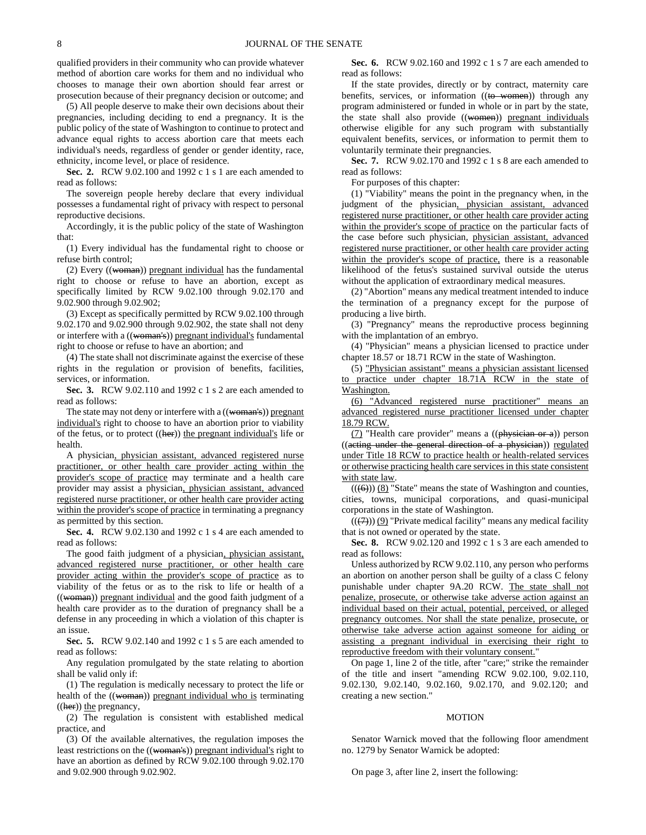qualified providers in their community who can provide whatever method of abortion care works for them and no individual who chooses to manage their own abortion should fear arrest or prosecution because of their pregnancy decision or outcome; and

(5) All people deserve to make their own decisions about their pregnancies, including deciding to end a pregnancy. It is the public policy of the state of Washington to continue to protect and advance equal rights to access abortion care that meets each individual's needs, regardless of gender or gender identity, race, ethnicity, income level, or place of residence.

**Sec. 2.** RCW 9.02.100 and 1992 c 1 s 1 are each amended to read as follows:

The sovereign people hereby declare that every individual possesses a fundamental right of privacy with respect to personal reproductive decisions.

Accordingly, it is the public policy of the state of Washington that:

(1) Every individual has the fundamental right to choose or refuse birth control;

(2) Every ((woman)) pregnant individual has the fundamental right to choose or refuse to have an abortion, except as specifically limited by RCW 9.02.100 through 9.02.170 and 9.02.900 through 9.02.902;

(3) Except as specifically permitted by RCW 9.02.100 through 9.02.170 and 9.02.900 through 9.02.902, the state shall not deny or interfere with a ((woman's)) pregnant individual's fundamental right to choose or refuse to have an abortion; and

(4) The state shall not discriminate against the exercise of these rights in the regulation or provision of benefits, facilities, services, or information.

**Sec. 3.** RCW 9.02.110 and 1992 c 1 s 2 are each amended to read as follows:

The state may not deny or interfere with a ((woman's)) pregnant individual's right to choose to have an abortion prior to viability of the fetus, or to protect ((her)) the pregnant individual's life or health.

A physician, physician assistant, advanced registered nurse practitioner, or other health care provider acting within the provider's scope of practice may terminate and a health care provider may assist a physician, physician assistant, advanced registered nurse practitioner, or other health care provider acting within the provider's scope of practice in terminating a pregnancy as permitted by this section.

**Sec. 4.** RCW 9.02.130 and 1992 c 1 s 4 are each amended to read as follows:

The good faith judgment of a physician, physician assistant, advanced registered nurse practitioner, or other health care provider acting within the provider's scope of practice as to viability of the fetus or as to the risk to life or health of a ((woman)) pregnant individual and the good faith judgment of a health care provider as to the duration of pregnancy shall be a defense in any proceeding in which a violation of this chapter is an issue.

**Sec. 5.** RCW 9.02.140 and 1992 c 1 s 5 are each amended to read as follows:

Any regulation promulgated by the state relating to abortion shall be valid only if:

(1) The regulation is medically necessary to protect the life or health of the ((woman)) pregnant individual who is terminating  $((her))$  the pregnancy,

(2) The regulation is consistent with established medical practice, and

(3) Of the available alternatives, the regulation imposes the least restrictions on the ((woman's)) pregnant individual's right to have an abortion as defined by RCW 9.02.100 through 9.02.170 and 9.02.900 through 9.02.902.

**Sec. 6.** RCW 9.02.160 and 1992 c 1 s 7 are each amended to read as follows:

If the state provides, directly or by contract, maternity care benefits, services, or information ((to women)) through any program administered or funded in whole or in part by the state, the state shall also provide ((women)) pregnant individuals otherwise eligible for any such program with substantially equivalent benefits, services, or information to permit them to voluntarily terminate their pregnancies.

**Sec. 7.** RCW 9.02.170 and 1992 c 1 s 8 are each amended to read as follows:

For purposes of this chapter:

(1) "Viability" means the point in the pregnancy when, in the judgment of the physician, physician assistant, advanced registered nurse practitioner, or other health care provider acting within the provider's scope of practice on the particular facts of the case before such physician, physician assistant, advanced registered nurse practitioner, or other health care provider acting within the provider's scope of practice, there is a reasonable likelihood of the fetus's sustained survival outside the uterus without the application of extraordinary medical measures.

(2) "Abortion" means any medical treatment intended to induce the termination of a pregnancy except for the purpose of producing a live birth.

(3) "Pregnancy" means the reproductive process beginning with the implantation of an embryo.

(4) "Physician" means a physician licensed to practice under chapter 18.57 or 18.71 RCW in the state of Washington.

(5) "Physician assistant" means a physician assistant licensed to practice under chapter 18.71A RCW in the state of Washington.

(6) "Advanced registered nurse practitioner" means an advanced registered nurse practitioner licensed under chapter 18.79 RCW.

 $(7)$  "Health care provider" means a  $((\frac{\pi}{2})$  person ((acting under the general direction of a physician)) regulated under Title 18 RCW to practice health or health-related services or otherwise practicing health care services in this state consistent with state law.

 $((\left(\overline{\Theta}\right)))$  (8) "State" means the state of Washington and counties, cities, towns, municipal corporations, and quasi-municipal corporations in the state of Washington.

 $((\overline{(7)}))$  (9) "Private medical facility" means any medical facility that is not owned or operated by the state.

**Sec. 8.** RCW 9.02.120 and 1992 c 1 s 3 are each amended to read as follows:

Unless authorized by RCW 9.02.110, any person who performs an abortion on another person shall be guilty of a class C felony punishable under chapter 9A.20 RCW. The state shall not penalize, prosecute, or otherwise take adverse action against an individual based on their actual, potential, perceived, or alleged pregnancy outcomes. Nor shall the state penalize, prosecute, or otherwise take adverse action against someone for aiding or assisting a pregnant individual in exercising their right to reproductive freedom with their voluntary consent."

On page 1, line 2 of the title, after "care;" strike the remainder of the title and insert "amending RCW 9.02.100, 9.02.110, 9.02.130, 9.02.140, 9.02.160, 9.02.170, and 9.02.120; and creating a new section."

### MOTION

Senator Warnick moved that the following floor amendment no. 1279 by Senator Warnick be adopted:

On page 3, after line 2, insert the following: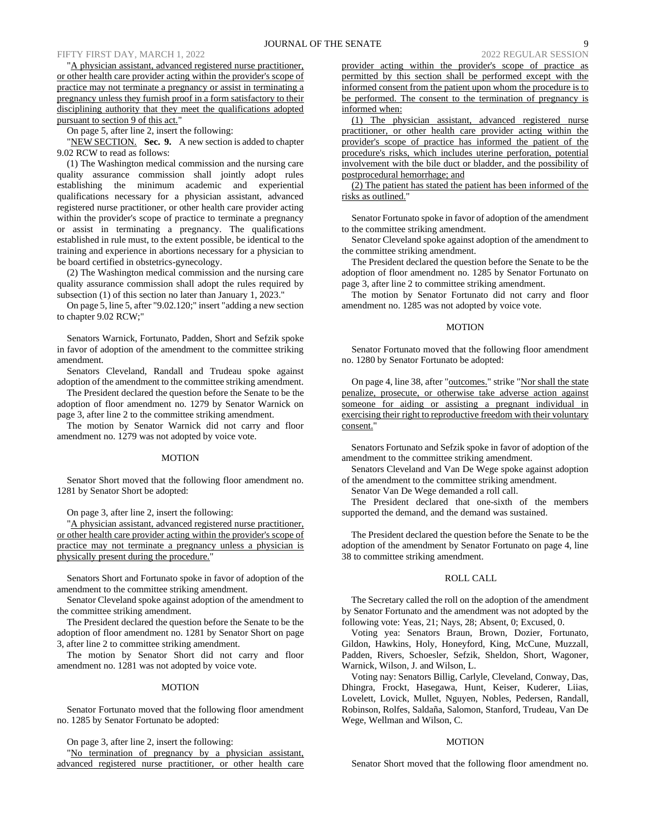"A physician assistant, advanced registered nurse practitioner, or other health care provider acting within the provider's scope of practice may not terminate a pregnancy or assist in terminating a pregnancy unless they furnish proof in a form satisfactory to their disciplining authority that they meet the qualifications adopted pursuant to section 9 of this act."

On page 5, after line 2, insert the following:

"NEW SECTION. **Sec. 9.** A new section is added to chapter 9.02 RCW to read as follows:

(1) The Washington medical commission and the nursing care quality assurance commission shall jointly adopt rules establishing the minimum academic and experiential qualifications necessary for a physician assistant, advanced registered nurse practitioner, or other health care provider acting within the provider's scope of practice to terminate a pregnancy or assist in terminating a pregnancy. The qualifications established in rule must, to the extent possible, be identical to the training and experience in abortions necessary for a physician to be board certified in obstetrics-gynecology.

(2) The Washington medical commission and the nursing care quality assurance commission shall adopt the rules required by subsection (1) of this section no later than January 1, 2023."

On page 5, line 5, after "9.02.120;" insert "adding a new section to chapter 9.02 RCW;"

Senators Warnick, Fortunato, Padden, Short and Sefzik spoke in favor of adoption of the amendment to the committee striking amendment.

Senators Cleveland, Randall and Trudeau spoke against adoption of the amendment to the committee striking amendment.

The President declared the question before the Senate to be the adoption of floor amendment no. 1279 by Senator Warnick on page 3, after line 2 to the committee striking amendment.

The motion by Senator Warnick did not carry and floor amendment no. 1279 was not adopted by voice vote.

#### MOTION

Senator Short moved that the following floor amendment no. 1281 by Senator Short be adopted:

On page 3, after line 2, insert the following:

"A physician assistant, advanced registered nurse practitioner, or other health care provider acting within the provider's scope of practice may not terminate a pregnancy unless a physician is physically present during the procedure."

Senators Short and Fortunato spoke in favor of adoption of the amendment to the committee striking amendment.

Senator Cleveland spoke against adoption of the amendment to the committee striking amendment.

The President declared the question before the Senate to be the adoption of floor amendment no. 1281 by Senator Short on page 3, after line 2 to committee striking amendment.

The motion by Senator Short did not carry and floor amendment no. 1281 was not adopted by voice vote.

### MOTION

Senator Fortunato moved that the following floor amendment no. 1285 by Senator Fortunato be adopted:

On page 3, after line 2, insert the following:

"No termination of pregnancy by a physician assistant, advanced registered nurse practitioner, or other health care provider acting within the provider's scope of practice as permitted by this section shall be performed except with the informed consent from the patient upon whom the procedure is to be performed. The consent to the termination of pregnancy is informed when:

(1) The physician assistant, advanced registered nurse practitioner, or other health care provider acting within the provider's scope of practice has informed the patient of the procedure's risks, which includes uterine perforation, potential involvement with the bile duct or bladder, and the possibility of postprocedural hemorrhage; and

(2) The patient has stated the patient has been informed of the risks as outlined."

Senator Fortunato spoke in favor of adoption of the amendment to the committee striking amendment.

Senator Cleveland spoke against adoption of the amendment to the committee striking amendment.

The President declared the question before the Senate to be the adoption of floor amendment no. 1285 by Senator Fortunato on page 3, after line 2 to committee striking amendment.

The motion by Senator Fortunato did not carry and floor amendment no. 1285 was not adopted by voice vote.

#### MOTION

Senator Fortunato moved that the following floor amendment no. 1280 by Senator Fortunato be adopted:

On page 4, line 38, after "outcomes." strike "Nor shall the state penalize, prosecute, or otherwise take adverse action against someone for aiding or assisting a pregnant individual in exercising their right to reproductive freedom with their voluntary consent."

Senators Fortunato and Sefzik spoke in favor of adoption of the amendment to the committee striking amendment.

Senators Cleveland and Van De Wege spoke against adoption of the amendment to the committee striking amendment.

Senator Van De Wege demanded a roll call.

The President declared that one-sixth of the members supported the demand, and the demand was sustained.

The President declared the question before the Senate to be the adoption of the amendment by Senator Fortunato on page 4, line 38 to committee striking amendment.

#### ROLL CALL

The Secretary called the roll on the adoption of the amendment by Senator Fortunato and the amendment was not adopted by the following vote: Yeas, 21; Nays, 28; Absent, 0; Excused, 0.

Voting yea: Senators Braun, Brown, Dozier, Fortunato, Gildon, Hawkins, Holy, Honeyford, King, McCune, Muzzall, Padden, Rivers, Schoesler, Sefzik, Sheldon, Short, Wagoner, Warnick, Wilson, J. and Wilson, L.

Voting nay: Senators Billig, Carlyle, Cleveland, Conway, Das, Dhingra, Frockt, Hasegawa, Hunt, Keiser, Kuderer, Liias, Lovelett, Lovick, Mullet, Nguyen, Nobles, Pedersen, Randall, Robinson, Rolfes, Saldaña, Salomon, Stanford, Trudeau, Van De Wege, Wellman and Wilson, C.

# MOTION

Senator Short moved that the following floor amendment no.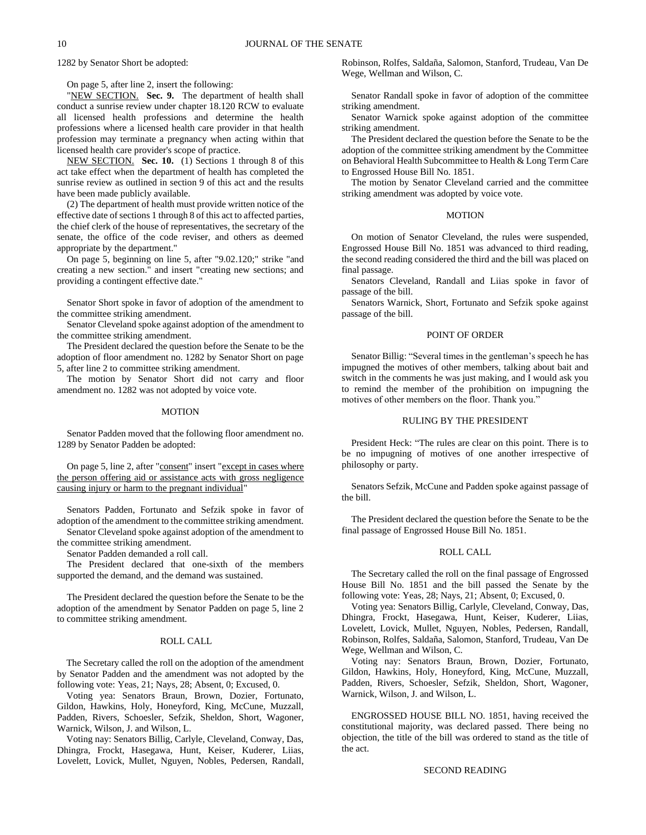1282 by Senator Short be adopted:

### On page 5, after line 2, insert the following:

"NEW SECTION. **Sec. 9.** The department of health shall conduct a sunrise review under chapter 18.120 RCW to evaluate all licensed health professions and determine the health professions where a licensed health care provider in that health profession may terminate a pregnancy when acting within that licensed health care provider's scope of practice.

NEW SECTION. **Sec. 10.** (1) Sections 1 through 8 of this act take effect when the department of health has completed the sunrise review as outlined in section 9 of this act and the results have been made publicly available.

(2) The department of health must provide written notice of the effective date of sections 1 through 8 of this act to affected parties, the chief clerk of the house of representatives, the secretary of the senate, the office of the code reviser, and others as deemed appropriate by the department."

On page 5, beginning on line 5, after "9.02.120;" strike "and creating a new section." and insert "creating new sections; and providing a contingent effective date."

Senator Short spoke in favor of adoption of the amendment to the committee striking amendment.

Senator Cleveland spoke against adoption of the amendment to the committee striking amendment.

The President declared the question before the Senate to be the adoption of floor amendment no. 1282 by Senator Short on page 5, after line 2 to committee striking amendment.

The motion by Senator Short did not carry and floor amendment no. 1282 was not adopted by voice vote.

# MOTION

Senator Padden moved that the following floor amendment no. 1289 by Senator Padden be adopted:

On page 5, line 2, after "consent" insert "except in cases where the person offering aid or assistance acts with gross negligence causing injury or harm to the pregnant individual"

Senators Padden, Fortunato and Sefzik spoke in favor of adoption of the amendment to the committee striking amendment.

Senator Cleveland spoke against adoption of the amendment to the committee striking amendment.

Senator Padden demanded a roll call.

The President declared that one-sixth of the members supported the demand, and the demand was sustained.

The President declared the question before the Senate to be the adoption of the amendment by Senator Padden on page 5, line 2 to committee striking amendment.

### ROLL CALL

The Secretary called the roll on the adoption of the amendment by Senator Padden and the amendment was not adopted by the following vote: Yeas, 21; Nays, 28; Absent, 0; Excused, 0.

Voting yea: Senators Braun, Brown, Dozier, Fortunato, Gildon, Hawkins, Holy, Honeyford, King, McCune, Muzzall, Padden, Rivers, Schoesler, Sefzik, Sheldon, Short, Wagoner, Warnick, Wilson, J. and Wilson, L.

Voting nay: Senators Billig, Carlyle, Cleveland, Conway, Das, Dhingra, Frockt, Hasegawa, Hunt, Keiser, Kuderer, Liias, Lovelett, Lovick, Mullet, Nguyen, Nobles, Pedersen, Randall, Robinson, Rolfes, Saldaña, Salomon, Stanford, Trudeau, Van De Wege, Wellman and Wilson, C.

Senator Randall spoke in favor of adoption of the committee striking amendment.

Senator Warnick spoke against adoption of the committee striking amendment.

The President declared the question before the Senate to be the adoption of the committee striking amendment by the Committee on Behavioral Health Subcommittee to Health & Long Term Care to Engrossed House Bill No. 1851.

The motion by Senator Cleveland carried and the committee striking amendment was adopted by voice vote.

### MOTION

On motion of Senator Cleveland, the rules were suspended, Engrossed House Bill No. 1851 was advanced to third reading, the second reading considered the third and the bill was placed on final passage.

Senators Cleveland, Randall and Liias spoke in favor of passage of the bill.

Senators Warnick, Short, Fortunato and Sefzik spoke against passage of the bill.

### POINT OF ORDER

Senator Billig: "Several times in the gentleman's speech he has impugned the motives of other members, talking about bait and switch in the comments he was just making, and I would ask you to remind the member of the prohibition on impugning the motives of other members on the floor. Thank you."

# RULING BY THE PRESIDENT

President Heck: "The rules are clear on this point. There is to be no impugning of motives of one another irrespective of philosophy or party.

Senators Sefzik, McCune and Padden spoke against passage of the bill.

The President declared the question before the Senate to be the final passage of Engrossed House Bill No. 1851.

# ROLL CALL

The Secretary called the roll on the final passage of Engrossed House Bill No. 1851 and the bill passed the Senate by the following vote: Yeas, 28; Nays, 21; Absent, 0; Excused, 0.

Voting yea: Senators Billig, Carlyle, Cleveland, Conway, Das, Dhingra, Frockt, Hasegawa, Hunt, Keiser, Kuderer, Liias, Lovelett, Lovick, Mullet, Nguyen, Nobles, Pedersen, Randall, Robinson, Rolfes, Saldaña, Salomon, Stanford, Trudeau, Van De Wege, Wellman and Wilson, C.

Voting nay: Senators Braun, Brown, Dozier, Fortunato, Gildon, Hawkins, Holy, Honeyford, King, McCune, Muzzall, Padden, Rivers, Schoesler, Sefzik, Sheldon, Short, Wagoner, Warnick, Wilson, J. and Wilson, L.

ENGROSSED HOUSE BILL NO. 1851, having received the constitutional majority, was declared passed. There being no objection, the title of the bill was ordered to stand as the title of the act.

# SECOND READING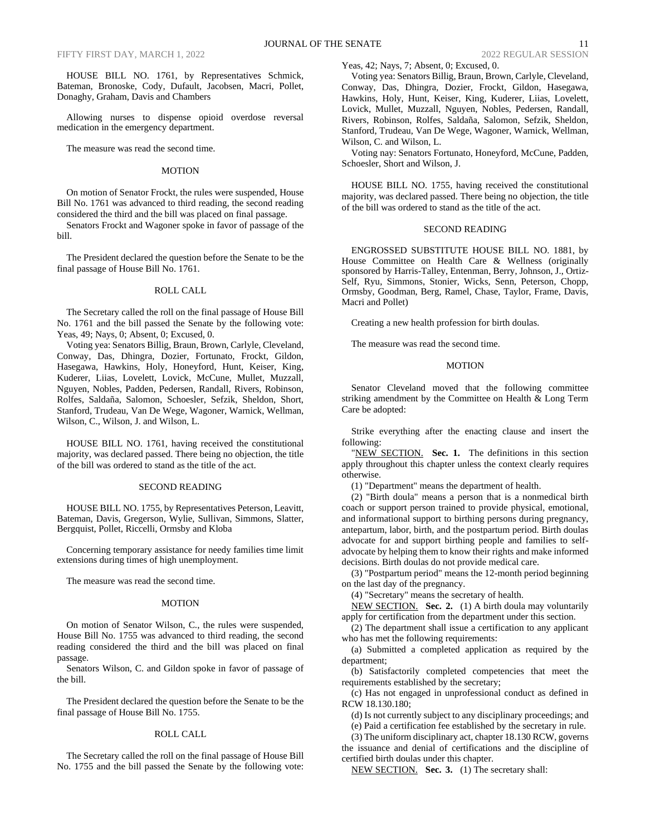HOUSE BILL NO. 1761, by Representatives Schmick, Bateman, Bronoske, Cody, Dufault, Jacobsen, Macri, Pollet, Donaghy, Graham, Davis and Chambers

Allowing nurses to dispense opioid overdose reversal medication in the emergency department.

The measure was read the second time.

### MOTION

On motion of Senator Frockt, the rules were suspended, House Bill No. 1761 was advanced to third reading, the second reading considered the third and the bill was placed on final passage.

Senators Frockt and Wagoner spoke in favor of passage of the bill.

The President declared the question before the Senate to be the final passage of House Bill No. 1761.

### ROLL CALL

The Secretary called the roll on the final passage of House Bill No. 1761 and the bill passed the Senate by the following vote: Yeas, 49; Nays, 0; Absent, 0; Excused, 0.

Voting yea: Senators Billig, Braun, Brown, Carlyle, Cleveland, Conway, Das, Dhingra, Dozier, Fortunato, Frockt, Gildon, Hasegawa, Hawkins, Holy, Honeyford, Hunt, Keiser, King, Kuderer, Liias, Lovelett, Lovick, McCune, Mullet, Muzzall, Nguyen, Nobles, Padden, Pedersen, Randall, Rivers, Robinson, Rolfes, Saldaña, Salomon, Schoesler, Sefzik, Sheldon, Short, Stanford, Trudeau, Van De Wege, Wagoner, Warnick, Wellman, Wilson, C., Wilson, J. and Wilson, L.

HOUSE BILL NO. 1761, having received the constitutional majority, was declared passed. There being no objection, the title of the bill was ordered to stand as the title of the act.

### SECOND READING

HOUSE BILL NO. 1755, by Representatives Peterson, Leavitt, Bateman, Davis, Gregerson, Wylie, Sullivan, Simmons, Slatter, Bergquist, Pollet, Riccelli, Ormsby and Kloba

Concerning temporary assistance for needy families time limit extensions during times of high unemployment.

The measure was read the second time.

#### MOTION

On motion of Senator Wilson, C., the rules were suspended, House Bill No. 1755 was advanced to third reading, the second reading considered the third and the bill was placed on final passage.

Senators Wilson, C. and Gildon spoke in favor of passage of the bill.

The President declared the question before the Senate to be the final passage of House Bill No. 1755.

#### ROLL CALL

The Secretary called the roll on the final passage of House Bill No. 1755 and the bill passed the Senate by the following vote: Yeas, 42; Nays, 7; Absent, 0; Excused, 0.

Voting yea: Senators Billig, Braun, Brown, Carlyle, Cleveland, Conway, Das, Dhingra, Dozier, Frockt, Gildon, Hasegawa, Hawkins, Holy, Hunt, Keiser, King, Kuderer, Liias, Lovelett, Lovick, Mullet, Muzzall, Nguyen, Nobles, Pedersen, Randall, Rivers, Robinson, Rolfes, Saldaña, Salomon, Sefzik, Sheldon, Stanford, Trudeau, Van De Wege, Wagoner, Warnick, Wellman, Wilson, C. and Wilson, L.

Voting nay: Senators Fortunato, Honeyford, McCune, Padden, Schoesler, Short and Wilson, J.

HOUSE BILL NO. 1755, having received the constitutional majority, was declared passed. There being no objection, the title of the bill was ordered to stand as the title of the act.

### SECOND READING

ENGROSSED SUBSTITUTE HOUSE BILL NO. 1881, by House Committee on Health Care & Wellness (originally sponsored by Harris-Talley, Entenman, Berry, Johnson, J., Ortiz-Self, Ryu, Simmons, Stonier, Wicks, Senn, Peterson, Chopp, Ormsby, Goodman, Berg, Ramel, Chase, Taylor, Frame, Davis, Macri and Pollet)

Creating a new health profession for birth doulas.

The measure was read the second time.

# MOTION

Senator Cleveland moved that the following committee striking amendment by the Committee on Health & Long Term Care be adopted:

Strike everything after the enacting clause and insert the following:

"NEW SECTION. Sec. 1. The definitions in this section apply throughout this chapter unless the context clearly requires otherwise.

(1) "Department" means the department of health.

(2) "Birth doula" means a person that is a nonmedical birth coach or support person trained to provide physical, emotional, and informational support to birthing persons during pregnancy, antepartum, labor, birth, and the postpartum period. Birth doulas advocate for and support birthing people and families to selfadvocate by helping them to know their rights and make informed decisions. Birth doulas do not provide medical care.

(3) "Postpartum period" means the 12-month period beginning on the last day of the pregnancy.

(4) "Secretary" means the secretary of health.

NEW SECTION. **Sec. 2.** (1) A birth doula may voluntarily apply for certification from the department under this section.

(2) The department shall issue a certification to any applicant who has met the following requirements:

(a) Submitted a completed application as required by the department;

(b) Satisfactorily completed competencies that meet the requirements established by the secretary;

(c) Has not engaged in unprofessional conduct as defined in RCW 18.130.180;

(d) Is not currently subject to any disciplinary proceedings; and

(e) Paid a certification fee established by the secretary in rule.

(3) The uniform disciplinary act, chapter 18.130 RCW, governs the issuance and denial of certifications and the discipline of certified birth doulas under this chapter.

NEW SECTION. **Sec. 3.** (1) The secretary shall: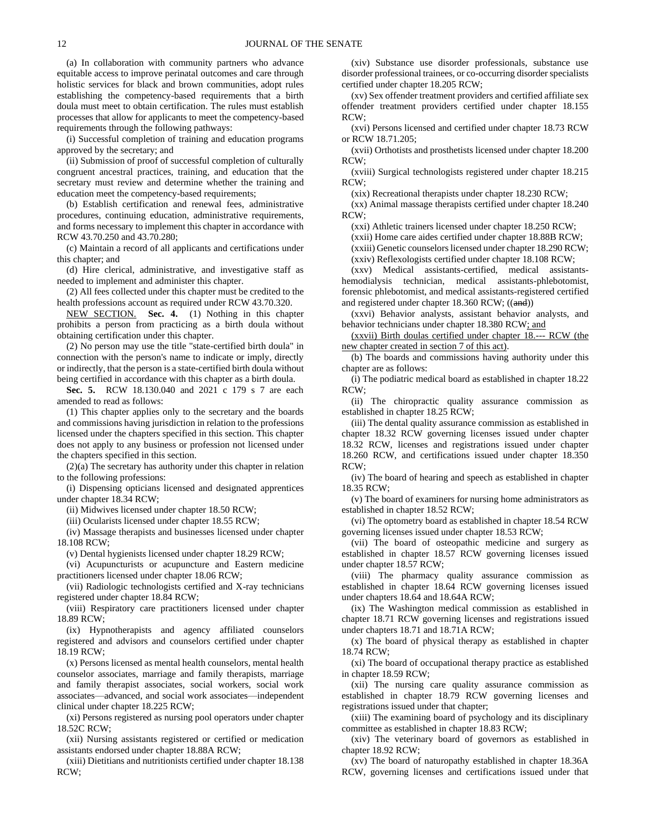(a) In collaboration with community partners who advance equitable access to improve perinatal outcomes and care through holistic services for black and brown communities, adopt rules establishing the competency-based requirements that a birth doula must meet to obtain certification. The rules must establish processes that allow for applicants to meet the competency-based requirements through the following pathways:

(i) Successful completion of training and education programs approved by the secretary; and

(ii) Submission of proof of successful completion of culturally congruent ancestral practices, training, and education that the secretary must review and determine whether the training and education meet the competency-based requirements;

(b) Establish certification and renewal fees, administrative procedures, continuing education, administrative requirements, and forms necessary to implement this chapter in accordance with RCW 43.70.250 and 43.70.280;

(c) Maintain a record of all applicants and certifications under this chapter; and

(d) Hire clerical, administrative, and investigative staff as needed to implement and administer this chapter.

(2) All fees collected under this chapter must be credited to the health professions account as required under RCW 43.70.320.

NEW SECTION. **Sec. 4.** (1) Nothing in this chapter prohibits a person from practicing as a birth doula without obtaining certification under this chapter.

(2) No person may use the title "state-certified birth doula" in connection with the person's name to indicate or imply, directly or indirectly, that the person is a state-certified birth doula without being certified in accordance with this chapter as a birth doula.

**Sec. 5.** RCW 18.130.040 and 2021 c 179 s 7 are each amended to read as follows:

(1) This chapter applies only to the secretary and the boards and commissions having jurisdiction in relation to the professions licensed under the chapters specified in this section. This chapter does not apply to any business or profession not licensed under the chapters specified in this section.

(2)(a) The secretary has authority under this chapter in relation to the following professions:

(i) Dispensing opticians licensed and designated apprentices under chapter 18.34 RCW;

(ii) Midwives licensed under chapter 18.50 RCW;

(iii) Ocularists licensed under chapter 18.55 RCW;

(iv) Massage therapists and businesses licensed under chapter 18.108 RCW;

(v) Dental hygienists licensed under chapter 18.29 RCW;

(vi) Acupuncturists or acupuncture and Eastern medicine practitioners licensed under chapter 18.06 RCW;

(vii) Radiologic technologists certified and X-ray technicians registered under chapter 18.84 RCW;

(viii) Respiratory care practitioners licensed under chapter 18.89 RCW;

(ix) Hypnotherapists and agency affiliated counselors registered and advisors and counselors certified under chapter 18.19 RCW;

(x) Persons licensed as mental health counselors, mental health counselor associates, marriage and family therapists, marriage and family therapist associates, social workers, social work associates—advanced, and social work associates—independent clinical under chapter 18.225 RCW;

(xi) Persons registered as nursing pool operators under chapter 18.52C RCW;

(xii) Nursing assistants registered or certified or medication assistants endorsed under chapter 18.88A RCW;

(xiii) Dietitians and nutritionists certified under chapter 18.138 RCW;

(xiv) Substance use disorder professionals, substance use disorder professional trainees, or co-occurring disorder specialists certified under chapter 18.205 RCW;

(xv) Sex offender treatment providers and certified affiliate sex offender treatment providers certified under chapter 18.155 RCW;

(xvi) Persons licensed and certified under chapter 18.73 RCW or RCW 18.71.205;

(xvii) Orthotists and prosthetists licensed under chapter 18.200 RCW;

(xviii) Surgical technologists registered under chapter 18.215 RCW;

(xix) Recreational therapists under chapter 18.230 RCW;

(xx) Animal massage therapists certified under chapter 18.240  $RCW$ 

(xxi) Athletic trainers licensed under chapter 18.250 RCW;

(xxii) Home care aides certified under chapter 18.88B RCW; (xxiii) Genetic counselors licensed under chapter 18.290 RCW;

(xxiv) Reflexologists certified under chapter 18.108 RCW;

(xxv) Medical assistants-certified, medical assistantshemodialysis technician, medical assistants-phlebotomist, forensic phlebotomist, and medical assistants-registered certified and registered under chapter 18.360 RCW; ((and))

(xxvi) Behavior analysts, assistant behavior analysts, and behavior technicians under chapter 18.380 RCW; and

(xxvii) Birth doulas certified under chapter 18.--- RCW (the new chapter created in section 7 of this act).

(b) The boards and commissions having authority under this chapter are as follows:

(i) The podiatric medical board as established in chapter 18.22 RCW;

(ii) The chiropractic quality assurance commission as established in chapter 18.25 RCW;

(iii) The dental quality assurance commission as established in chapter 18.32 RCW governing licenses issued under chapter 18.32 RCW, licenses and registrations issued under chapter 18.260 RCW, and certifications issued under chapter 18.350 RCW;

(iv) The board of hearing and speech as established in chapter 18.35 RCW;

(v) The board of examiners for nursing home administrators as established in chapter 18.52 RCW;

(vi) The optometry board as established in chapter 18.54 RCW governing licenses issued under chapter 18.53 RCW;

(vii) The board of osteopathic medicine and surgery as established in chapter 18.57 RCW governing licenses issued under chapter 18.57 RCW;

(viii) The pharmacy quality assurance commission as established in chapter 18.64 RCW governing licenses issued under chapters 18.64 and 18.64A RCW;

(ix) The Washington medical commission as established in chapter 18.71 RCW governing licenses and registrations issued under chapters 18.71 and 18.71A RCW;

(x) The board of physical therapy as established in chapter 18.74 RCW;

(xi) The board of occupational therapy practice as established in chapter 18.59 RCW;

(xii) The nursing care quality assurance commission as established in chapter 18.79 RCW governing licenses and registrations issued under that chapter;

(xiii) The examining board of psychology and its disciplinary committee as established in chapter 18.83 RCW;

(xiv) The veterinary board of governors as established in chapter 18.92 RCW;

(xv) The board of naturopathy established in chapter 18.36A RCW, governing licenses and certifications issued under that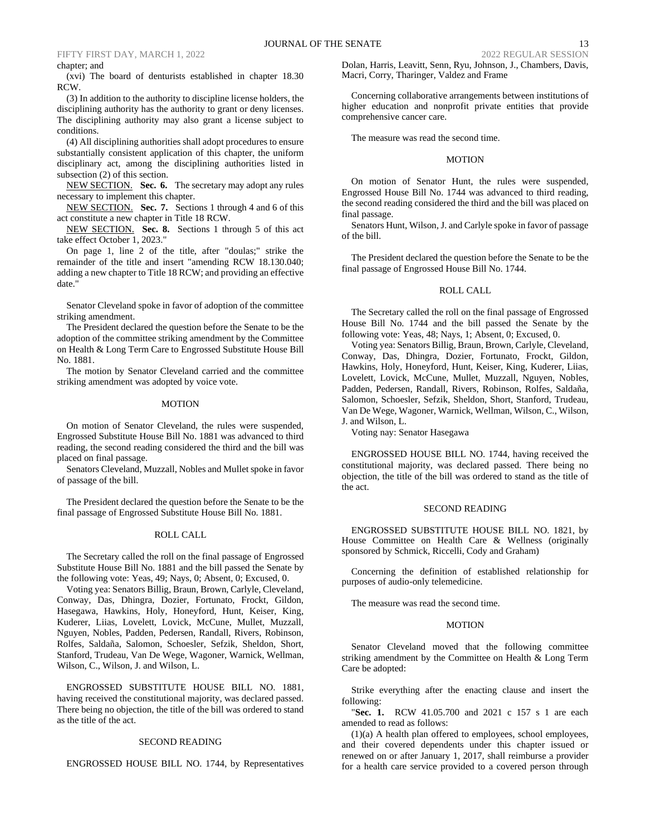# chapter; and

(xvi) The board of denturists established in chapter 18.30 RCW.

(3) In addition to the authority to discipline license holders, the disciplining authority has the authority to grant or deny licenses. The disciplining authority may also grant a license subject to conditions.

(4) All disciplining authorities shall adopt procedures to ensure substantially consistent application of this chapter, the uniform disciplinary act, among the disciplining authorities listed in subsection (2) of this section.

NEW SECTION. **Sec. 6.** The secretary may adopt any rules necessary to implement this chapter.

NEW SECTION. **Sec. 7.** Sections 1 through 4 and 6 of this act constitute a new chapter in Title 18 RCW.

NEW SECTION. **Sec. 8.** Sections 1 through 5 of this act take effect October 1, 2023."

On page 1, line 2 of the title, after "doulas;" strike the remainder of the title and insert "amending RCW 18.130.040; adding a new chapter to Title 18 RCW; and providing an effective date."

Senator Cleveland spoke in favor of adoption of the committee striking amendment.

The President declared the question before the Senate to be the adoption of the committee striking amendment by the Committee on Health & Long Term Care to Engrossed Substitute House Bill No. 1881.

The motion by Senator Cleveland carried and the committee striking amendment was adopted by voice vote.

### MOTION

On motion of Senator Cleveland, the rules were suspended, Engrossed Substitute House Bill No. 1881 was advanced to third reading, the second reading considered the third and the bill was placed on final passage.

Senators Cleveland, Muzzall, Nobles and Mullet spoke in favor of passage of the bill.

The President declared the question before the Senate to be the final passage of Engrossed Substitute House Bill No. 1881.

# ROLL CALL

The Secretary called the roll on the final passage of Engrossed Substitute House Bill No. 1881 and the bill passed the Senate by the following vote: Yeas, 49; Nays, 0; Absent, 0; Excused, 0.

Voting yea: Senators Billig, Braun, Brown, Carlyle, Cleveland, Conway, Das, Dhingra, Dozier, Fortunato, Frockt, Gildon, Hasegawa, Hawkins, Holy, Honeyford, Hunt, Keiser, King, Kuderer, Liias, Lovelett, Lovick, McCune, Mullet, Muzzall, Nguyen, Nobles, Padden, Pedersen, Randall, Rivers, Robinson, Rolfes, Saldaña, Salomon, Schoesler, Sefzik, Sheldon, Short, Stanford, Trudeau, Van De Wege, Wagoner, Warnick, Wellman, Wilson, C., Wilson, J. and Wilson, L.

ENGROSSED SUBSTITUTE HOUSE BILL NO. 1881, having received the constitutional majority, was declared passed. There being no objection, the title of the bill was ordered to stand as the title of the act.

### SECOND READING

ENGROSSED HOUSE BILL NO. 1744, by Representatives

Dolan, Harris, Leavitt, Senn, Ryu, Johnson, J., Chambers, Davis, Macri, Corry, Tharinger, Valdez and Frame

Concerning collaborative arrangements between institutions of higher education and nonprofit private entities that provide comprehensive cancer care.

The measure was read the second time.

# MOTION

On motion of Senator Hunt, the rules were suspended, Engrossed House Bill No. 1744 was advanced to third reading, the second reading considered the third and the bill was placed on final passage.

Senators Hunt, Wilson, J. and Carlyle spoke in favor of passage of the bill.

The President declared the question before the Senate to be the final passage of Engrossed House Bill No. 1744.

### ROLL CALL

The Secretary called the roll on the final passage of Engrossed House Bill No. 1744 and the bill passed the Senate by the following vote: Yeas, 48; Nays, 1; Absent, 0; Excused, 0.

Voting yea: Senators Billig, Braun, Brown, Carlyle, Cleveland, Conway, Das, Dhingra, Dozier, Fortunato, Frockt, Gildon, Hawkins, Holy, Honeyford, Hunt, Keiser, King, Kuderer, Liias, Lovelett, Lovick, McCune, Mullet, Muzzall, Nguyen, Nobles, Padden, Pedersen, Randall, Rivers, Robinson, Rolfes, Saldaña, Salomon, Schoesler, Sefzik, Sheldon, Short, Stanford, Trudeau, Van De Wege, Wagoner, Warnick, Wellman, Wilson, C., Wilson, J. and Wilson, L.

Voting nay: Senator Hasegawa

ENGROSSED HOUSE BILL NO. 1744, having received the constitutional majority, was declared passed. There being no objection, the title of the bill was ordered to stand as the title of the act.

#### SECOND READING

ENGROSSED SUBSTITUTE HOUSE BILL NO. 1821, by House Committee on Health Care & Wellness (originally sponsored by Schmick, Riccelli, Cody and Graham)

Concerning the definition of established relationship for purposes of audio-only telemedicine.

The measure was read the second time.

### MOTION

Senator Cleveland moved that the following committee striking amendment by the Committee on Health & Long Term Care be adopted:

Strike everything after the enacting clause and insert the following:

"**Sec. 1.** RCW 41.05.700 and 2021 c 157 s 1 are each amended to read as follows:

(1)(a) A health plan offered to employees, school employees, and their covered dependents under this chapter issued or renewed on or after January 1, 2017, shall reimburse a provider for a health care service provided to a covered person through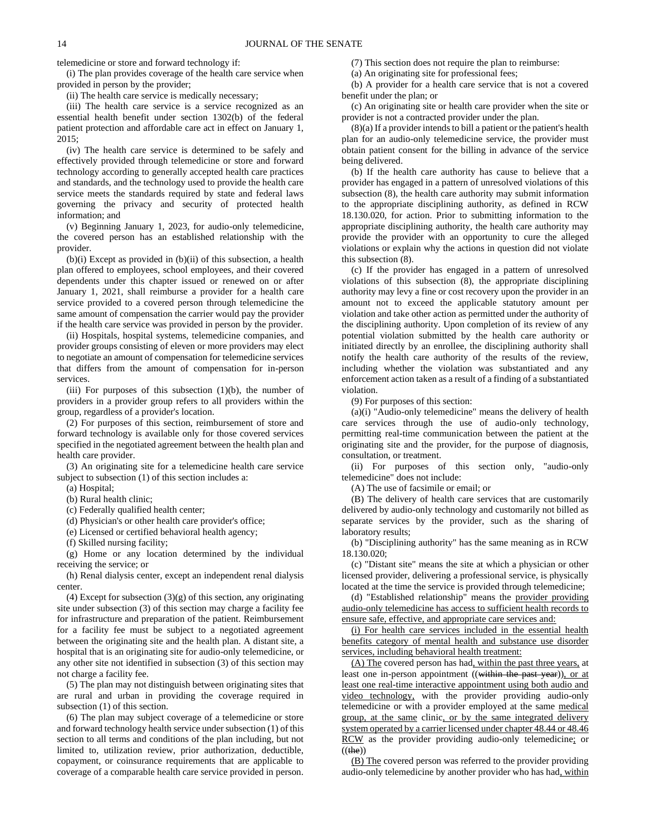telemedicine or store and forward technology if:

(i) The plan provides coverage of the health care service when provided in person by the provider;

(ii) The health care service is medically necessary;

(iii) The health care service is a service recognized as an essential health benefit under section 1302(b) of the federal patient protection and affordable care act in effect on January 1, 2015;

(iv) The health care service is determined to be safely and effectively provided through telemedicine or store and forward technology according to generally accepted health care practices and standards, and the technology used to provide the health care service meets the standards required by state and federal laws governing the privacy and security of protected health information; and

(v) Beginning January 1, 2023, for audio-only telemedicine, the covered person has an established relationship with the provider.

(b)(i) Except as provided in (b)(ii) of this subsection, a health plan offered to employees, school employees, and their covered dependents under this chapter issued or renewed on or after January 1, 2021, shall reimburse a provider for a health care service provided to a covered person through telemedicine the same amount of compensation the carrier would pay the provider if the health care service was provided in person by the provider.

(ii) Hospitals, hospital systems, telemedicine companies, and provider groups consisting of eleven or more providers may elect to negotiate an amount of compensation for telemedicine services that differs from the amount of compensation for in-person services.

(iii) For purposes of this subsection  $(1)(b)$ , the number of providers in a provider group refers to all providers within the group, regardless of a provider's location.

(2) For purposes of this section, reimbursement of store and forward technology is available only for those covered services specified in the negotiated agreement between the health plan and health care provider.

(3) An originating site for a telemedicine health care service subject to subsection (1) of this section includes a:

(a) Hospital;

(b) Rural health clinic;

(c) Federally qualified health center;

(d) Physician's or other health care provider's office;

(e) Licensed or certified behavioral health agency;

(f) Skilled nursing facility;

(g) Home or any location determined by the individual receiving the service; or

(h) Renal dialysis center, except an independent renal dialysis center.

(4) Except for subsection  $(3)(g)$  of this section, any originating site under subsection (3) of this section may charge a facility fee for infrastructure and preparation of the patient. Reimbursement for a facility fee must be subject to a negotiated agreement between the originating site and the health plan. A distant site, a hospital that is an originating site for audio-only telemedicine, or any other site not identified in subsection (3) of this section may not charge a facility fee.

(5) The plan may not distinguish between originating sites that are rural and urban in providing the coverage required in subsection (1) of this section.

(6) The plan may subject coverage of a telemedicine or store and forward technology health service under subsection (1) of this section to all terms and conditions of the plan including, but not limited to, utilization review, prior authorization, deductible, copayment, or coinsurance requirements that are applicable to coverage of a comparable health care service provided in person. (7) This section does not require the plan to reimburse:

(a) An originating site for professional fees;

(b) A provider for a health care service that is not a covered benefit under the plan; or

(c) An originating site or health care provider when the site or provider is not a contracted provider under the plan.

(8)(a) If a provider intends to bill a patient or the patient's health plan for an audio-only telemedicine service, the provider must obtain patient consent for the billing in advance of the service being delivered.

(b) If the health care authority has cause to believe that a provider has engaged in a pattern of unresolved violations of this subsection (8), the health care authority may submit information to the appropriate disciplining authority, as defined in RCW 18.130.020, for action. Prior to submitting information to the appropriate disciplining authority, the health care authority may provide the provider with an opportunity to cure the alleged violations or explain why the actions in question did not violate this subsection (8).

(c) If the provider has engaged in a pattern of unresolved violations of this subsection (8), the appropriate disciplining authority may levy a fine or cost recovery upon the provider in an amount not to exceed the applicable statutory amount per violation and take other action as permitted under the authority of the disciplining authority. Upon completion of its review of any potential violation submitted by the health care authority or initiated directly by an enrollee, the disciplining authority shall notify the health care authority of the results of the review, including whether the violation was substantiated and any enforcement action taken as a result of a finding of a substantiated violation.

(9) For purposes of this section:

(a)(i) "Audio-only telemedicine" means the delivery of health care services through the use of audio-only technology, permitting real-time communication between the patient at the originating site and the provider, for the purpose of diagnosis, consultation, or treatment.

(ii) For purposes of this section only, "audio-only telemedicine" does not include:

(A) The use of facsimile or email; or

(B) The delivery of health care services that are customarily delivered by audio-only technology and customarily not billed as separate services by the provider, such as the sharing of laboratory results;

(b) "Disciplining authority" has the same meaning as in RCW 18.130.020;

(c) "Distant site" means the site at which a physician or other licensed provider, delivering a professional service, is physically located at the time the service is provided through telemedicine;

(d) "Established relationship" means the provider providing audio-only telemedicine has access to sufficient health records to ensure safe, effective, and appropriate care services and:

(i) For health care services included in the essential health benefits category of mental health and substance use disorder services, including behavioral health treatment:

(A) The covered person has had, within the past three years, at least one in-person appointment ((within the past year)), or at least one real-time interactive appointment using both audio and video technology, with the provider providing audio-only telemedicine or with a provider employed at the same medical group, at the same clinic, or by the same integrated delivery system operated by a carrier licensed under chapter 48.44 or 48.46 RCW as the provider providing audio-only telemedicine; or  $((the))$ 

(B) The covered person was referred to the provider providing audio-only telemedicine by another provider who has had, within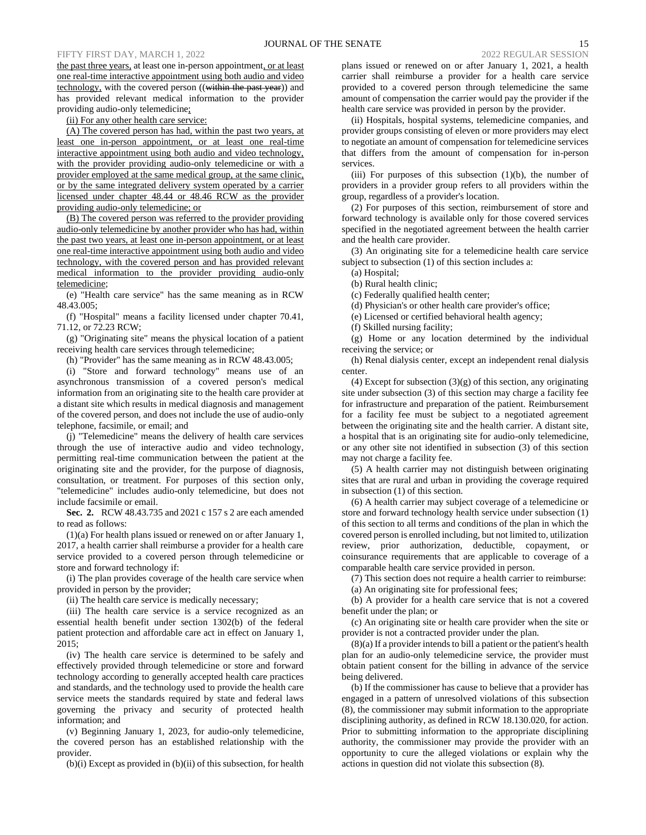the past three years, at least one in-person appointment, or at least one real-time interactive appointment using both audio and video technology, with the covered person ((within the past year)) and has provided relevant medical information to the provider providing audio-only telemedicine;

(ii) For any other health care service:

(A) The covered person has had, within the past two years, at least one in-person appointment, or at least one real-time interactive appointment using both audio and video technology, with the provider providing audio-only telemedicine or with a provider employed at the same medical group, at the same clinic, or by the same integrated delivery system operated by a carrier licensed under chapter 48.44 or 48.46 RCW as the provider providing audio-only telemedicine; or

(B) The covered person was referred to the provider providing audio-only telemedicine by another provider who has had, within the past two years, at least one in-person appointment, or at least one real-time interactive appointment using both audio and video technology, with the covered person and has provided relevant medical information to the provider providing audio-only telemedicine;

(e) "Health care service" has the same meaning as in RCW 48.43.005;

(f) "Hospital" means a facility licensed under chapter 70.41, 71.12, or 72.23 RCW;

(g) "Originating site" means the physical location of a patient receiving health care services through telemedicine;

(h) "Provider" has the same meaning as in RCW 48.43.005;

(i) "Store and forward technology" means use of an asynchronous transmission of a covered person's medical information from an originating site to the health care provider at a distant site which results in medical diagnosis and management of the covered person, and does not include the use of audio-only telephone, facsimile, or email; and

(j) "Telemedicine" means the delivery of health care services through the use of interactive audio and video technology, permitting real-time communication between the patient at the originating site and the provider, for the purpose of diagnosis, consultation, or treatment. For purposes of this section only, "telemedicine" includes audio-only telemedicine, but does not include facsimile or email.

**Sec. 2.** RCW 48.43.735 and 2021 c 157 s 2 are each amended to read as follows:

(1)(a) For health plans issued or renewed on or after January 1, 2017, a health carrier shall reimburse a provider for a health care service provided to a covered person through telemedicine or store and forward technology if:

(i) The plan provides coverage of the health care service when provided in person by the provider;

(ii) The health care service is medically necessary;

(iii) The health care service is a service recognized as an essential health benefit under section 1302(b) of the federal patient protection and affordable care act in effect on January 1, 2015;

(iv) The health care service is determined to be safely and effectively provided through telemedicine or store and forward technology according to generally accepted health care practices and standards, and the technology used to provide the health care service meets the standards required by state and federal laws governing the privacy and security of protected health information; and

(v) Beginning January 1, 2023, for audio-only telemedicine, the covered person has an established relationship with the provider.

(b)(i) Except as provided in (b)(ii) of this subsection, for health

plans issued or renewed on or after January 1, 2021, a health carrier shall reimburse a provider for a health care service provided to a covered person through telemedicine the same amount of compensation the carrier would pay the provider if the health care service was provided in person by the provider.

(ii) Hospitals, hospital systems, telemedicine companies, and provider groups consisting of eleven or more providers may elect to negotiate an amount of compensation for telemedicine services that differs from the amount of compensation for in-person services.

(iii) For purposes of this subsection  $(1)(b)$ , the number of providers in a provider group refers to all providers within the group, regardless of a provider's location.

(2) For purposes of this section, reimbursement of store and forward technology is available only for those covered services specified in the negotiated agreement between the health carrier and the health care provider.

(3) An originating site for a telemedicine health care service subject to subsection (1) of this section includes a:

(a) Hospital;

(b) Rural health clinic;

(c) Federally qualified health center;

(d) Physician's or other health care provider's office;

(e) Licensed or certified behavioral health agency;

(f) Skilled nursing facility;

(g) Home or any location determined by the individual receiving the service; or

(h) Renal dialysis center, except an independent renal dialysis center.

(4) Except for subsection (3)(g) of this section, any originating site under subsection (3) of this section may charge a facility fee for infrastructure and preparation of the patient. Reimbursement for a facility fee must be subject to a negotiated agreement between the originating site and the health carrier. A distant site, a hospital that is an originating site for audio-only telemedicine, or any other site not identified in subsection (3) of this section may not charge a facility fee.

(5) A health carrier may not distinguish between originating sites that are rural and urban in providing the coverage required in subsection (1) of this section.

(6) A health carrier may subject coverage of a telemedicine or store and forward technology health service under subsection (1) of this section to all terms and conditions of the plan in which the covered person is enrolled including, but not limited to, utilization review, prior authorization, deductible, copayment, or coinsurance requirements that are applicable to coverage of a comparable health care service provided in person.

(7) This section does not require a health carrier to reimburse:

(a) An originating site for professional fees;

(b) A provider for a health care service that is not a covered benefit under the plan; or

(c) An originating site or health care provider when the site or provider is not a contracted provider under the plan.

(8)(a) If a provider intends to bill a patient or the patient's health plan for an audio-only telemedicine service, the provider must obtain patient consent for the billing in advance of the service being delivered.

(b) If the commissioner has cause to believe that a provider has engaged in a pattern of unresolved violations of this subsection (8), the commissioner may submit information to the appropriate disciplining authority, as defined in RCW 18.130.020, for action. Prior to submitting information to the appropriate disciplining authority, the commissioner may provide the provider with an opportunity to cure the alleged violations or explain why the actions in question did not violate this subsection (8).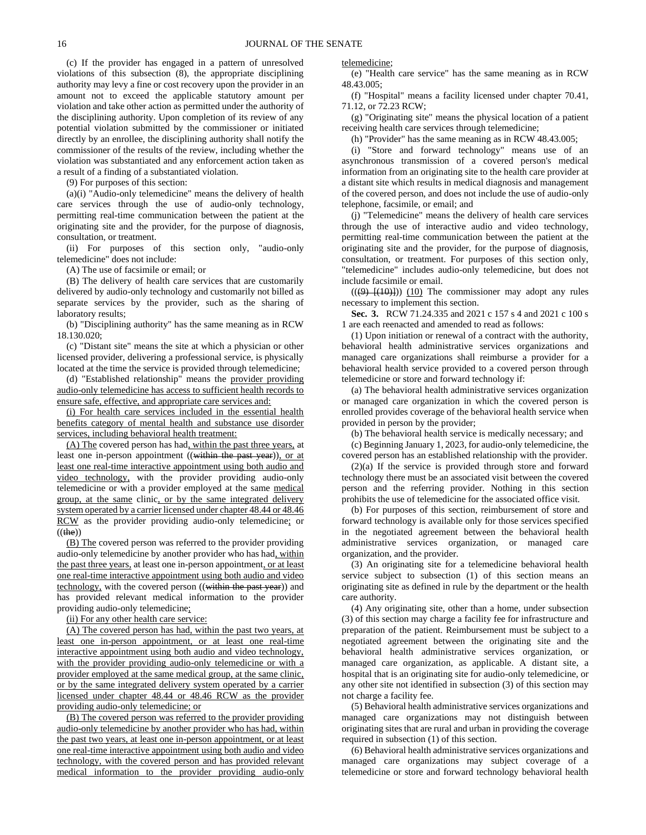(c) If the provider has engaged in a pattern of unresolved violations of this subsection (8), the appropriate disciplining authority may levy a fine or cost recovery upon the provider in an amount not to exceed the applicable statutory amount per violation and take other action as permitted under the authority of the disciplining authority. Upon completion of its review of any potential violation submitted by the commissioner or initiated directly by an enrollee, the disciplining authority shall notify the commissioner of the results of the review, including whether the violation was substantiated and any enforcement action taken as a result of a finding of a substantiated violation.

(9) For purposes of this section:

(a)(i) "Audio-only telemedicine" means the delivery of health care services through the use of audio-only technology, permitting real-time communication between the patient at the originating site and the provider, for the purpose of diagnosis, consultation, or treatment.

(ii) For purposes of this section only, "audio-only telemedicine" does not include:

(A) The use of facsimile or email; or

(B) The delivery of health care services that are customarily delivered by audio-only technology and customarily not billed as separate services by the provider, such as the sharing of laboratory results;

(b) "Disciplining authority" has the same meaning as in RCW 18.130.020;

(c) "Distant site" means the site at which a physician or other licensed provider, delivering a professional service, is physically located at the time the service is provided through telemedicine;

(d) "Established relationship" means the provider providing audio-only telemedicine has access to sufficient health records to ensure safe, effective, and appropriate care services and:

(i) For health care services included in the essential health benefits category of mental health and substance use disorder services, including behavioral health treatment:

(A) The covered person has had, within the past three years, at least one in-person appointment ((within the past year)), or at least one real-time interactive appointment using both audio and video technology, with the provider providing audio-only telemedicine or with a provider employed at the same medical group, at the same clinic, or by the same integrated delivery system operated by a carrier licensed under chapter 48.44 or 48.46 RCW as the provider providing audio-only telemedicine; or  $((the))$ 

(B) The covered person was referred to the provider providing audio-only telemedicine by another provider who has had, within the past three years, at least one in-person appointment, or at least one real-time interactive appointment using both audio and video technology, with the covered person ((within the past year)) and has provided relevant medical information to the provider providing audio-only telemedicine;

(ii) For any other health care service:

(A) The covered person has had, within the past two years, at least one in-person appointment, or at least one real-time interactive appointment using both audio and video technology, with the provider providing audio-only telemedicine or with a provider employed at the same medical group, at the same clinic, or by the same integrated delivery system operated by a carrier licensed under chapter 48.44 or 48.46 RCW as the provider providing audio-only telemedicine; or

(B) The covered person was referred to the provider providing audio-only telemedicine by another provider who has had, within the past two years, at least one in-person appointment, or at least one real-time interactive appointment using both audio and video technology, with the covered person and has provided relevant medical information to the provider providing audio-only telemedicine;

(e) "Health care service" has the same meaning as in RCW 48.43.005;

(f) "Hospital" means a facility licensed under chapter 70.41, 71.12, or 72.23 RCW;

(g) "Originating site" means the physical location of a patient receiving health care services through telemedicine;

(h) "Provider" has the same meaning as in RCW 48.43.005;

(i) "Store and forward technology" means use of an asynchronous transmission of a covered person's medical information from an originating site to the health care provider at a distant site which results in medical diagnosis and management of the covered person, and does not include the use of audio-only telephone, facsimile, or email; and

(j) "Telemedicine" means the delivery of health care services through the use of interactive audio and video technology, permitting real-time communication between the patient at the originating site and the provider, for the purpose of diagnosis, consultation, or treatment. For purposes of this section only, "telemedicine" includes audio-only telemedicine, but does not include facsimile or email.

 $((9)$   $[(10)$ ]) (10) The commissioner may adopt any rules necessary to implement this section.

**Sec. 3.** RCW 71.24.335 and 2021 c 157 s 4 and 2021 c 100 s 1 are each reenacted and amended to read as follows:

(1) Upon initiation or renewal of a contract with the authority, behavioral health administrative services organizations and managed care organizations shall reimburse a provider for a behavioral health service provided to a covered person through telemedicine or store and forward technology if:

(a) The behavioral health administrative services organization or managed care organization in which the covered person is enrolled provides coverage of the behavioral health service when provided in person by the provider;

(b) The behavioral health service is medically necessary; and

(c) Beginning January 1, 2023, for audio-only telemedicine, the covered person has an established relationship with the provider.

(2)(a) If the service is provided through store and forward technology there must be an associated visit between the covered person and the referring provider. Nothing in this section prohibits the use of telemedicine for the associated office visit.

(b) For purposes of this section, reimbursement of store and forward technology is available only for those services specified in the negotiated agreement between the behavioral health administrative services organization, or managed care organization, and the provider.

(3) An originating site for a telemedicine behavioral health service subject to subsection (1) of this section means an originating site as defined in rule by the department or the health care authority.

(4) Any originating site, other than a home, under subsection (3) of this section may charge a facility fee for infrastructure and preparation of the patient. Reimbursement must be subject to a negotiated agreement between the originating site and the behavioral health administrative services organization, or managed care organization, as applicable. A distant site, a hospital that is an originating site for audio-only telemedicine, or any other site not identified in subsection (3) of this section may not charge a facility fee.

(5) Behavioral health administrative services organizations and managed care organizations may not distinguish between originating sites that are rural and urban in providing the coverage required in subsection (1) of this section.

(6) Behavioral health administrative services organizations and managed care organizations may subject coverage of a telemedicine or store and forward technology behavioral health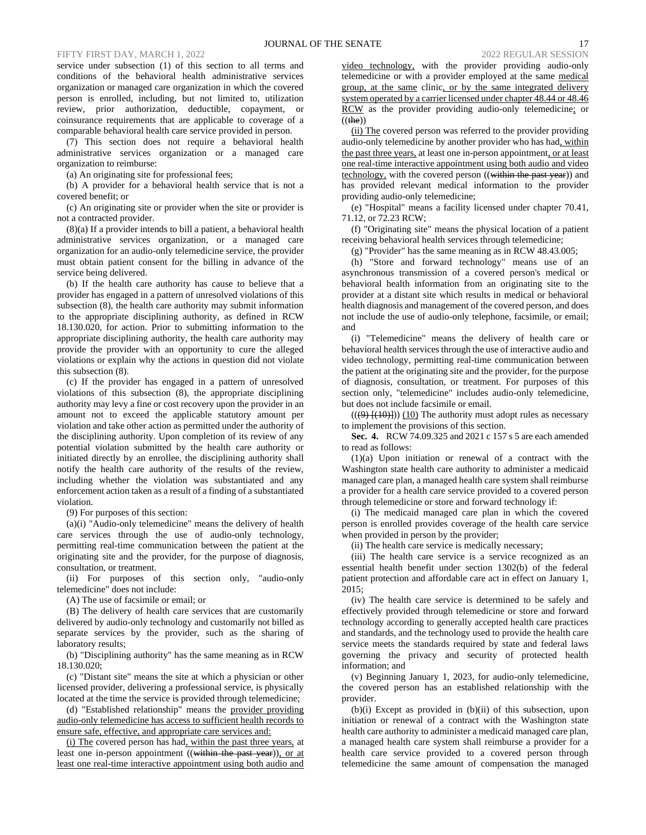service under subsection (1) of this section to all terms and conditions of the behavioral health administrative services organization or managed care organization in which the covered person is enrolled, including, but not limited to, utilization review, prior authorization, deductible, copayment, or coinsurance requirements that are applicable to coverage of a comparable behavioral health care service provided in person.

(7) This section does not require a behavioral health administrative services organization or a managed care organization to reimburse:

(a) An originating site for professional fees;

(b) A provider for a behavioral health service that is not a covered benefit; or

(c) An originating site or provider when the site or provider is not a contracted provider.

(8)(a) If a provider intends to bill a patient, a behavioral health administrative services organization, or a managed care organization for an audio-only telemedicine service, the provider must obtain patient consent for the billing in advance of the service being delivered.

(b) If the health care authority has cause to believe that a provider has engaged in a pattern of unresolved violations of this subsection (8), the health care authority may submit information to the appropriate disciplining authority, as defined in RCW 18.130.020, for action. Prior to submitting information to the appropriate disciplining authority, the health care authority may provide the provider with an opportunity to cure the alleged violations or explain why the actions in question did not violate this subsection (8).

(c) If the provider has engaged in a pattern of unresolved violations of this subsection (8), the appropriate disciplining authority may levy a fine or cost recovery upon the provider in an amount not to exceed the applicable statutory amount per violation and take other action as permitted under the authority of the disciplining authority. Upon completion of its review of any potential violation submitted by the health care authority or initiated directly by an enrollee, the disciplining authority shall notify the health care authority of the results of the review, including whether the violation was substantiated and any enforcement action taken as a result of a finding of a substantiated violation.

(9) For purposes of this section:

(a)(i) "Audio-only telemedicine" means the delivery of health care services through the use of audio-only technology, permitting real-time communication between the patient at the originating site and the provider, for the purpose of diagnosis, consultation, or treatment.

(ii) For purposes of this section only, "audio-only telemedicine" does not include:

(A) The use of facsimile or email; or

(B) The delivery of health care services that are customarily delivered by audio-only technology and customarily not billed as separate services by the provider, such as the sharing of laboratory results;

(b) "Disciplining authority" has the same meaning as in RCW 18.130.020;

(c) "Distant site" means the site at which a physician or other licensed provider, delivering a professional service, is physically located at the time the service is provided through telemedicine;

(d) "Established relationship" means the provider providing audio-only telemedicine has access to sufficient health records to ensure safe, effective, and appropriate care services and:

(i) The covered person has had, within the past three years, at least one in-person appointment ((within the past year)), or at least one real-time interactive appointment using both audio and video technology, with the provider providing audio-only telemedicine or with a provider employed at the same medical group, at the same clinic, or by the same integrated delivery system operated by a carrier licensed under chapter 48.44 or 48.46 RCW as the provider providing audio-only telemedicine; or  $((the))$ 

(ii) The covered person was referred to the provider providing audio-only telemedicine by another provider who has had, within the past three years, at least one in-person appointment, or at least one real-time interactive appointment using both audio and video technology, with the covered person ((within the past year)) and has provided relevant medical information to the provider providing audio-only telemedicine;

(e) "Hospital" means a facility licensed under chapter 70.41, 71.12, or 72.23 RCW;

(f) "Originating site" means the physical location of a patient receiving behavioral health services through telemedicine;

(g) "Provider" has the same meaning as in RCW 48.43.005;

(h) "Store and forward technology" means use of an asynchronous transmission of a covered person's medical or behavioral health information from an originating site to the provider at a distant site which results in medical or behavioral health diagnosis and management of the covered person, and does not include the use of audio-only telephone, facsimile, or email; and

(i) "Telemedicine" means the delivery of health care or behavioral health services through the use of interactive audio and video technology, permitting real-time communication between the patient at the originating site and the provider, for the purpose of diagnosis, consultation, or treatment. For purposes of this section only, "telemedicine" includes audio-only telemedicine, but does not include facsimile or email.

 $((9)$   $\{(40)$ })) (10) The authority must adopt rules as necessary to implement the provisions of this section.

**Sec. 4.** RCW 74.09.325 and 2021 c 157 s 5 are each amended to read as follows:

(1)(a) Upon initiation or renewal of a contract with the Washington state health care authority to administer a medicaid managed care plan, a managed health care system shall reimburse a provider for a health care service provided to a covered person through telemedicine or store and forward technology if:

(i) The medicaid managed care plan in which the covered person is enrolled provides coverage of the health care service when provided in person by the provider;

(ii) The health care service is medically necessary;

(iii) The health care service is a service recognized as an essential health benefit under section 1302(b) of the federal patient protection and affordable care act in effect on January 1,  $2015$ 

(iv) The health care service is determined to be safely and effectively provided through telemedicine or store and forward technology according to generally accepted health care practices and standards, and the technology used to provide the health care service meets the standards required by state and federal laws governing the privacy and security of protected health information; and

(v) Beginning January 1, 2023, for audio-only telemedicine, the covered person has an established relationship with the provider.

(b)(i) Except as provided in (b)(ii) of this subsection, upon initiation or renewal of a contract with the Washington state health care authority to administer a medicaid managed care plan, a managed health care system shall reimburse a provider for a health care service provided to a covered person through telemedicine the same amount of compensation the managed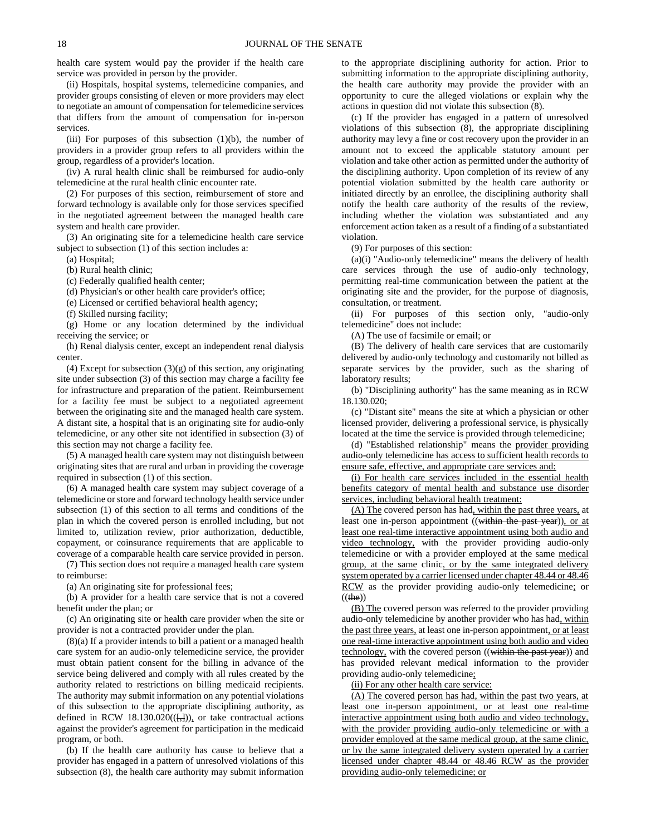health care system would pay the provider if the health care service was provided in person by the provider.

(ii) Hospitals, hospital systems, telemedicine companies, and provider groups consisting of eleven or more providers may elect to negotiate an amount of compensation for telemedicine services that differs from the amount of compensation for in-person services.

(iii) For purposes of this subsection  $(1)(b)$ , the number of providers in a provider group refers to all providers within the group, regardless of a provider's location.

(iv) A rural health clinic shall be reimbursed for audio-only telemedicine at the rural health clinic encounter rate.

(2) For purposes of this section, reimbursement of store and forward technology is available only for those services specified in the negotiated agreement between the managed health care system and health care provider.

(3) An originating site for a telemedicine health care service subject to subsection (1) of this section includes a:

(a) Hospital;

(b) Rural health clinic;

(c) Federally qualified health center;

(d) Physician's or other health care provider's office;

(e) Licensed or certified behavioral health agency;

(f) Skilled nursing facility;

(g) Home or any location determined by the individual receiving the service; or

(h) Renal dialysis center, except an independent renal dialysis center.

 $(4)$  Except for subsection  $(3)(g)$  of this section, any originating site under subsection (3) of this section may charge a facility fee for infrastructure and preparation of the patient. Reimbursement for a facility fee must be subject to a negotiated agreement between the originating site and the managed health care system. A distant site, a hospital that is an originating site for audio-only telemedicine, or any other site not identified in subsection (3) of this section may not charge a facility fee.

(5) A managed health care system may not distinguish between originating sites that are rural and urban in providing the coverage required in subsection (1) of this section.

(6) A managed health care system may subject coverage of a telemedicine or store and forward technology health service under subsection (1) of this section to all terms and conditions of the plan in which the covered person is enrolled including, but not limited to, utilization review, prior authorization, deductible, copayment, or coinsurance requirements that are applicable to coverage of a comparable health care service provided in person.

(7) This section does not require a managed health care system to reimburse:

(a) An originating site for professional fees;

(b) A provider for a health care service that is not a covered benefit under the plan; or

(c) An originating site or health care provider when the site or provider is not a contracted provider under the plan.

(8)(a) If a provider intends to bill a patient or a managed health care system for an audio-only telemedicine service, the provider must obtain patient consent for the billing in advance of the service being delivered and comply with all rules created by the authority related to restrictions on billing medicaid recipients. The authority may submit information on any potential violations of this subsection to the appropriate disciplining authority, as defined in RCW 18.130.020 $((\frac{1}{2})_2)$  or take contractual actions against the provider's agreement for participation in the medicaid program, or both.

(b) If the health care authority has cause to believe that a provider has engaged in a pattern of unresolved violations of this subsection (8), the health care authority may submit information to the appropriate disciplining authority for action. Prior to submitting information to the appropriate disciplining authority, the health care authority may provide the provider with an opportunity to cure the alleged violations or explain why the actions in question did not violate this subsection (8).

(c) If the provider has engaged in a pattern of unresolved violations of this subsection (8), the appropriate disciplining authority may levy a fine or cost recovery upon the provider in an amount not to exceed the applicable statutory amount per violation and take other action as permitted under the authority of the disciplining authority. Upon completion of its review of any potential violation submitted by the health care authority or initiated directly by an enrollee, the disciplining authority shall notify the health care authority of the results of the review, including whether the violation was substantiated and any enforcement action taken as a result of a finding of a substantiated violation.

(9) For purposes of this section:

(a)(i) "Audio-only telemedicine" means the delivery of health care services through the use of audio-only technology, permitting real-time communication between the patient at the originating site and the provider, for the purpose of diagnosis, consultation, or treatment.

(ii) For purposes of this section only, "audio-only telemedicine" does not include:

(A) The use of facsimile or email; or

(B) The delivery of health care services that are customarily delivered by audio-only technology and customarily not billed as separate services by the provider, such as the sharing of laboratory results;

(b) "Disciplining authority" has the same meaning as in RCW 18.130.020;

(c) "Distant site" means the site at which a physician or other licensed provider, delivering a professional service, is physically located at the time the service is provided through telemedicine;

(d) "Established relationship" means the provider providing audio-only telemedicine has access to sufficient health records to ensure safe, effective, and appropriate care services and:

(i) For health care services included in the essential health benefits category of mental health and substance use disorder services, including behavioral health treatment:

(A) The covered person has had, within the past three years, at least one in-person appointment ((within the past year)), or at least one real-time interactive appointment using both audio and video technology, with the provider providing audio-only telemedicine or with a provider employed at the same medical group, at the same clinic, or by the same integrated delivery system operated by a carrier licensed under chapter 48.44 or 48.46 RCW as the provider providing audio-only telemedicine; or  $((the))$ 

(B) The covered person was referred to the provider providing audio-only telemedicine by another provider who has had, within the past three years, at least one in-person appointment, or at least one real-time interactive appointment using both audio and video technology, with the covered person ((within the past year)) and has provided relevant medical information to the provider providing audio-only telemedicine;

(ii) For any other health care service:

(A) The covered person has had, within the past two years, at least one in-person appointment, or at least one real-time interactive appointment using both audio and video technology, with the provider providing audio-only telemedicine or with a provider employed at the same medical group, at the same clinic, or by the same integrated delivery system operated by a carrier licensed under chapter 48.44 or 48.46 RCW as the provider providing audio-only telemedicine; or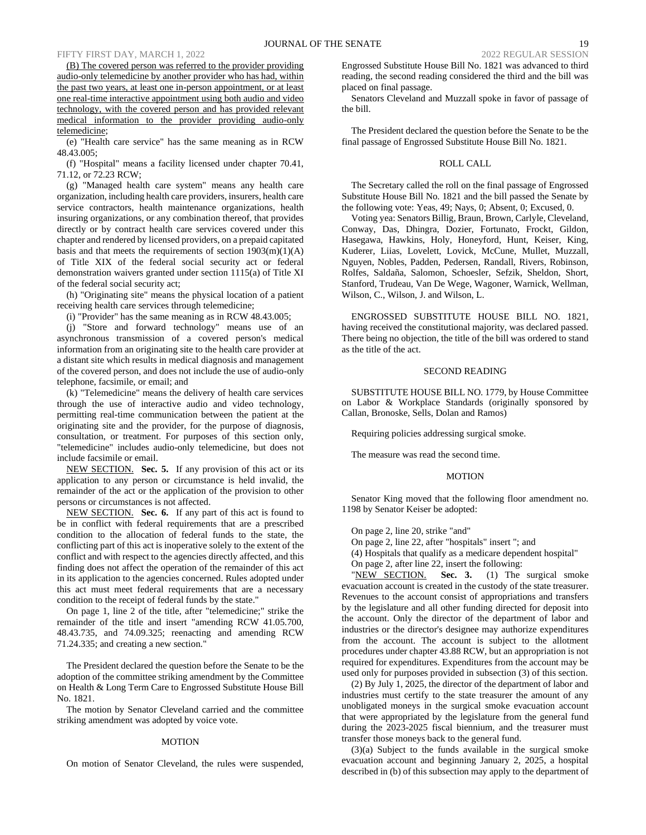(B) The covered person was referred to the provider providing audio-only telemedicine by another provider who has had, within the past two years, at least one in-person appointment, or at least one real-time interactive appointment using both audio and video technology, with the covered person and has provided relevant medical information to the provider providing audio-only telemedicine;

(e) "Health care service" has the same meaning as in RCW 48.43.005;

(f) "Hospital" means a facility licensed under chapter 70.41, 71.12, or 72.23 RCW;

(g) "Managed health care system" means any health care organization, including health care providers, insurers, health care service contractors, health maintenance organizations, health insuring organizations, or any combination thereof, that provides directly or by contract health care services covered under this chapter and rendered by licensed providers, on a prepaid capitated basis and that meets the requirements of section  $1903(m)(1)(A)$ of Title XIX of the federal social security act or federal demonstration waivers granted under section 1115(a) of Title XI of the federal social security act;

(h) "Originating site" means the physical location of a patient receiving health care services through telemedicine;

(i) "Provider" has the same meaning as in RCW 48.43.005;

(j) "Store and forward technology" means use of an asynchronous transmission of a covered person's medical information from an originating site to the health care provider at a distant site which results in medical diagnosis and management of the covered person, and does not include the use of audio-only telephone, facsimile, or email; and

(k) "Telemedicine" means the delivery of health care services through the use of interactive audio and video technology, permitting real-time communication between the patient at the originating site and the provider, for the purpose of diagnosis, consultation, or treatment. For purposes of this section only, "telemedicine" includes audio-only telemedicine, but does not include facsimile or email.

NEW SECTION. **Sec. 5.** If any provision of this act or its application to any person or circumstance is held invalid, the remainder of the act or the application of the provision to other persons or circumstances is not affected.

NEW SECTION. **Sec. 6.** If any part of this act is found to be in conflict with federal requirements that are a prescribed condition to the allocation of federal funds to the state, the conflicting part of this act is inoperative solely to the extent of the conflict and with respect to the agencies directly affected, and this finding does not affect the operation of the remainder of this act in its application to the agencies concerned. Rules adopted under this act must meet federal requirements that are a necessary condition to the receipt of federal funds by the state."

On page 1, line 2 of the title, after "telemedicine;" strike the remainder of the title and insert "amending RCW 41.05.700, 48.43.735, and 74.09.325; reenacting and amending RCW 71.24.335; and creating a new section."

The President declared the question before the Senate to be the adoption of the committee striking amendment by the Committee on Health & Long Term Care to Engrossed Substitute House Bill No. 1821.

The motion by Senator Cleveland carried and the committee striking amendment was adopted by voice vote.

#### MOTION

On motion of Senator Cleveland, the rules were suspended,

Engrossed Substitute House Bill No. 1821 was advanced to third reading, the second reading considered the third and the bill was placed on final passage.

Senators Cleveland and Muzzall spoke in favor of passage of the bill.

The President declared the question before the Senate to be the final passage of Engrossed Substitute House Bill No. 1821.

# ROLL CALL

The Secretary called the roll on the final passage of Engrossed Substitute House Bill No. 1821 and the bill passed the Senate by the following vote: Yeas, 49; Nays, 0; Absent, 0; Excused, 0.

Voting yea: Senators Billig, Braun, Brown, Carlyle, Cleveland, Conway, Das, Dhingra, Dozier, Fortunato, Frockt, Gildon, Hasegawa, Hawkins, Holy, Honeyford, Hunt, Keiser, King, Kuderer, Liias, Lovelett, Lovick, McCune, Mullet, Muzzall, Nguyen, Nobles, Padden, Pedersen, Randall, Rivers, Robinson, Rolfes, Saldaña, Salomon, Schoesler, Sefzik, Sheldon, Short, Stanford, Trudeau, Van De Wege, Wagoner, Warnick, Wellman, Wilson, C., Wilson, J. and Wilson, L.

ENGROSSED SUBSTITUTE HOUSE BILL NO. 1821, having received the constitutional majority, was declared passed. There being no objection, the title of the bill was ordered to stand as the title of the act.

#### SECOND READING

SUBSTITUTE HOUSE BILL NO. 1779, by House Committee on Labor & Workplace Standards (originally sponsored by Callan, Bronoske, Sells, Dolan and Ramos)

Requiring policies addressing surgical smoke.

The measure was read the second time.

### MOTION

Senator King moved that the following floor amendment no. 1198 by Senator Keiser be adopted:

On page 2, line 20, strike "and"

On page 2, line 22, after "hospitals" insert "; and

(4) Hospitals that qualify as a medicare dependent hospital"

On page 2, after line 22, insert the following:

"NEW SECTION. **Sec. 3.** (1) The surgical smoke evacuation account is created in the custody of the state treasurer. Revenues to the account consist of appropriations and transfers by the legislature and all other funding directed for deposit into the account. Only the director of the department of labor and industries or the director's designee may authorize expenditures from the account. The account is subject to the allotment procedures under chapter 43.88 RCW, but an appropriation is not required for expenditures. Expenditures from the account may be used only for purposes provided in subsection (3) of this section.

(2) By July 1, 2025, the director of the department of labor and industries must certify to the state treasurer the amount of any unobligated moneys in the surgical smoke evacuation account that were appropriated by the legislature from the general fund during the 2023-2025 fiscal biennium, and the treasurer must transfer those moneys back to the general fund.

(3)(a) Subject to the funds available in the surgical smoke evacuation account and beginning January 2, 2025, a hospital described in (b) of this subsection may apply to the department of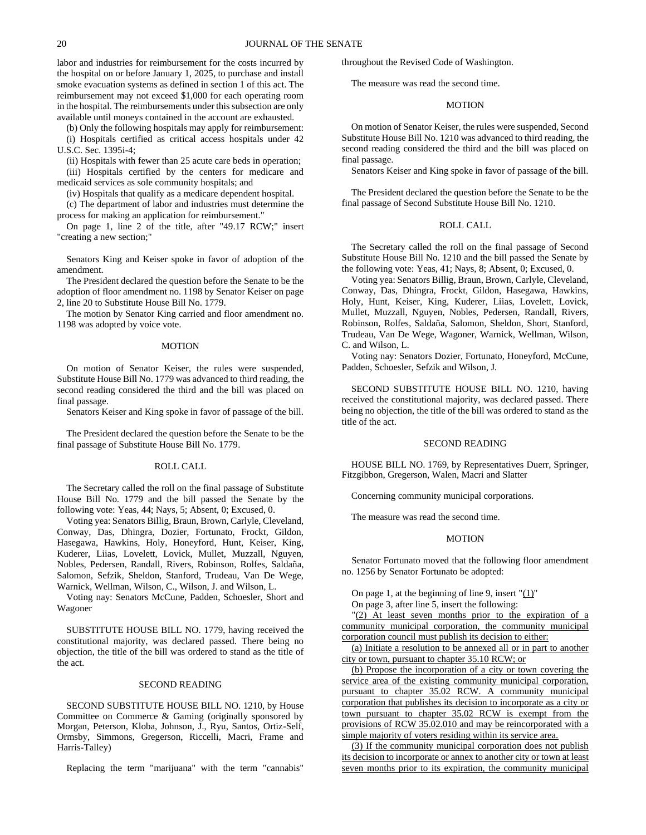labor and industries for reimbursement for the costs incurred by the hospital on or before January 1, 2025, to purchase and install smoke evacuation systems as defined in section 1 of this act. The reimbursement may not exceed \$1,000 for each operating room in the hospital. The reimbursements under this subsection are only available until moneys contained in the account are exhausted.

(b) Only the following hospitals may apply for reimbursement:

(i) Hospitals certified as critical access hospitals under 42 U.S.C. Sec. 1395i-4;

(ii) Hospitals with fewer than 25 acute care beds in operation;

(iii) Hospitals certified by the centers for medicare and medicaid services as sole community hospitals; and

(iv) Hospitals that qualify as a medicare dependent hospital.

(c) The department of labor and industries must determine the process for making an application for reimbursement."

On page 1, line 2 of the title, after "49.17 RCW;" insert "creating a new section;"

Senators King and Keiser spoke in favor of adoption of the amendment.

The President declared the question before the Senate to be the adoption of floor amendment no. 1198 by Senator Keiser on page 2, line 20 to Substitute House Bill No. 1779.

The motion by Senator King carried and floor amendment no. 1198 was adopted by voice vote.

#### **MOTION**

On motion of Senator Keiser, the rules were suspended, Substitute House Bill No. 1779 was advanced to third reading, the second reading considered the third and the bill was placed on final passage.

Senators Keiser and King spoke in favor of passage of the bill.

The President declared the question before the Senate to be the final passage of Substitute House Bill No. 1779.

#### ROLL CALL

The Secretary called the roll on the final passage of Substitute House Bill No. 1779 and the bill passed the Senate by the following vote: Yeas, 44; Nays, 5; Absent, 0; Excused, 0.

Voting yea: Senators Billig, Braun, Brown, Carlyle, Cleveland, Conway, Das, Dhingra, Dozier, Fortunato, Frockt, Gildon, Hasegawa, Hawkins, Holy, Honeyford, Hunt, Keiser, King, Kuderer, Liias, Lovelett, Lovick, Mullet, Muzzall, Nguyen, Nobles, Pedersen, Randall, Rivers, Robinson, Rolfes, Saldaña, Salomon, Sefzik, Sheldon, Stanford, Trudeau, Van De Wege, Warnick, Wellman, Wilson, C., Wilson, J. and Wilson, L.

Voting nay: Senators McCune, Padden, Schoesler, Short and Wagoner

SUBSTITUTE HOUSE BILL NO. 1779, having received the constitutional majority, was declared passed. There being no objection, the title of the bill was ordered to stand as the title of the act.

# SECOND READING

SECOND SUBSTITUTE HOUSE BILL NO. 1210, by House Committee on Commerce & Gaming (originally sponsored by Morgan, Peterson, Kloba, Johnson, J., Ryu, Santos, Ortiz-Self, Ormsby, Simmons, Gregerson, Riccelli, Macri, Frame and Harris-Talley)

Replacing the term "marijuana" with the term "cannabis"

throughout the Revised Code of Washington.

The measure was read the second time.

# **MOTION**

On motion of Senator Keiser, the rules were suspended, Second Substitute House Bill No. 1210 was advanced to third reading, the second reading considered the third and the bill was placed on final passage.

Senators Keiser and King spoke in favor of passage of the bill.

The President declared the question before the Senate to be the final passage of Second Substitute House Bill No. 1210.

### ROLL CALL

The Secretary called the roll on the final passage of Second Substitute House Bill No. 1210 and the bill passed the Senate by the following vote: Yeas, 41; Nays, 8; Absent, 0; Excused, 0.

Voting yea: Senators Billig, Braun, Brown, Carlyle, Cleveland, Conway, Das, Dhingra, Frockt, Gildon, Hasegawa, Hawkins, Holy, Hunt, Keiser, King, Kuderer, Liias, Lovelett, Lovick, Mullet, Muzzall, Nguyen, Nobles, Pedersen, Randall, Rivers, Robinson, Rolfes, Saldaña, Salomon, Sheldon, Short, Stanford, Trudeau, Van De Wege, Wagoner, Warnick, Wellman, Wilson, C. and Wilson, L.

Voting nay: Senators Dozier, Fortunato, Honeyford, McCune, Padden, Schoesler, Sefzik and Wilson, J.

SECOND SUBSTITUTE HOUSE BILL NO. 1210, having received the constitutional majority, was declared passed. There being no objection, the title of the bill was ordered to stand as the title of the act.

### SECOND READING

HOUSE BILL NO. 1769, by Representatives Duerr, Springer, Fitzgibbon, Gregerson, Walen, Macri and Slatter

Concerning community municipal corporations.

The measure was read the second time.

### MOTION

Senator Fortunato moved that the following floor amendment no. 1256 by Senator Fortunato be adopted:

On page 1, at the beginning of line 9, insert  $(1)$ "

On page 3, after line 5, insert the following:

"(2) At least seven months prior to the expiration of a community municipal corporation, the community municipal corporation council must publish its decision to either:

(a) Initiate a resolution to be annexed all or in part to another city or town, pursuant to chapter 35.10 RCW; or

(b) Propose the incorporation of a city or town covering the service area of the existing community municipal corporation, pursuant to chapter 35.02 RCW. A community municipal corporation that publishes its decision to incorporate as a city or town pursuant to chapter 35.02 RCW is exempt from the provisions of RCW 35.02.010 and may be reincorporated with a simple majority of voters residing within its service area.

(3) If the community municipal corporation does not publish its decision to incorporate or annex to another city or town at least seven months prior to its expiration, the community municipal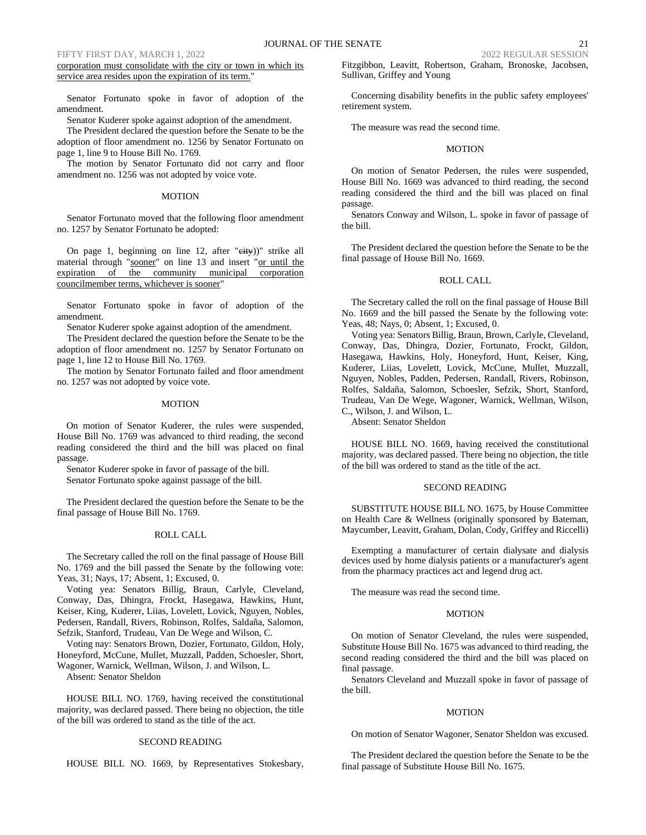corporation must consolidate with the city or town in which its service area resides upon the expiration of its term."

Senator Fortunato spoke in favor of adoption of the amendment.

Senator Kuderer spoke against adoption of the amendment.

The President declared the question before the Senate to be the adoption of floor amendment no. 1256 by Senator Fortunato on page 1, line 9 to House Bill No. 1769.

The motion by Senator Fortunato did not carry and floor amendment no. 1256 was not adopted by voice vote.

# MOTION

Senator Fortunato moved that the following floor amendment no. 1257 by Senator Fortunato be adopted:

On page 1, beginning on line 12, after " $e$ ity))" strike all material through "sooner" on line 13 and insert "or until the expiration of the community municipal corporation councilmember terms, whichever is sooner"

Senator Fortunato spoke in favor of adoption of the amendment.

Senator Kuderer spoke against adoption of the amendment.

The President declared the question before the Senate to be the adoption of floor amendment no. 1257 by Senator Fortunato on page 1, line 12 to House Bill No. 1769.

The motion by Senator Fortunato failed and floor amendment no. 1257 was not adopted by voice vote.

### MOTION

On motion of Senator Kuderer, the rules were suspended, House Bill No. 1769 was advanced to third reading, the second reading considered the third and the bill was placed on final passage.

Senator Kuderer spoke in favor of passage of the bill.

Senator Fortunato spoke against passage of the bill.

The President declared the question before the Senate to be the final passage of House Bill No. 1769.

# ROLL CALL

The Secretary called the roll on the final passage of House Bill No. 1769 and the bill passed the Senate by the following vote: Yeas, 31; Nays, 17; Absent, 1; Excused, 0.

Voting yea: Senators Billig, Braun, Carlyle, Cleveland, Conway, Das, Dhingra, Frockt, Hasegawa, Hawkins, Hunt, Keiser, King, Kuderer, Liias, Lovelett, Lovick, Nguyen, Nobles, Pedersen, Randall, Rivers, Robinson, Rolfes, Saldaña, Salomon, Sefzik, Stanford, Trudeau, Van De Wege and Wilson, C.

Voting nay: Senators Brown, Dozier, Fortunato, Gildon, Holy, Honeyford, McCune, Mullet, Muzzall, Padden, Schoesler, Short, Wagoner, Warnick, Wellman, Wilson, J. and Wilson, L.

Absent: Senator Sheldon

HOUSE BILL NO. 1769, having received the constitutional majority, was declared passed. There being no objection, the title of the bill was ordered to stand as the title of the act.

# SECOND READING

HOUSE BILL NO. 1669, by Representatives Stokesbary,

Fitzgibbon, Leavitt, Robertson, Graham, Bronoske, Jacobsen, Sullivan, Griffey and Young

Concerning disability benefits in the public safety employees' retirement system.

The measure was read the second time.

### **MOTION**

On motion of Senator Pedersen, the rules were suspended, House Bill No. 1669 was advanced to third reading, the second reading considered the third and the bill was placed on final passage.

Senators Conway and Wilson, L. spoke in favor of passage of the bill.

The President declared the question before the Senate to be the final passage of House Bill No. 1669.

### ROLL CALL

The Secretary called the roll on the final passage of House Bill No. 1669 and the bill passed the Senate by the following vote: Yeas, 48; Nays, 0; Absent, 1; Excused, 0.

Voting yea: Senators Billig, Braun, Brown, Carlyle, Cleveland, Conway, Das, Dhingra, Dozier, Fortunato, Frockt, Gildon, Hasegawa, Hawkins, Holy, Honeyford, Hunt, Keiser, King, Kuderer, Liias, Lovelett, Lovick, McCune, Mullet, Muzzall, Nguyen, Nobles, Padden, Pedersen, Randall, Rivers, Robinson, Rolfes, Saldaña, Salomon, Schoesler, Sefzik, Short, Stanford, Trudeau, Van De Wege, Wagoner, Warnick, Wellman, Wilson, C., Wilson, J. and Wilson, L.

Absent: Senator Sheldon

HOUSE BILL NO. 1669, having received the constitutional majority, was declared passed. There being no objection, the title of the bill was ordered to stand as the title of the act.

# SECOND READING

SUBSTITUTE HOUSE BILL NO. 1675, by House Committee on Health Care & Wellness (originally sponsored by Bateman, Maycumber, Leavitt, Graham, Dolan, Cody, Griffey and Riccelli)

Exempting a manufacturer of certain dialysate and dialysis devices used by home dialysis patients or a manufacturer's agent from the pharmacy practices act and legend drug act.

The measure was read the second time.

# **MOTION**

On motion of Senator Cleveland, the rules were suspended, Substitute House Bill No. 1675 was advanced to third reading, the second reading considered the third and the bill was placed on final passage.

Senators Cleveland and Muzzall spoke in favor of passage of the bill.

# MOTION

On motion of Senator Wagoner, Senator Sheldon was excused.

The President declared the question before the Senate to be the final passage of Substitute House Bill No. 1675.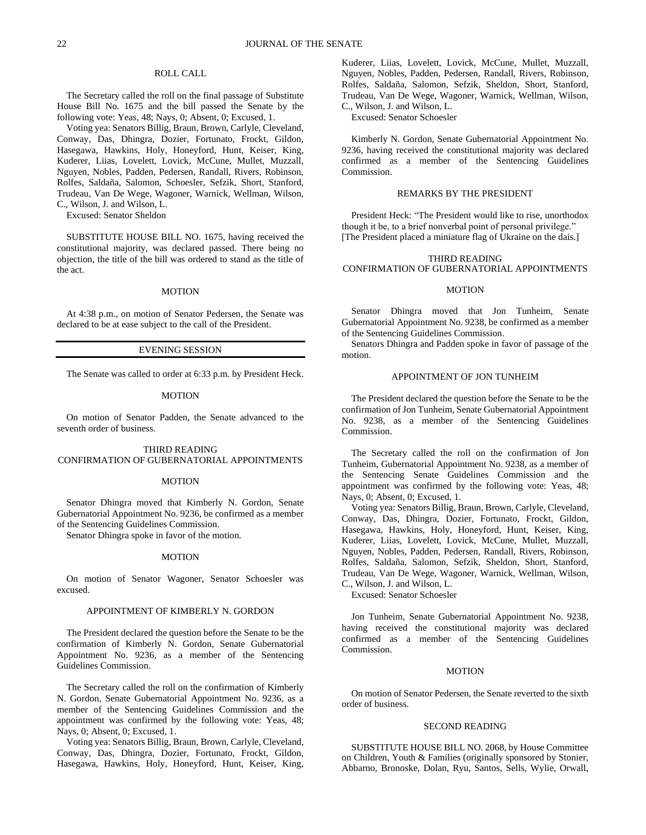# ROLL CALL

The Secretary called the roll on the final passage of Substitute House Bill No. 1675 and the bill passed the Senate by the following vote: Yeas, 48; Nays, 0; Absent, 0; Excused, 1.

Voting yea: Senators Billig, Braun, Brown, Carlyle, Cleveland, Conway, Das, Dhingra, Dozier, Fortunato, Frockt, Gildon, Hasegawa, Hawkins, Holy, Honeyford, Hunt, Keiser, King, Kuderer, Liias, Lovelett, Lovick, McCune, Mullet, Muzzall, Nguyen, Nobles, Padden, Pedersen, Randall, Rivers, Robinson, Rolfes, Saldaña, Salomon, Schoesler, Sefzik, Short, Stanford, Trudeau, Van De Wege, Wagoner, Warnick, Wellman, Wilson, C., Wilson, J. and Wilson, L.

Excused: Senator Sheldon

SUBSTITUTE HOUSE BILL NO. 1675, having received the constitutional majority, was declared passed. There being no objection, the title of the bill was ordered to stand as the title of the act.

#### MOTION

At 4:38 p.m., on motion of Senator Pedersen, the Senate was declared to be at ease subject to the call of the President.

### EVENING SESSION

The Senate was called to order at 6:33 p.m. by President Heck.

### MOTION

On motion of Senator Padden, the Senate advanced to the seventh order of business.

THIRD READING CONFIRMATION OF GUBERNATORIAL APPOINTMENTS

### MOTION

Senator Dhingra moved that Kimberly N. Gordon, Senate Gubernatorial Appointment No. 9236, be confirmed as a member of the Sentencing Guidelines Commission.

Senator Dhingra spoke in favor of the motion.

# MOTION

On motion of Senator Wagoner, Senator Schoesler was excused.

### APPOINTMENT OF KIMBERLY N. GORDON

The President declared the question before the Senate to be the confirmation of Kimberly N. Gordon, Senate Gubernatorial Appointment No. 9236, as a member of the Sentencing Guidelines Commission.

The Secretary called the roll on the confirmation of Kimberly N. Gordon, Senate Gubernatorial Appointment No. 9236, as a member of the Sentencing Guidelines Commission and the appointment was confirmed by the following vote: Yeas, 48; Nays, 0; Absent, 0; Excused, 1.

Voting yea: Senators Billig, Braun, Brown, Carlyle, Cleveland, Conway, Das, Dhingra, Dozier, Fortunato, Frockt, Gildon, Hasegawa, Hawkins, Holy, Honeyford, Hunt, Keiser, King,

Kuderer, Liias, Lovelett, Lovick, McCune, Mullet, Muzzall, Nguyen, Nobles, Padden, Pedersen, Randall, Rivers, Robinson, Rolfes, Saldaña, Salomon, Sefzik, Sheldon, Short, Stanford, Trudeau, Van De Wege, Wagoner, Warnick, Wellman, Wilson, C., Wilson, J. and Wilson, L.

Excused: Senator Schoesler

Kimberly N. Gordon, Senate Gubernatorial Appointment No. 9236, having received the constitutional majority was declared confirmed as a member of the Sentencing Guidelines Commission.

### REMARKS BY THE PRESIDENT

President Heck: "The President would like to rise, unorthodox though it be, to a brief nonverbal point of personal privilege." [The President placed a miniature flag of Ukraine on the dais.]

# THIRD READING CONFIRMATION OF GUBERNATORIAL APPOINTMENTS

# MOTION

Senator Dhingra moved that Jon Tunheim, Senate Gubernatorial Appointment No. 9238, be confirmed as a member of the Sentencing Guidelines Commission.

Senators Dhingra and Padden spoke in favor of passage of the motion.

# APPOINTMENT OF JON TUNHEIM

The President declared the question before the Senate to be the confirmation of Jon Tunheim, Senate Gubernatorial Appointment No. 9238, as a member of the Sentencing Guidelines Commission.

The Secretary called the roll on the confirmation of Jon Tunheim, Gubernatorial Appointment No. 9238, as a member of the Sentencing Senate Guidelines Commission and the appointment was confirmed by the following vote: Yeas, 48; Nays, 0; Absent, 0; Excused, 1.

Voting yea: Senators Billig, Braun, Brown, Carlyle, Cleveland, Conway, Das, Dhingra, Dozier, Fortunato, Frockt, Gildon, Hasegawa, Hawkins, Holy, Honeyford, Hunt, Keiser, King, Kuderer, Liias, Lovelett, Lovick, McCune, Mullet, Muzzall, Nguyen, Nobles, Padden, Pedersen, Randall, Rivers, Robinson, Rolfes, Saldaña, Salomon, Sefzik, Sheldon, Short, Stanford, Trudeau, Van De Wege, Wagoner, Warnick, Wellman, Wilson, C., Wilson, J. and Wilson, L.

Excused: Senator Schoesler

Jon Tunheim, Senate Gubernatorial Appointment No. 9238, having received the constitutional majority was declared confirmed as a member of the Sentencing Guidelines Commission.

#### MOTION

On motion of Senator Pedersen, the Senate reverted to the sixth order of business.

#### SECOND READING

SUBSTITUTE HOUSE BILL NO. 2068, by House Committee on Children, Youth & Families (originally sponsored by Stonier, Abbarno, Bronoske, Dolan, Ryu, Santos, Sells, Wylie, Orwall,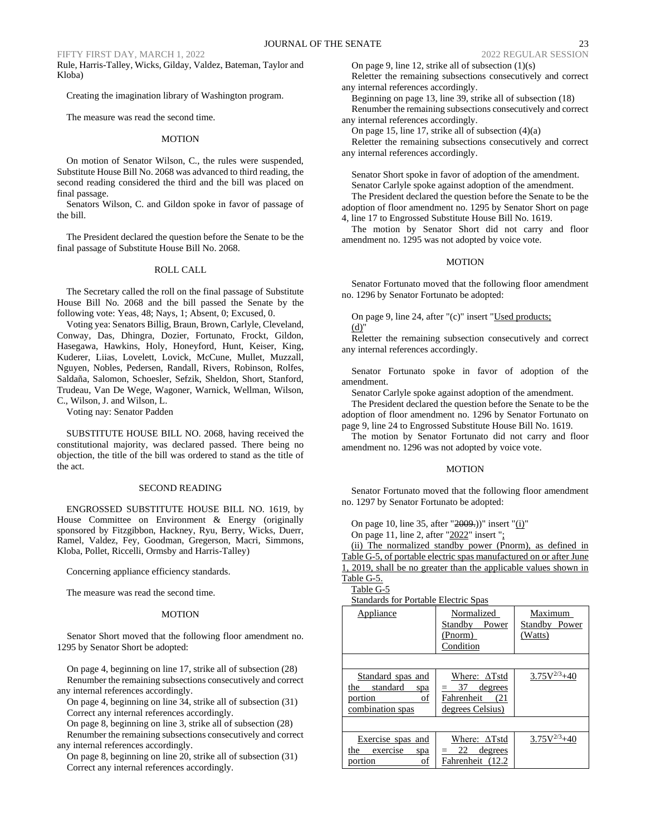Rule, Harris-Talley, Wicks, Gilday, Valdez, Bateman, Taylor and Kloba)

Creating the imagination library of Washington program.

The measure was read the second time.

### MOTION

On motion of Senator Wilson, C., the rules were suspended, Substitute House Bill No. 2068 was advanced to third reading, the second reading considered the third and the bill was placed on final passage.

Senators Wilson, C. and Gildon spoke in favor of passage of the bill.

The President declared the question before the Senate to be the final passage of Substitute House Bill No. 2068.

### ROLL CALL

The Secretary called the roll on the final passage of Substitute House Bill No. 2068 and the bill passed the Senate by the following vote: Yeas, 48; Nays, 1; Absent, 0; Excused, 0.

Voting yea: Senators Billig, Braun, Brown, Carlyle, Cleveland, Conway, Das, Dhingra, Dozier, Fortunato, Frockt, Gildon, Hasegawa, Hawkins, Holy, Honeyford, Hunt, Keiser, King, Kuderer, Liias, Lovelett, Lovick, McCune, Mullet, Muzzall, Nguyen, Nobles, Pedersen, Randall, Rivers, Robinson, Rolfes, Saldaña, Salomon, Schoesler, Sefzik, Sheldon, Short, Stanford, Trudeau, Van De Wege, Wagoner, Warnick, Wellman, Wilson, C., Wilson, J. and Wilson, L.

Voting nay: Senator Padden

SUBSTITUTE HOUSE BILL NO. 2068, having received the constitutional majority, was declared passed. There being no objection, the title of the bill was ordered to stand as the title of the act.

# SECOND READING

ENGROSSED SUBSTITUTE HOUSE BILL NO. 1619, by House Committee on Environment & Energy (originally sponsored by Fitzgibbon, Hackney, Ryu, Berry, Wicks, Duerr, Ramel, Valdez, Fey, Goodman, Gregerson, Macri, Simmons, Kloba, Pollet, Riccelli, Ormsby and Harris-Talley)

Concerning appliance efficiency standards.

The measure was read the second time.

#### MOTION

Senator Short moved that the following floor amendment no. 1295 by Senator Short be adopted:

On page 4, beginning on line 17, strike all of subsection (28) Renumber the remaining subsections consecutively and correct any internal references accordingly.

On page 4, beginning on line 34, strike all of subsection (31) Correct any internal references accordingly.

On page 8, beginning on line 3, strike all of subsection (28)

Renumber the remaining subsections consecutively and correct any internal references accordingly.

On page 8, beginning on line 20, strike all of subsection (31) Correct any internal references accordingly.

On page 9, line 12, strike all of subsection (1)(s) Reletter the remaining subsections consecutively and correct any internal references accordingly.

Beginning on page 13, line 39, strike all of subsection (18) Renumber the remaining subsections consecutively and correct any internal references accordingly.

On page 15, line 17, strike all of subsection (4)(a)

Reletter the remaining subsections consecutively and correct any internal references accordingly.

Senator Short spoke in favor of adoption of the amendment. Senator Carlyle spoke against adoption of the amendment.

The President declared the question before the Senate to be the adoption of floor amendment no. 1295 by Senator Short on page 4, line 17 to Engrossed Substitute House Bill No. 1619.

The motion by Senator Short did not carry and floor amendment no. 1295 was not adopted by voice vote.

### MOTION

Senator Fortunato moved that the following floor amendment no. 1296 by Senator Fortunato be adopted:

On page 9, line 24, after "(c)" insert "Used products; (d)"

Reletter the remaining subsection consecutively and correct any internal references accordingly.

Senator Fortunato spoke in favor of adoption of the amendment.

Senator Carlyle spoke against adoption of the amendment.

The President declared the question before the Senate to be the adoption of floor amendment no. 1296 by Senator Fortunato on page 9, line 24 to Engrossed Substitute House Bill No. 1619.

The motion by Senator Fortunato did not carry and floor amendment no. 1296 was not adopted by voice vote.

### MOTION

Senator Fortunato moved that the following floor amendment no. 1297 by Senator Fortunato be adopted:

On page 10, line 35, after "2009.))" insert "(i)" On page 11, line 2, after "2022" insert ";

(ii) The normalized standby power (Pnorm), as defined in Table G-5, of portable electric spas manufactured on or after June 1, 2019, shall be no greater than the applicable values shown in Table G-5.

Table G-5

Standards for Portable Electric Spas

| Standarus for 1 ortable Electric Spas |                      |                  |
|---------------------------------------|----------------------|------------------|
| Appliance                             | Normalized           | Maximum          |
|                                       | Standby<br>Power     | Standby Power    |
|                                       | (Pnorm)              | (Watts)          |
|                                       | Condition            |                  |
|                                       |                      |                  |
| Standard spas and                     | Where: $\Delta$ Tstd | $3.75V^{2/3}+40$ |
| standard<br>the<br>spa                | 37<br>degrees        |                  |
| of<br>portion                         | Fahrenheit<br>(21)   |                  |
| combination spas                      | degrees Celsius)     |                  |
|                                       |                      |                  |
| Exercise spas and                     | Where: $\Delta$ Tstd | $3.75V^{2/3}+40$ |
| the<br>exercise<br>spa                | 22<br>degrees        |                  |
| portion<br>of                         | Fahrenheit (12.2     |                  |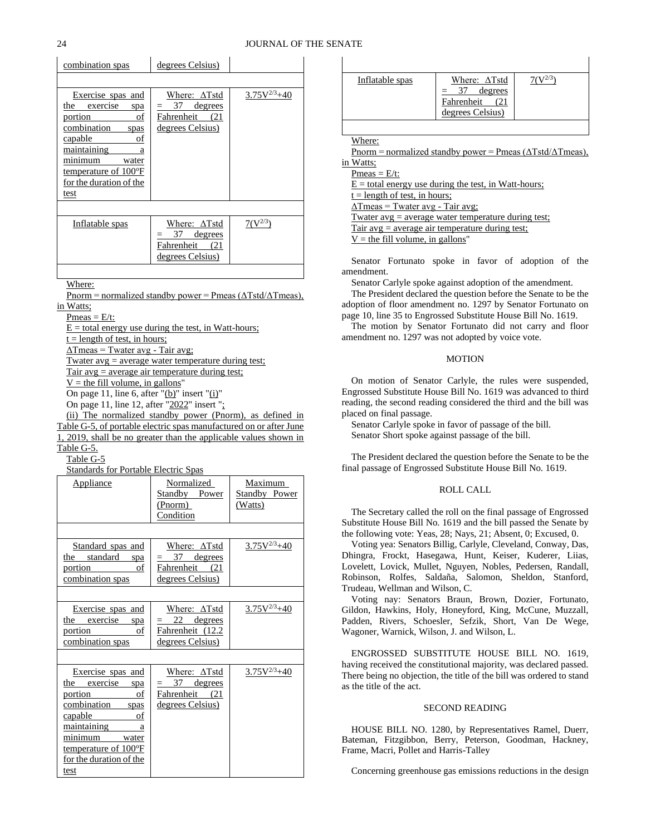| combination spas                                                                                                                                                                                        | degrees Celsius)                                                               |                  |
|---------------------------------------------------------------------------------------------------------------------------------------------------------------------------------------------------------|--------------------------------------------------------------------------------|------------------|
|                                                                                                                                                                                                         |                                                                                |                  |
| Exercise spas and<br>the<br>exercise<br>spa<br>portion<br>οf<br>combination<br>spas<br>capable<br>ot<br>maintaining<br>a<br>minimum<br>water<br>temperature of 100°F<br>for the duration of the<br>test | Where: $\Delta$ Tstd<br>37<br>degrees<br>Fahrenheit<br>(21<br>degrees Celsius) | $3.75V^{2/3}+40$ |
|                                                                                                                                                                                                         |                                                                                |                  |
| Inflatable spas                                                                                                                                                                                         | Where: ∆Tstd<br>degrees<br>37<br>Fahrenheit<br>(21<br>degrees Celsius)         | $7(V^{2/3})$     |

Where:

Pnorm = normalized standby power = Pmeas  $(\Delta Tstd/\Delta Tmeas)$ , in Watts;

 $Pmeas = E/t$ :

 $E =$  total energy use during the test, in Watt-hours;

 $t =$  length of test, in hours;

 $\Delta$ Tmeas = Twater avg - Tair avg;

Twater avg = average water temperature during test;

Tair  $avg = average$  air temperature during test;

 $V =$  the fill volume, in gallons"

On page 11, line 6, after " $(b)$ " insert " $(i)$ "

On page 11, line 12, after "2022" insert ";

(ii) The normalized standby power (Pnorm), as defined in Table G-5, of portable electric spas manufactured on or after June 1, 2019, shall be no greater than the applicable values shown in Table G-5.

Table G-5

Standards for Portable Electric Spas

| Appliance                                                                                                                                                                                                         | Normalized<br>Standby Power<br>(Pnorm)<br>Condition                          | Maximum<br><b>Standby Power</b><br>(Watts) |
|-------------------------------------------------------------------------------------------------------------------------------------------------------------------------------------------------------------------|------------------------------------------------------------------------------|--------------------------------------------|
|                                                                                                                                                                                                                   |                                                                              |                                            |
| Standard spas and<br>the standard spa<br>of<br>portion<br>combination spas                                                                                                                                        | Where: $\Delta$ Tstd<br>37 degrees<br>Fahrenheit (21<br>degrees Celsius)     | $3.75V^{2/3}+40$                           |
|                                                                                                                                                                                                                   |                                                                              |                                            |
| Exercise spas and<br>the exercise spa<br>portion<br>of<br>combination spas                                                                                                                                        | Where: $\Delta$ Tstd<br>22 degrees<br>Fahrenheit (12.2<br>degrees Celsius)   | $3.75V^{2/3}+40$                           |
| Exercise spas and<br>the exercise spa<br><u>portion</u><br><sub>of</sub><br>combination spas<br>capable<br>- of<br>maintaining<br>a a<br>minimum water<br>temperature of 100°F<br>for the duration of the<br>test | Where: $\Delta$ Tstd<br>$=$ 37 degrees<br>Fahrenheit (21<br>degrees Celsius) | $3.75V^{2/3}+40$                           |

| Inflatable spas | Where: $\Delta$ Tstd            |  |
|-----------------|---------------------------------|--|
|                 | degrees<br>$=$ 37<br>Fahrenheit |  |
|                 | degrees Celsius)                |  |

Where:

Pnorm = normalized standby power = Pmeas  $(\Delta Tstd/\Delta Tmeas)$ ,

in Watts;  $P<sub>meas</sub> = E/t$ :

 $E =$  total energy use during the test, in Watt-hours;

 $t =$  length of test, in hours;

 $\Delta$ Tmeas = Twater avg - Tair avg;

Twater  $avg = average$  water temperature during test;

Tair avg  $=$  average air temperature during test;

 $V =$  the fill volume, in gallons'

Senator Fortunato spoke in favor of adoption of the amendment.

Senator Carlyle spoke against adoption of the amendment.

The President declared the question before the Senate to be the adoption of floor amendment no. 1297 by Senator Fortunato on page 10, line 35 to Engrossed Substitute House Bill No. 1619.

The motion by Senator Fortunato did not carry and floor amendment no. 1297 was not adopted by voice vote.

### MOTION

On motion of Senator Carlyle, the rules were suspended, Engrossed Substitute House Bill No. 1619 was advanced to third reading, the second reading considered the third and the bill was placed on final passage.

Senator Carlyle spoke in favor of passage of the bill. Senator Short spoke against passage of the bill.

The President declared the question before the Senate to be the final passage of Engrossed Substitute House Bill No. 1619.

# ROLL CALL

The Secretary called the roll on the final passage of Engrossed Substitute House Bill No. 1619 and the bill passed the Senate by the following vote: Yeas, 28; Nays, 21; Absent, 0; Excused, 0.

Voting yea: Senators Billig, Carlyle, Cleveland, Conway, Das, Dhingra, Frockt, Hasegawa, Hunt, Keiser, Kuderer, Liias, Lovelett, Lovick, Mullet, Nguyen, Nobles, Pedersen, Randall, Robinson, Rolfes, Saldaña, Salomon, Sheldon, Stanford, Trudeau, Wellman and Wilson, C.

Voting nay: Senators Braun, Brown, Dozier, Fortunato, Gildon, Hawkins, Holy, Honeyford, King, McCune, Muzzall, Padden, Rivers, Schoesler, Sefzik, Short, Van De Wege, Wagoner, Warnick, Wilson, J. and Wilson, L.

ENGROSSED SUBSTITUTE HOUSE BILL NO. 1619, having received the constitutional majority, was declared passed. There being no objection, the title of the bill was ordered to stand as the title of the act.

# SECOND READING

HOUSE BILL NO. 1280, by Representatives Ramel, Duerr, Bateman, Fitzgibbon, Berry, Peterson, Goodman, Hackney, Frame, Macri, Pollet and Harris-Talley

Concerning greenhouse gas emissions reductions in the design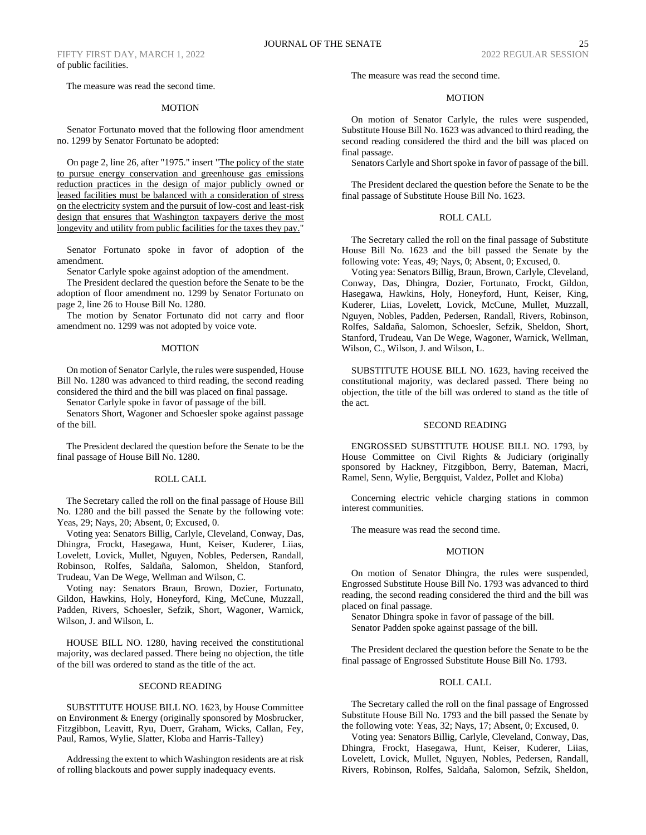The measure was read the second time.

#### MOTION

Senator Fortunato moved that the following floor amendment no. 1299 by Senator Fortunato be adopted:

On page 2, line 26, after "1975." insert "The policy of the state to pursue energy conservation and greenhouse gas emissions reduction practices in the design of major publicly owned or leased facilities must be balanced with a consideration of stress on the electricity system and the pursuit of low-cost and least-risk design that ensures that Washington taxpayers derive the most longevity and utility from public facilities for the taxes they pay."

Senator Fortunato spoke in favor of adoption of the amendment.

Senator Carlyle spoke against adoption of the amendment.

The President declared the question before the Senate to be the adoption of floor amendment no. 1299 by Senator Fortunato on page 2, line 26 to House Bill No. 1280.

The motion by Senator Fortunato did not carry and floor amendment no. 1299 was not adopted by voice vote.

### MOTION

On motion of Senator Carlyle, the rules were suspended, House Bill No. 1280 was advanced to third reading, the second reading considered the third and the bill was placed on final passage.

Senator Carlyle spoke in favor of passage of the bill.

Senators Short, Wagoner and Schoesler spoke against passage of the bill.

The President declared the question before the Senate to be the final passage of House Bill No. 1280.

### ROLL CALL

The Secretary called the roll on the final passage of House Bill No. 1280 and the bill passed the Senate by the following vote: Yeas, 29; Nays, 20; Absent, 0; Excused, 0.

Voting yea: Senators Billig, Carlyle, Cleveland, Conway, Das, Dhingra, Frockt, Hasegawa, Hunt, Keiser, Kuderer, Liias, Lovelett, Lovick, Mullet, Nguyen, Nobles, Pedersen, Randall, Robinson, Rolfes, Saldaña, Salomon, Sheldon, Stanford, Trudeau, Van De Wege, Wellman and Wilson, C.

Voting nay: Senators Braun, Brown, Dozier, Fortunato, Gildon, Hawkins, Holy, Honeyford, King, McCune, Muzzall, Padden, Rivers, Schoesler, Sefzik, Short, Wagoner, Warnick, Wilson, J. and Wilson, L.

HOUSE BILL NO. 1280, having received the constitutional majority, was declared passed. There being no objection, the title of the bill was ordered to stand as the title of the act.

### SECOND READING

SUBSTITUTE HOUSE BILL NO. 1623, by House Committee on Environment & Energy (originally sponsored by Mosbrucker, Fitzgibbon, Leavitt, Ryu, Duerr, Graham, Wicks, Callan, Fey, Paul, Ramos, Wylie, Slatter, Kloba and Harris-Talley)

Addressing the extent to which Washington residents are at risk of rolling blackouts and power supply inadequacy events.

The measure was read the second time.

# MOTION

On motion of Senator Carlyle, the rules were suspended, Substitute House Bill No. 1623 was advanced to third reading, the second reading considered the third and the bill was placed on final passage.

Senators Carlyle and Short spoke in favor of passage of the bill.

The President declared the question before the Senate to be the final passage of Substitute House Bill No. 1623.

#### ROLL CALL

The Secretary called the roll on the final passage of Substitute House Bill No. 1623 and the bill passed the Senate by the following vote: Yeas, 49; Nays, 0; Absent, 0; Excused, 0.

Voting yea: Senators Billig, Braun, Brown, Carlyle, Cleveland, Conway, Das, Dhingra, Dozier, Fortunato, Frockt, Gildon, Hasegawa, Hawkins, Holy, Honeyford, Hunt, Keiser, King, Kuderer, Liias, Lovelett, Lovick, McCune, Mullet, Muzzall, Nguyen, Nobles, Padden, Pedersen, Randall, Rivers, Robinson, Rolfes, Saldaña, Salomon, Schoesler, Sefzik, Sheldon, Short, Stanford, Trudeau, Van De Wege, Wagoner, Warnick, Wellman, Wilson, C., Wilson, J. and Wilson, L.

SUBSTITUTE HOUSE BILL NO. 1623, having received the constitutional majority, was declared passed. There being no objection, the title of the bill was ordered to stand as the title of the act.

#### SECOND READING

ENGROSSED SUBSTITUTE HOUSE BILL NO. 1793, by House Committee on Civil Rights & Judiciary (originally sponsored by Hackney, Fitzgibbon, Berry, Bateman, Macri, Ramel, Senn, Wylie, Bergquist, Valdez, Pollet and Kloba)

Concerning electric vehicle charging stations in common interest communities.

The measure was read the second time.

# MOTION

On motion of Senator Dhingra, the rules were suspended, Engrossed Substitute House Bill No. 1793 was advanced to third reading, the second reading considered the third and the bill was placed on final passage.

Senator Dhingra spoke in favor of passage of the bill. Senator Padden spoke against passage of the bill.

The President declared the question before the Senate to be the final passage of Engrossed Substitute House Bill No. 1793.

### ROLL CALL

The Secretary called the roll on the final passage of Engrossed Substitute House Bill No. 1793 and the bill passed the Senate by the following vote: Yeas, 32; Nays, 17; Absent, 0; Excused, 0.

Voting yea: Senators Billig, Carlyle, Cleveland, Conway, Das, Dhingra, Frockt, Hasegawa, Hunt, Keiser, Kuderer, Liias, Lovelett, Lovick, Mullet, Nguyen, Nobles, Pedersen, Randall, Rivers, Robinson, Rolfes, Saldaña, Salomon, Sefzik, Sheldon,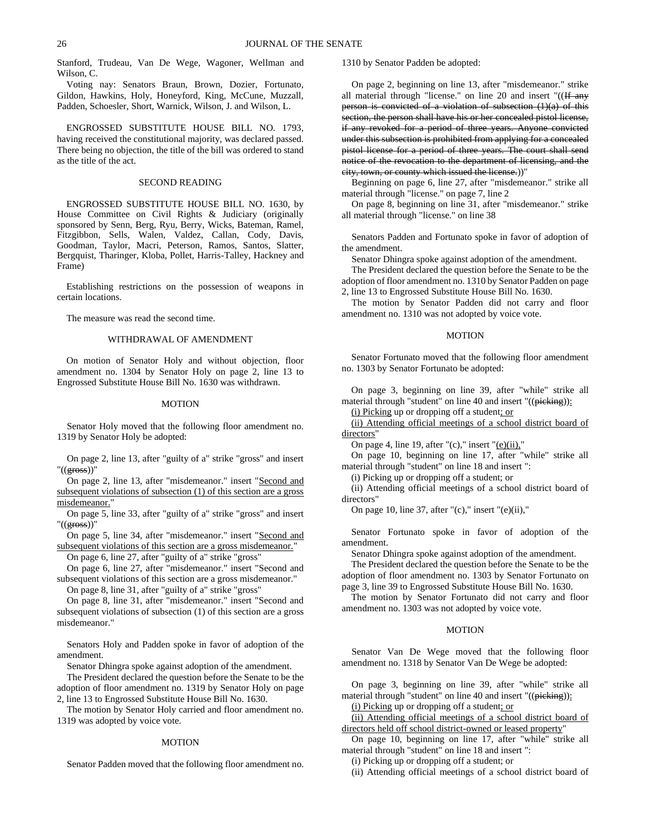Stanford, Trudeau, Van De Wege, Wagoner, Wellman and Wilson, C.

Voting nay: Senators Braun, Brown, Dozier, Fortunato, Gildon, Hawkins, Holy, Honeyford, King, McCune, Muzzall, Padden, Schoesler, Short, Warnick, Wilson, J. and Wilson, L.

ENGROSSED SUBSTITUTE HOUSE BILL NO. 1793, having received the constitutional majority, was declared passed. There being no objection, the title of the bill was ordered to stand as the title of the act.

### SECOND READING

ENGROSSED SUBSTITUTE HOUSE BILL NO. 1630, by House Committee on Civil Rights & Judiciary (originally sponsored by Senn, Berg, Ryu, Berry, Wicks, Bateman, Ramel, Fitzgibbon, Sells, Walen, Valdez, Callan, Cody, Davis, Goodman, Taylor, Macri, Peterson, Ramos, Santos, Slatter, Bergquist, Tharinger, Kloba, Pollet, Harris-Talley, Hackney and Frame)

Establishing restrictions on the possession of weapons in certain locations.

The measure was read the second time.

### WITHDRAWAL OF AMENDMENT

On motion of Senator Holy and without objection, floor amendment no. 1304 by Senator Holy on page 2, line 13 to Engrossed Substitute House Bill No. 1630 was withdrawn.

### MOTION

Senator Holy moved that the following floor amendment no. 1319 by Senator Holy be adopted:

On page 2, line 13, after "guilty of a" strike "gross" and insert "((gross))"

On page 2, line 13, after "misdemeanor." insert "Second and subsequent violations of subsection (1) of this section are a gross misdemeanor.'

On page 5, line 33, after "guilty of a" strike "gross" and insert "((gross))"

On page 5, line 34, after "misdemeanor." insert "Second and subsequent violations of this section are a gross misdemeanor."

On page 6, line 27, after "guilty of a" strike "gross"

On page 6, line 27, after "misdemeanor." insert "Second and subsequent violations of this section are a gross misdemeanor."

On page 8, line 31, after "guilty of a" strike "gross"

On page 8, line 31, after "misdemeanor." insert "Second and subsequent violations of subsection (1) of this section are a gross misdemeanor."

Senators Holy and Padden spoke in favor of adoption of the amendment.

Senator Dhingra spoke against adoption of the amendment.

The President declared the question before the Senate to be the adoption of floor amendment no. 1319 by Senator Holy on page 2, line 13 to Engrossed Substitute House Bill No. 1630.

The motion by Senator Holy carried and floor amendment no. 1319 was adopted by voice vote.

### MOTION

Senator Padden moved that the following floor amendment no.

1310 by Senator Padden be adopted:

On page 2, beginning on line 13, after "misdemeanor." strike all material through "license." on line 20 and insert "((If any person is convicted of a violation of subsection (1)(a) of this section, the person shall have his or her concealed pistol license, if any revoked for a period of three years. Anyone convicted under this subsection is prohibited from applying for a concealed pistol license for a period of three years. The court shall send notice of the revocation to the department of licensing, and the city, town, or county which issued the license.))"

Beginning on page 6, line 27, after "misdemeanor." strike all material through "license." on page 7, line 2

On page 8, beginning on line 31, after "misdemeanor." strike all material through "license." on line 38

Senators Padden and Fortunato spoke in favor of adoption of the amendment.

Senator Dhingra spoke against adoption of the amendment.

The President declared the question before the Senate to be the adoption of floor amendment no. 1310 by Senator Padden on page 2, line 13 to Engrossed Substitute House Bill No. 1630.

The motion by Senator Padden did not carry and floor amendment no. 1310 was not adopted by voice vote.

# MOTION

Senator Fortunato moved that the following floor amendment no. 1303 by Senator Fortunato be adopted:

On page 3, beginning on line 39, after "while" strike all material through "student" on line 40 and insert "((picking)):

(i) Picking up or dropping off a student; or

(ii) Attending official meetings of a school district board of directors"

On page 4, line 19, after " $(c)$ ," insert " $(e)(ii)$ ,"

On page 10, beginning on line 17, after "while" strike all material through "student" on line 18 and insert ":

(i) Picking up or dropping off a student; or

(ii) Attending official meetings of a school district board of directors"

On page 10, line 37, after " $(c)$ ," insert " $(e)(ii)$ ,"

Senator Fortunato spoke in favor of adoption of the amendment.

Senator Dhingra spoke against adoption of the amendment.

The President declared the question before the Senate to be the adoption of floor amendment no. 1303 by Senator Fortunato on page 3, line 39 to Engrossed Substitute House Bill No. 1630.

The motion by Senator Fortunato did not carry and floor amendment no. 1303 was not adopted by voice vote.

### MOTION

Senator Van De Wege moved that the following floor amendment no. 1318 by Senator Van De Wege be adopted:

On page 3, beginning on line 39, after "while" strike all material through "student" on line 40 and insert "((picking)):

(i) Picking up or dropping off a student; or

(ii) Attending official meetings of a school district board of directors held off school district-owned or leased property"

On page 10, beginning on line 17, after "while" strike all material through "student" on line 18 and insert ":

(i) Picking up or dropping off a student; or

(ii) Attending official meetings of a school district board of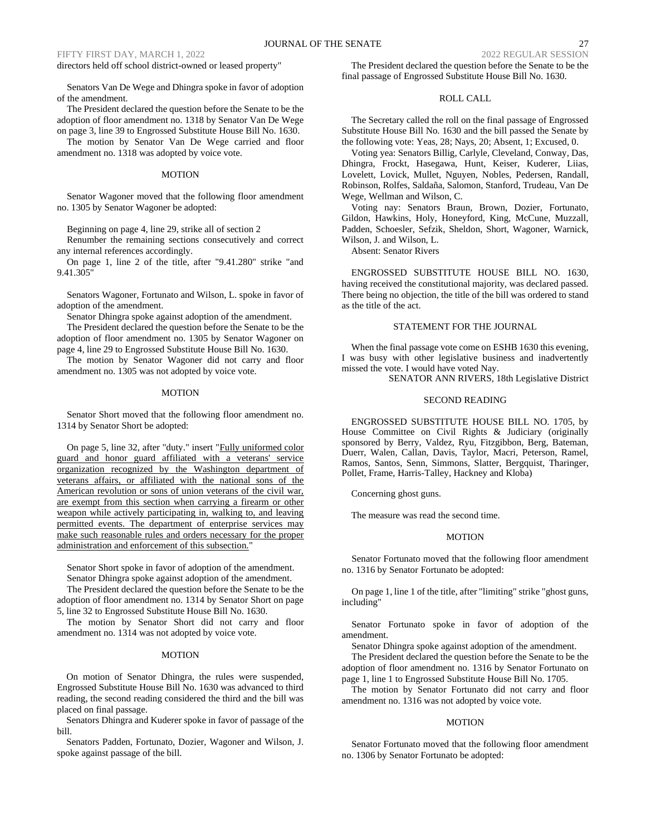directors held off school district-owned or leased property"

Senators Van De Wege and Dhingra spoke in favor of adoption of the amendment.

The President declared the question before the Senate to be the adoption of floor amendment no. 1318 by Senator Van De Wege on page 3, line 39 to Engrossed Substitute House Bill No. 1630.

The motion by Senator Van De Wege carried and floor amendment no. 1318 was adopted by voice vote.

### MOTION

Senator Wagoner moved that the following floor amendment no. 1305 by Senator Wagoner be adopted:

Beginning on page 4, line 29, strike all of section 2

Renumber the remaining sections consecutively and correct any internal references accordingly.

On page 1, line 2 of the title, after "9.41.280" strike "and 9.41.305"

Senators Wagoner, Fortunato and Wilson, L. spoke in favor of adoption of the amendment.

Senator Dhingra spoke against adoption of the amendment.

The President declared the question before the Senate to be the adoption of floor amendment no. 1305 by Senator Wagoner on page 4, line 29 to Engrossed Substitute House Bill No. 1630.

The motion by Senator Wagoner did not carry and floor amendment no. 1305 was not adopted by voice vote.

# MOTION

Senator Short moved that the following floor amendment no. 1314 by Senator Short be adopted:

On page 5, line 32, after "duty." insert "Fully uniformed color guard and honor guard affiliated with a veterans' service organization recognized by the Washington department of veterans affairs, or affiliated with the national sons of the American revolution or sons of union veterans of the civil war, are exempt from this section when carrying a firearm or other weapon while actively participating in, walking to, and leaving permitted events. The department of enterprise services may make such reasonable rules and orders necessary for the proper administration and enforcement of this subsection."

Senator Short spoke in favor of adoption of the amendment.

Senator Dhingra spoke against adoption of the amendment.

The President declared the question before the Senate to be the adoption of floor amendment no. 1314 by Senator Short on page 5, line 32 to Engrossed Substitute House Bill No. 1630.

The motion by Senator Short did not carry and floor amendment no. 1314 was not adopted by voice vote.

### MOTION

On motion of Senator Dhingra, the rules were suspended, Engrossed Substitute House Bill No. 1630 was advanced to third reading, the second reading considered the third and the bill was placed on final passage.

Senators Dhingra and Kuderer spoke in favor of passage of the bill.

Senators Padden, Fortunato, Dozier, Wagoner and Wilson, J. spoke against passage of the bill.

The President declared the question before the Senate to be the final passage of Engrossed Substitute House Bill No. 1630.

# ROLL CALL

The Secretary called the roll on the final passage of Engrossed Substitute House Bill No. 1630 and the bill passed the Senate by the following vote: Yeas, 28; Nays, 20; Absent, 1; Excused, 0.

Voting yea: Senators Billig, Carlyle, Cleveland, Conway, Das, Dhingra, Frockt, Hasegawa, Hunt, Keiser, Kuderer, Liias, Lovelett, Lovick, Mullet, Nguyen, Nobles, Pedersen, Randall, Robinson, Rolfes, Saldaña, Salomon, Stanford, Trudeau, Van De Wege, Wellman and Wilson, C.

Voting nay: Senators Braun, Brown, Dozier, Fortunato, Gildon, Hawkins, Holy, Honeyford, King, McCune, Muzzall, Padden, Schoesler, Sefzik, Sheldon, Short, Wagoner, Warnick, Wilson, J. and Wilson, L.

Absent: Senator Rivers

ENGROSSED SUBSTITUTE HOUSE BILL NO. 1630, having received the constitutional majority, was declared passed. There being no objection, the title of the bill was ordered to stand as the title of the act.

### STATEMENT FOR THE JOURNAL

When the final passage vote come on ESHB 1630 this evening, I was busy with other legislative business and inadvertently missed the vote. I would have voted Nay.

SENATOR ANN RIVERS, 18th Legislative District

### SECOND READING

ENGROSSED SUBSTITUTE HOUSE BILL NO. 1705, by House Committee on Civil Rights & Judiciary (originally sponsored by Berry, Valdez, Ryu, Fitzgibbon, Berg, Bateman, Duerr, Walen, Callan, Davis, Taylor, Macri, Peterson, Ramel, Ramos, Santos, Senn, Simmons, Slatter, Bergquist, Tharinger, Pollet, Frame, Harris-Talley, Hackney and Kloba)

Concerning ghost guns.

The measure was read the second time.

#### MOTION

Senator Fortunato moved that the following floor amendment no. 1316 by Senator Fortunato be adopted:

On page 1, line 1 of the title, after "limiting" strike "ghost guns, including"

Senator Fortunato spoke in favor of adoption of the amendment.

Senator Dhingra spoke against adoption of the amendment.

The President declared the question before the Senate to be the adoption of floor amendment no. 1316 by Senator Fortunato on page 1, line 1 to Engrossed Substitute House Bill No. 1705.

The motion by Senator Fortunato did not carry and floor amendment no. 1316 was not adopted by voice vote.

# MOTION

Senator Fortunato moved that the following floor amendment no. 1306 by Senator Fortunato be adopted: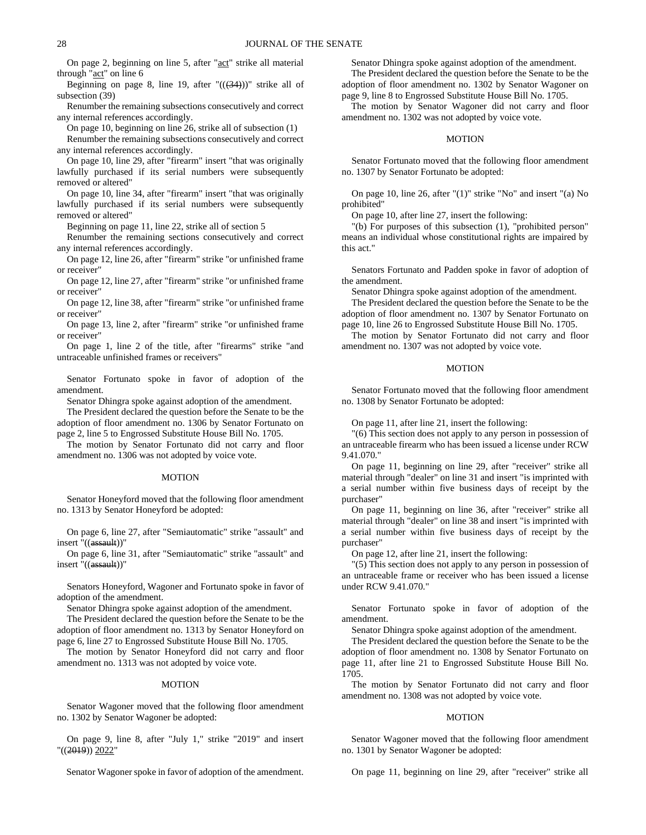On page 2, beginning on line 5, after "act" strike all material through "act" on line 6

Beginning on page 8, line 19, after  $"((34))"$  strike all of subsection (39)

Renumber the remaining subsections consecutively and correct any internal references accordingly.

On page 10, beginning on line 26, strike all of subsection (1) Renumber the remaining subsections consecutively and correct

any internal references accordingly.

On page 10, line 29, after "firearm" insert "that was originally lawfully purchased if its serial numbers were subsequently removed or altered"

On page 10, line 34, after "firearm" insert "that was originally lawfully purchased if its serial numbers were subsequently removed or altered"

Beginning on page 11, line 22, strike all of section 5

Renumber the remaining sections consecutively and correct any internal references accordingly.

On page 12, line 26, after "firearm" strike "or unfinished frame or receiver"

On page 12, line 27, after "firearm" strike "or unfinished frame or receiver"

On page 12, line 38, after "firearm" strike "or unfinished frame or receiver"

On page 13, line 2, after "firearm" strike "or unfinished frame or receiver"

On page 1, line 2 of the title, after "firearms" strike "and untraceable unfinished frames or receivers"

Senator Fortunato spoke in favor of adoption of the amendment.

Senator Dhingra spoke against adoption of the amendment.

The President declared the question before the Senate to be the adoption of floor amendment no. 1306 by Senator Fortunato on page 2, line 5 to Engrossed Substitute House Bill No. 1705.

The motion by Senator Fortunato did not carry and floor amendment no. 1306 was not adopted by voice vote.

#### MOTION

Senator Honeyford moved that the following floor amendment no. 1313 by Senator Honeyford be adopted:

On page 6, line 27, after "Semiautomatic" strike "assault" and insert "((assault))"

On page 6, line 31, after "Semiautomatic" strike "assault" and insert "((assault))"

Senators Honeyford, Wagoner and Fortunato spoke in favor of adoption of the amendment.

Senator Dhingra spoke against adoption of the amendment.

The President declared the question before the Senate to be the adoption of floor amendment no. 1313 by Senator Honeyford on page 6, line 27 to Engrossed Substitute House Bill No. 1705.

The motion by Senator Honeyford did not carry and floor amendment no. 1313 was not adopted by voice vote.

#### MOTION

Senator Wagoner moved that the following floor amendment no. 1302 by Senator Wagoner be adopted:

On page 9, line 8, after "July 1," strike "2019" and insert "((<del>2019</del>)) <u>2022</u>'

Senator Wagoner spoke in favor of adoption of the amendment.

Senator Dhingra spoke against adoption of the amendment.

The President declared the question before the Senate to be the adoption of floor amendment no. 1302 by Senator Wagoner on page 9, line 8 to Engrossed Substitute House Bill No. 1705.

The motion by Senator Wagoner did not carry and floor amendment no. 1302 was not adopted by voice vote.

# MOTION

Senator Fortunato moved that the following floor amendment no. 1307 by Senator Fortunato be adopted:

On page 10, line 26, after "(1)" strike "No" and insert "(a) No prohibited"

On page 10, after line 27, insert the following:

"(b) For purposes of this subsection (1), "prohibited person" means an individual whose constitutional rights are impaired by this act."

Senators Fortunato and Padden spoke in favor of adoption of the amendment.

Senator Dhingra spoke against adoption of the amendment.

The President declared the question before the Senate to be the adoption of floor amendment no. 1307 by Senator Fortunato on page 10, line 26 to Engrossed Substitute House Bill No. 1705.

The motion by Senator Fortunato did not carry and floor amendment no. 1307 was not adopted by voice vote.

### MOTION

Senator Fortunato moved that the following floor amendment no. 1308 by Senator Fortunato be adopted:

On page 11, after line 21, insert the following:

"(6) This section does not apply to any person in possession of an untraceable firearm who has been issued a license under RCW 9.41.070."

On page 11, beginning on line 29, after "receiver" strike all material through "dealer" on line 31 and insert "is imprinted with a serial number within five business days of receipt by the purchaser"

On page 11, beginning on line 36, after "receiver" strike all material through "dealer" on line 38 and insert "is imprinted with a serial number within five business days of receipt by the purchaser"

On page 12, after line 21, insert the following:

"(5) This section does not apply to any person in possession of an untraceable frame or receiver who has been issued a license under RCW 9.41.070."

Senator Fortunato spoke in favor of adoption of the amendment.

Senator Dhingra spoke against adoption of the amendment.

The President declared the question before the Senate to be the adoption of floor amendment no. 1308 by Senator Fortunato on page 11, after line 21 to Engrossed Substitute House Bill No. 1705.

The motion by Senator Fortunato did not carry and floor amendment no. 1308 was not adopted by voice vote.

#### MOTION

Senator Wagoner moved that the following floor amendment no. 1301 by Senator Wagoner be adopted:

On page 11, beginning on line 29, after "receiver" strike all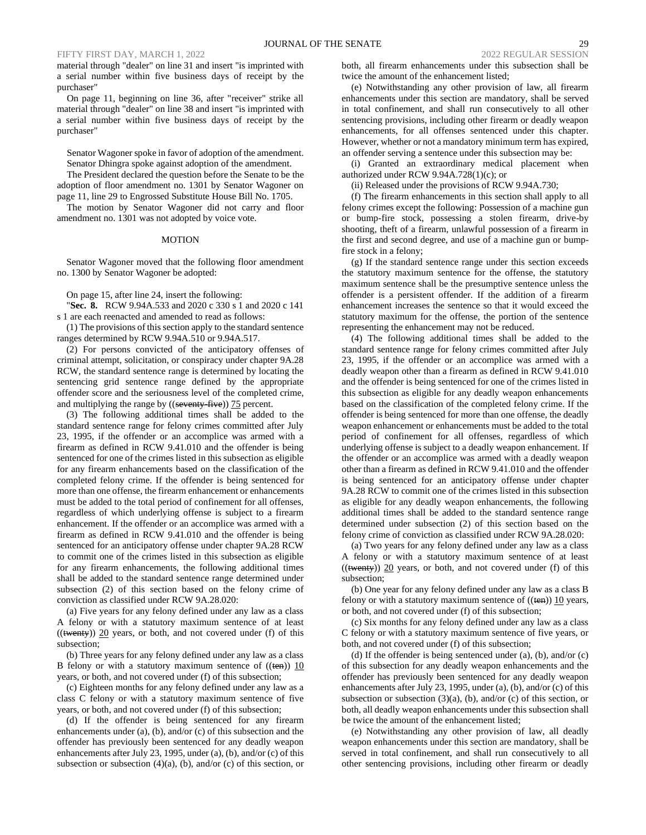material through "dealer" on line 31 and insert "is imprinted with a serial number within five business days of receipt by the purchaser"

On page 11, beginning on line 36, after "receiver" strike all material through "dealer" on line 38 and insert "is imprinted with a serial number within five business days of receipt by the purchaser"

Senator Wagoner spoke in favor of adoption of the amendment. Senator Dhingra spoke against adoption of the amendment.

The President declared the question before the Senate to be the adoption of floor amendment no. 1301 by Senator Wagoner on page 11, line 29 to Engrossed Substitute House Bill No. 1705.

The motion by Senator Wagoner did not carry and floor amendment no. 1301 was not adopted by voice vote.

#### MOTION

Senator Wagoner moved that the following floor amendment no. 1300 by Senator Wagoner be adopted:

On page 15, after line 24, insert the following:

"**Sec. 8.** RCW 9.94A.533 and 2020 c 330 s 1 and 2020 c 141 s 1 are each reenacted and amended to read as follows:

(1) The provisions of this section apply to the standard sentence ranges determined by RCW 9.94A.510 or 9.94A.517.

(2) For persons convicted of the anticipatory offenses of criminal attempt, solicitation, or conspiracy under chapter 9A.28 RCW, the standard sentence range is determined by locating the sentencing grid sentence range defined by the appropriate offender score and the seriousness level of the completed crime, and multiplying the range by ((seventy-five)) 75 percent.

(3) The following additional times shall be added to the standard sentence range for felony crimes committed after July 23, 1995, if the offender or an accomplice was armed with a firearm as defined in RCW 9.41.010 and the offender is being sentenced for one of the crimes listed in this subsection as eligible for any firearm enhancements based on the classification of the completed felony crime. If the offender is being sentenced for more than one offense, the firearm enhancement or enhancements must be added to the total period of confinement for all offenses, regardless of which underlying offense is subject to a firearm enhancement. If the offender or an accomplice was armed with a firearm as defined in RCW 9.41.010 and the offender is being sentenced for an anticipatory offense under chapter 9A.28 RCW to commit one of the crimes listed in this subsection as eligible for any firearm enhancements, the following additional times shall be added to the standard sentence range determined under subsection (2) of this section based on the felony crime of conviction as classified under RCW 9A.28.020:

(a) Five years for any felony defined under any law as a class A felony or with a statutory maximum sentence of at least  $(($ twenty $))$  20 years, or both, and not covered under (f) of this subsection;

(b) Three years for any felony defined under any law as a class B felony or with a statutory maximum sentence of  $((ten))$  10 years, or both, and not covered under (f) of this subsection;

(c) Eighteen months for any felony defined under any law as a class C felony or with a statutory maximum sentence of five years, or both, and not covered under (f) of this subsection;

(d) If the offender is being sentenced for any firearm enhancements under (a), (b), and/or (c) of this subsection and the offender has previously been sentenced for any deadly weapon enhancements after July 23, 1995, under (a), (b), and/or (c) of this subsection or subsection  $(4)(a)$ ,  $(b)$ , and/or  $(c)$  of this section, or

both, all firearm enhancements under this subsection shall be twice the amount of the enhancement listed;

(e) Notwithstanding any other provision of law, all firearm enhancements under this section are mandatory, shall be served in total confinement, and shall run consecutively to all other sentencing provisions, including other firearm or deadly weapon enhancements, for all offenses sentenced under this chapter. However, whether or not a mandatory minimum term has expired, an offender serving a sentence under this subsection may be:

(i) Granted an extraordinary medical placement when authorized under RCW 9.94A.728(1)(c); or

(ii) Released under the provisions of RCW 9.94A.730;

(f) The firearm enhancements in this section shall apply to all felony crimes except the following: Possession of a machine gun or bump-fire stock, possessing a stolen firearm, drive-by shooting, theft of a firearm, unlawful possession of a firearm in the first and second degree, and use of a machine gun or bumpfire stock in a felony;

(g) If the standard sentence range under this section exceeds the statutory maximum sentence for the offense, the statutory maximum sentence shall be the presumptive sentence unless the offender is a persistent offender. If the addition of a firearm enhancement increases the sentence so that it would exceed the statutory maximum for the offense, the portion of the sentence representing the enhancement may not be reduced.

(4) The following additional times shall be added to the standard sentence range for felony crimes committed after July 23, 1995, if the offender or an accomplice was armed with a deadly weapon other than a firearm as defined in RCW 9.41.010 and the offender is being sentenced for one of the crimes listed in this subsection as eligible for any deadly weapon enhancements based on the classification of the completed felony crime. If the offender is being sentenced for more than one offense, the deadly weapon enhancement or enhancements must be added to the total period of confinement for all offenses, regardless of which underlying offense is subject to a deadly weapon enhancement. If the offender or an accomplice was armed with a deadly weapon other than a firearm as defined in RCW 9.41.010 and the offender is being sentenced for an anticipatory offense under chapter 9A.28 RCW to commit one of the crimes listed in this subsection as eligible for any deadly weapon enhancements, the following additional times shall be added to the standard sentence range determined under subsection (2) of this section based on the felony crime of conviction as classified under RCW 9A.28.020:

(a) Two years for any felony defined under any law as a class A felony or with a statutory maximum sentence of at least  $(($ twenty $))$  20 years, or both, and not covered under (f) of this subsection;

(b) One year for any felony defined under any law as a class B felony or with a statutory maximum sentence of  $((ten))$  10 years, or both, and not covered under (f) of this subsection;

(c) Six months for any felony defined under any law as a class C felony or with a statutory maximum sentence of five years, or both, and not covered under (f) of this subsection;

(d) If the offender is being sentenced under (a), (b), and/or (c) of this subsection for any deadly weapon enhancements and the offender has previously been sentenced for any deadly weapon enhancements after July 23, 1995, under (a), (b), and/or (c) of this subsection or subsection  $(3)(a)$ ,  $(b)$ , and/or  $(c)$  of this section, or both, all deadly weapon enhancements under this subsection shall be twice the amount of the enhancement listed;

(e) Notwithstanding any other provision of law, all deadly weapon enhancements under this section are mandatory, shall be served in total confinement, and shall run consecutively to all other sentencing provisions, including other firearm or deadly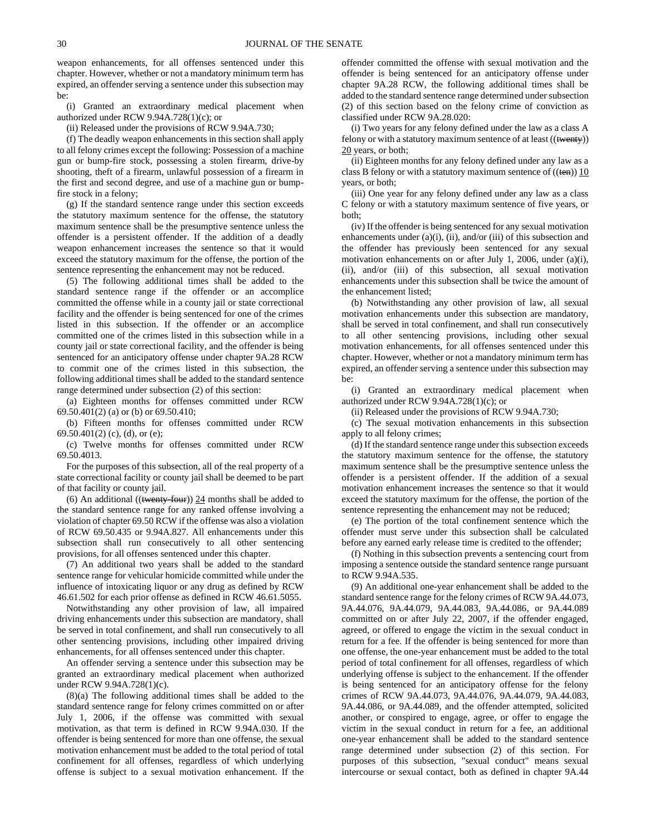weapon enhancements, for all offenses sentenced under this chapter. However, whether or not a mandatory minimum term has expired, an offender serving a sentence under this subsection may be:

(i) Granted an extraordinary medical placement when authorized under RCW 9.94A.728(1)(c); or

(ii) Released under the provisions of RCW 9.94A.730;

(f) The deadly weapon enhancements in this section shall apply to all felony crimes except the following: Possession of a machine gun or bump-fire stock, possessing a stolen firearm, drive-by shooting, theft of a firearm, unlawful possession of a firearm in the first and second degree, and use of a machine gun or bumpfire stock in a felony;

(g) If the standard sentence range under this section exceeds the statutory maximum sentence for the offense, the statutory maximum sentence shall be the presumptive sentence unless the offender is a persistent offender. If the addition of a deadly weapon enhancement increases the sentence so that it would exceed the statutory maximum for the offense, the portion of the sentence representing the enhancement may not be reduced.

(5) The following additional times shall be added to the standard sentence range if the offender or an accomplice committed the offense while in a county jail or state correctional facility and the offender is being sentenced for one of the crimes listed in this subsection. If the offender or an accomplice committed one of the crimes listed in this subsection while in a county jail or state correctional facility, and the offender is being sentenced for an anticipatory offense under chapter 9A.28 RCW to commit one of the crimes listed in this subsection, the following additional times shall be added to the standard sentence range determined under subsection (2) of this section:

(a) Eighteen months for offenses committed under RCW 69.50.401(2) (a) or (b) or 69.50.410;

(b) Fifteen months for offenses committed under RCW 69.50.401(2) (c), (d), or (e);

(c) Twelve months for offenses committed under RCW 69.50.4013.

For the purposes of this subsection, all of the real property of a state correctional facility or county jail shall be deemed to be part of that facility or county jail.

(6) An additional ((twenty-four))  $24$  months shall be added to the standard sentence range for any ranked offense involving a violation of chapter 69.50 RCW if the offense was also a violation of RCW 69.50.435 or 9.94A.827. All enhancements under this subsection shall run consecutively to all other sentencing provisions, for all offenses sentenced under this chapter.

(7) An additional two years shall be added to the standard sentence range for vehicular homicide committed while under the influence of intoxicating liquor or any drug as defined by RCW 46.61.502 for each prior offense as defined in RCW 46.61.5055.

Notwithstanding any other provision of law, all impaired driving enhancements under this subsection are mandatory, shall be served in total confinement, and shall run consecutively to all other sentencing provisions, including other impaired driving enhancements, for all offenses sentenced under this chapter.

An offender serving a sentence under this subsection may be granted an extraordinary medical placement when authorized under RCW 9.94A.728(1)(c).

(8)(a) The following additional times shall be added to the standard sentence range for felony crimes committed on or after July 1, 2006, if the offense was committed with sexual motivation, as that term is defined in RCW 9.94A.030. If the offender is being sentenced for more than one offense, the sexual motivation enhancement must be added to the total period of total confinement for all offenses, regardless of which underlying offense is subject to a sexual motivation enhancement. If the offender committed the offense with sexual motivation and the offender is being sentenced for an anticipatory offense under chapter 9A.28 RCW, the following additional times shall be added to the standard sentence range determined under subsection (2) of this section based on the felony crime of conviction as classified under RCW 9A.28.020:

(i) Two years for any felony defined under the law as a class A felony or with a statutory maximum sentence of at least ((twenty)) 20 years, or both;

(ii) Eighteen months for any felony defined under any law as a class B felony or with a statutory maximum sentence of  $((ten))$  10 years, or both;

(iii) One year for any felony defined under any law as a class C felony or with a statutory maximum sentence of five years, or both;

(iv) If the offender is being sentenced for any sexual motivation enhancements under  $(a)(i)$ ,  $(ii)$ , and/or  $(iii)$  of this subsection and the offender has previously been sentenced for any sexual motivation enhancements on or after July 1, 2006, under (a)(i), (ii), and/or (iii) of this subsection, all sexual motivation enhancements under this subsection shall be twice the amount of the enhancement listed;

(b) Notwithstanding any other provision of law, all sexual motivation enhancements under this subsection are mandatory, shall be served in total confinement, and shall run consecutively to all other sentencing provisions, including other sexual motivation enhancements, for all offenses sentenced under this chapter. However, whether or not a mandatory minimum term has expired, an offender serving a sentence under this subsection may be:

(i) Granted an extraordinary medical placement when authorized under RCW 9.94A.728(1)(c); or

(ii) Released under the provisions of RCW 9.94A.730;

(c) The sexual motivation enhancements in this subsection apply to all felony crimes;

(d) If the standard sentence range under this subsection exceeds the statutory maximum sentence for the offense, the statutory maximum sentence shall be the presumptive sentence unless the offender is a persistent offender. If the addition of a sexual motivation enhancement increases the sentence so that it would exceed the statutory maximum for the offense, the portion of the sentence representing the enhancement may not be reduced;

(e) The portion of the total confinement sentence which the offender must serve under this subsection shall be calculated before any earned early release time is credited to the offender;

(f) Nothing in this subsection prevents a sentencing court from imposing a sentence outside the standard sentence range pursuant to RCW 9.94A.535.

(9) An additional one-year enhancement shall be added to the standard sentence range for the felony crimes of RCW 9A.44.073, 9A.44.076, 9A.44.079, 9A.44.083, 9A.44.086, or 9A.44.089 committed on or after July 22, 2007, if the offender engaged, agreed, or offered to engage the victim in the sexual conduct in return for a fee. If the offender is being sentenced for more than one offense, the one-year enhancement must be added to the total period of total confinement for all offenses, regardless of which underlying offense is subject to the enhancement. If the offender is being sentenced for an anticipatory offense for the felony crimes of RCW 9A.44.073, 9A.44.076, 9A.44.079, 9A.44.083, 9A.44.086, or 9A.44.089, and the offender attempted, solicited another, or conspired to engage, agree, or offer to engage the victim in the sexual conduct in return for a fee, an additional one-year enhancement shall be added to the standard sentence range determined under subsection (2) of this section. For purposes of this subsection, "sexual conduct" means sexual intercourse or sexual contact, both as defined in chapter 9A.44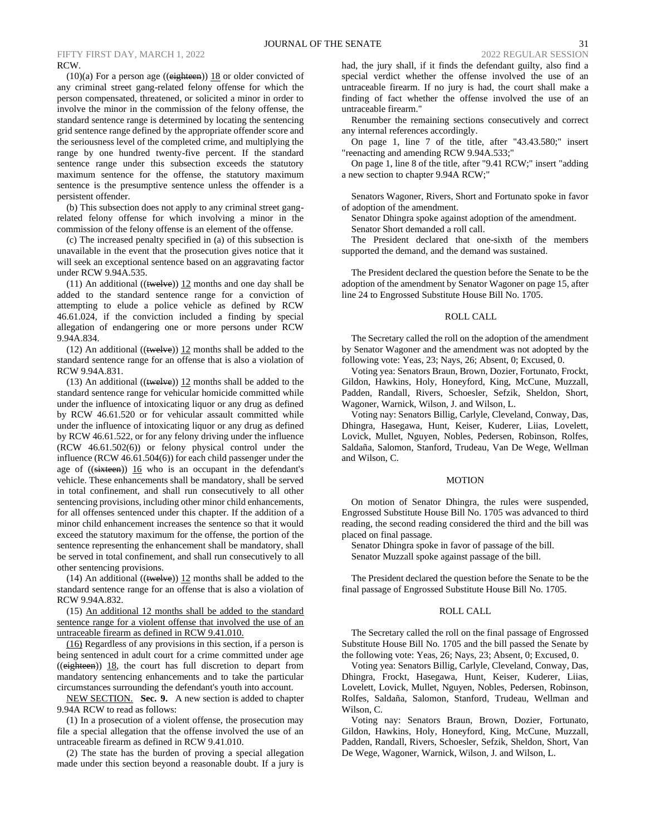$(10)(a)$  For a person age  $((eighteen))$  18 or older convicted of any criminal street gang-related felony offense for which the person compensated, threatened, or solicited a minor in order to involve the minor in the commission of the felony offense, the standard sentence range is determined by locating the sentencing grid sentence range defined by the appropriate offender score and the seriousness level of the completed crime, and multiplying the range by one hundred twenty-five percent. If the standard sentence range under this subsection exceeds the statutory maximum sentence for the offense, the statutory maximum sentence is the presumptive sentence unless the offender is a persistent offender.

(b) This subsection does not apply to any criminal street gangrelated felony offense for which involving a minor in the commission of the felony offense is an element of the offense.

(c) The increased penalty specified in (a) of this subsection is unavailable in the event that the prosecution gives notice that it will seek an exceptional sentence based on an aggravating factor under RCW 9.94A.535.

(11) An additional (( $t$ welve))  $12$  months and one day shall be added to the standard sentence range for a conviction of attempting to elude a police vehicle as defined by RCW 46.61.024, if the conviction included a finding by special allegation of endangering one or more persons under RCW 9.94A.834.

(12) An additional  $((\text{twelve}))$  12 months shall be added to the standard sentence range for an offense that is also a violation of RCW 9.94A.831.

(13) An additional (( $t$ welve))  $12$  months shall be added to the standard sentence range for vehicular homicide committed while under the influence of intoxicating liquor or any drug as defined by RCW 46.61.520 or for vehicular assault committed while under the influence of intoxicating liquor or any drug as defined by RCW 46.61.522, or for any felony driving under the influence (RCW 46.61.502(6)) or felony physical control under the influence (RCW 46.61.504(6)) for each child passenger under the age of  $((\text{sixteen}))$  16 who is an occupant in the defendant's vehicle. These enhancements shall be mandatory, shall be served in total confinement, and shall run consecutively to all other sentencing provisions, including other minor child enhancements, for all offenses sentenced under this chapter. If the addition of a minor child enhancement increases the sentence so that it would exceed the statutory maximum for the offense, the portion of the sentence representing the enhancement shall be mandatory, shall be served in total confinement, and shall run consecutively to all other sentencing provisions.

(14) An additional (( $($ twelve))  $12$  months shall be added to the standard sentence range for an offense that is also a violation of RCW 9.94A.832.

(15) An additional 12 months shall be added to the standard sentence range for a violent offense that involved the use of an untraceable firearm as defined in RCW 9.41.010.

(16) Regardless of any provisions in this section, if a person is being sentenced in adult court for a crime committed under age  $((eighteen))$  18, the court has full discretion to depart from mandatory sentencing enhancements and to take the particular circumstances surrounding the defendant's youth into account.

NEW SECTION. **Sec. 9.** A new section is added to chapter 9.94A RCW to read as follows:

(1) In a prosecution of a violent offense, the prosecution may file a special allegation that the offense involved the use of an untraceable firearm as defined in RCW 9.41.010.

(2) The state has the burden of proving a special allegation made under this section beyond a reasonable doubt. If a jury is had, the jury shall, if it finds the defendant guilty, also find a special verdict whether the offense involved the use of an untraceable firearm. If no jury is had, the court shall make a finding of fact whether the offense involved the use of an untraceable firearm."

Renumber the remaining sections consecutively and correct any internal references accordingly.

On page 1, line 7 of the title, after "43.43.580;" insert "reenacting and amending RCW 9.94A.533;"

On page 1, line 8 of the title, after "9.41 RCW;" insert "adding a new section to chapter 9.94A RCW;"

Senators Wagoner, Rivers, Short and Fortunato spoke in favor of adoption of the amendment.

Senator Dhingra spoke against adoption of the amendment. Senator Short demanded a roll call.

The President declared that one-sixth of the members supported the demand, and the demand was sustained.

The President declared the question before the Senate to be the adoption of the amendment by Senator Wagoner on page 15, after line 24 to Engrossed Substitute House Bill No. 1705.

### ROLL CALL

The Secretary called the roll on the adoption of the amendment by Senator Wagoner and the amendment was not adopted by the following vote: Yeas, 23; Nays, 26; Absent, 0; Excused, 0.

Voting yea: Senators Braun, Brown, Dozier, Fortunato, Frockt, Gildon, Hawkins, Holy, Honeyford, King, McCune, Muzzall, Padden, Randall, Rivers, Schoesler, Sefzik, Sheldon, Short, Wagoner, Warnick, Wilson, J. and Wilson, L.

Voting nay: Senators Billig, Carlyle, Cleveland, Conway, Das, Dhingra, Hasegawa, Hunt, Keiser, Kuderer, Liias, Lovelett, Lovick, Mullet, Nguyen, Nobles, Pedersen, Robinson, Rolfes, Saldaña, Salomon, Stanford, Trudeau, Van De Wege, Wellman and Wilson, C.

### MOTION

On motion of Senator Dhingra, the rules were suspended, Engrossed Substitute House Bill No. 1705 was advanced to third reading, the second reading considered the third and the bill was placed on final passage.

Senator Dhingra spoke in favor of passage of the bill. Senator Muzzall spoke against passage of the bill.

The President declared the question before the Senate to be the final passage of Engrossed Substitute House Bill No. 1705.

#### ROLL CALL

The Secretary called the roll on the final passage of Engrossed Substitute House Bill No. 1705 and the bill passed the Senate by the following vote: Yeas, 26; Nays, 23; Absent, 0; Excused, 0.

Voting yea: Senators Billig, Carlyle, Cleveland, Conway, Das, Dhingra, Frockt, Hasegawa, Hunt, Keiser, Kuderer, Liias, Lovelett, Lovick, Mullet, Nguyen, Nobles, Pedersen, Robinson, Rolfes, Saldaña, Salomon, Stanford, Trudeau, Wellman and Wilson, C.

Voting nay: Senators Braun, Brown, Dozier, Fortunato, Gildon, Hawkins, Holy, Honeyford, King, McCune, Muzzall, Padden, Randall, Rivers, Schoesler, Sefzik, Sheldon, Short, Van De Wege, Wagoner, Warnick, Wilson, J. and Wilson, L.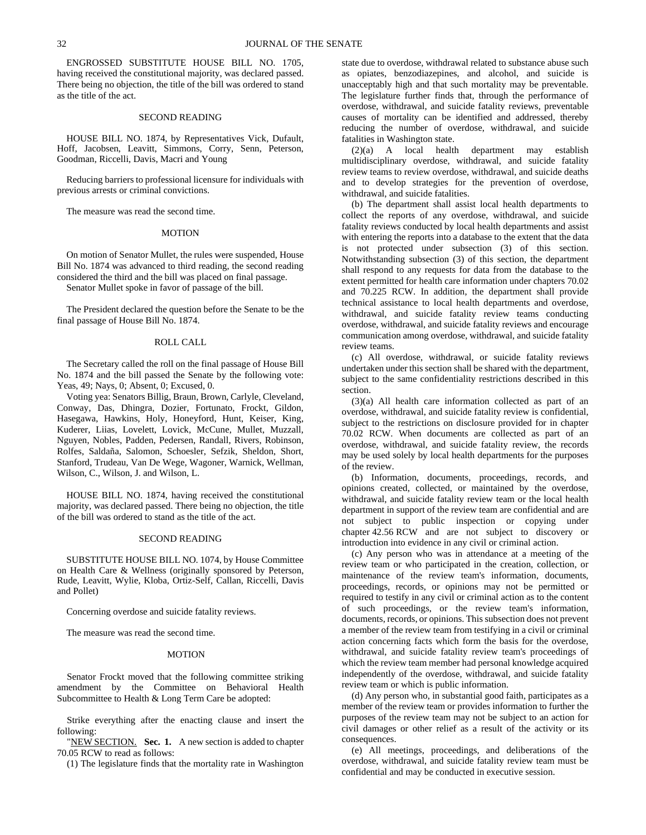ENGROSSED SUBSTITUTE HOUSE BILL NO. 1705, having received the constitutional majority, was declared passed. There being no objection, the title of the bill was ordered to stand as the title of the act.

# SECOND READING

HOUSE BILL NO. 1874, by Representatives Vick, Dufault, Hoff, Jacobsen, Leavitt, Simmons, Corry, Senn, Peterson, Goodman, Riccelli, Davis, Macri and Young

Reducing barriers to professional licensure for individuals with previous arrests or criminal convictions.

The measure was read the second time.

#### **MOTION**

On motion of Senator Mullet, the rules were suspended, House Bill No. 1874 was advanced to third reading, the second reading considered the third and the bill was placed on final passage. Senator Mullet spoke in favor of passage of the bill.

The President declared the question before the Senate to be the final passage of House Bill No. 1874.

# ROLL CALL

The Secretary called the roll on the final passage of House Bill No. 1874 and the bill passed the Senate by the following vote: Yeas, 49; Nays, 0; Absent, 0; Excused, 0.

Voting yea: Senators Billig, Braun, Brown, Carlyle, Cleveland, Conway, Das, Dhingra, Dozier, Fortunato, Frockt, Gildon, Hasegawa, Hawkins, Holy, Honeyford, Hunt, Keiser, King, Kuderer, Liias, Lovelett, Lovick, McCune, Mullet, Muzzall, Nguyen, Nobles, Padden, Pedersen, Randall, Rivers, Robinson, Rolfes, Saldaña, Salomon, Schoesler, Sefzik, Sheldon, Short, Stanford, Trudeau, Van De Wege, Wagoner, Warnick, Wellman, Wilson, C., Wilson, J. and Wilson, L.

HOUSE BILL NO. 1874, having received the constitutional majority, was declared passed. There being no objection, the title of the bill was ordered to stand as the title of the act.

### SECOND READING

SUBSTITUTE HOUSE BILL NO. 1074, by House Committee on Health Care & Wellness (originally sponsored by Peterson, Rude, Leavitt, Wylie, Kloba, Ortiz-Self, Callan, Riccelli, Davis and Pollet)

Concerning overdose and suicide fatality reviews.

The measure was read the second time.

### MOTION

Senator Frockt moved that the following committee striking amendment by the Committee on Behavioral Health Subcommittee to Health & Long Term Care be adopted:

Strike everything after the enacting clause and insert the following:

"NEW SECTION. **Sec. 1.** A new section is added to chapter 70.05 RCW to read as follows:

(1) The legislature finds that the mortality rate in Washington

state due to overdose, withdrawal related to substance abuse such as opiates, benzodiazepines, and alcohol, and suicide is unacceptably high and that such mortality may be preventable. The legislature further finds that, through the performance of overdose, withdrawal, and suicide fatality reviews, preventable causes of mortality can be identified and addressed, thereby reducing the number of overdose, withdrawal, and suicide fatalities in Washington state.

(2)(a) A local health department may establish multidisciplinary overdose, withdrawal, and suicide fatality review teams to review overdose, withdrawal, and suicide deaths and to develop strategies for the prevention of overdose, withdrawal, and suicide fatalities.

(b) The department shall assist local health departments to collect the reports of any overdose, withdrawal, and suicide fatality reviews conducted by local health departments and assist with entering the reports into a database to the extent that the data is not protected under subsection (3) of this section. Notwithstanding subsection (3) of this section, the department shall respond to any requests for data from the database to the extent permitted for health care information under chapters 70.02 and 70.225 RCW. In addition, the department shall provide technical assistance to local health departments and overdose, withdrawal, and suicide fatality review teams conducting overdose, withdrawal, and suicide fatality reviews and encourage communication among overdose, withdrawal, and suicide fatality review teams.

(c) All overdose, withdrawal, or suicide fatality reviews undertaken under this section shall be shared with the department, subject to the same confidentiality restrictions described in this section.

(3)(a) All health care information collected as part of an overdose, withdrawal, and suicide fatality review is confidential, subject to the restrictions on disclosure provided for in chapter 70.02 RCW. When documents are collected as part of an overdose, withdrawal, and suicide fatality review, the records may be used solely by local health departments for the purposes of the review.

(b) Information, documents, proceedings, records, and opinions created, collected, or maintained by the overdose, withdrawal, and suicide fatality review team or the local health department in support of the review team are confidential and are not subject to public inspection or copying under chapter 42.56 RCW and are not subject to discovery or introduction into evidence in any civil or criminal action.

(c) Any person who was in attendance at a meeting of the review team or who participated in the creation, collection, or maintenance of the review team's information, documents, proceedings, records, or opinions may not be permitted or required to testify in any civil or criminal action as to the content of such proceedings, or the review team's information, documents, records, or opinions. This subsection does not prevent a member of the review team from testifying in a civil or criminal action concerning facts which form the basis for the overdose, withdrawal, and suicide fatality review team's proceedings of which the review team member had personal knowledge acquired independently of the overdose, withdrawal, and suicide fatality review team or which is public information.

(d) Any person who, in substantial good faith, participates as a member of the review team or provides information to further the purposes of the review team may not be subject to an action for civil damages or other relief as a result of the activity or its consequences.

(e) All meetings, proceedings, and deliberations of the overdose, withdrawal, and suicide fatality review team must be confidential and may be conducted in executive session.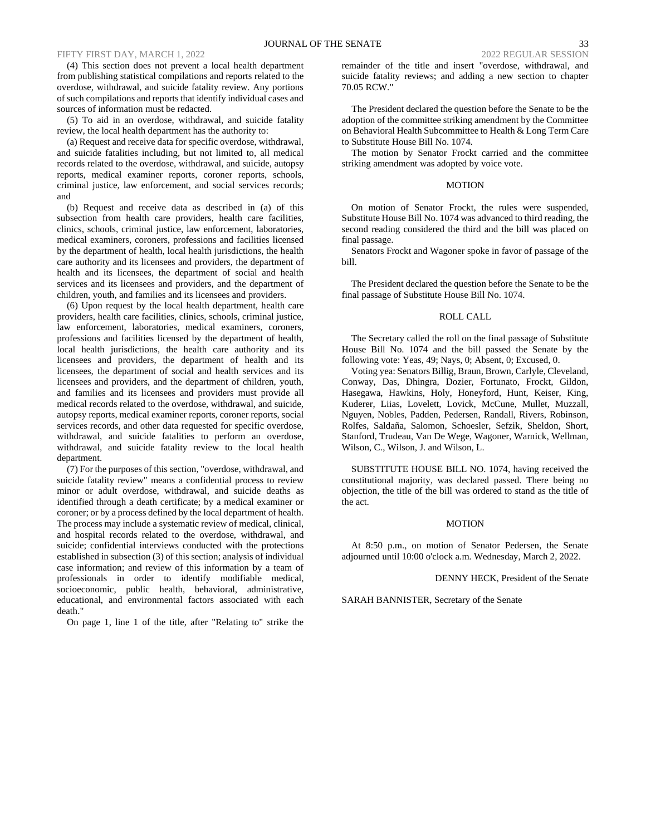70.05 RCW."

### FIFTY FIRST DAY, MARCH 1, 2022 2022 REGULAR SESSION

(4) This section does not prevent a local health department from publishing statistical compilations and reports related to the overdose, withdrawal, and suicide fatality review. Any portions of such compilations and reports that identify individual cases and sources of information must be redacted.

(5) To aid in an overdose, withdrawal, and suicide fatality review, the local health department has the authority to:

(a) Request and receive data for specific overdose, withdrawal, and suicide fatalities including, but not limited to, all medical records related to the overdose, withdrawal, and suicide, autopsy reports, medical examiner reports, coroner reports, schools, criminal justice, law enforcement, and social services records; and

(b) Request and receive data as described in (a) of this subsection from health care providers, health care facilities, clinics, schools, criminal justice, law enforcement, laboratories, medical examiners, coroners, professions and facilities licensed by the department of health, local health jurisdictions, the health care authority and its licensees and providers, the department of health and its licensees, the department of social and health services and its licensees and providers, and the department of children, youth, and families and its licensees and providers.

(6) Upon request by the local health department, health care providers, health care facilities, clinics, schools, criminal justice, law enforcement, laboratories, medical examiners, coroners, professions and facilities licensed by the department of health, local health jurisdictions, the health care authority and its licensees and providers, the department of health and its licensees, the department of social and health services and its licensees and providers, and the department of children, youth, and families and its licensees and providers must provide all medical records related to the overdose, withdrawal, and suicide, autopsy reports, medical examiner reports, coroner reports, social services records, and other data requested for specific overdose, withdrawal, and suicide fatalities to perform an overdose, withdrawal, and suicide fatality review to the local health department.

(7) For the purposes of this section, "overdose, withdrawal, and suicide fatality review" means a confidential process to review minor or adult overdose, withdrawal, and suicide deaths as identified through a death certificate; by a medical examiner or coroner; or by a process defined by the local department of health. The process may include a systematic review of medical, clinical, and hospital records related to the overdose, withdrawal, and suicide; confidential interviews conducted with the protections established in subsection (3) of this section; analysis of individual case information; and review of this information by a team of professionals in order to identify modifiable medical, socioeconomic, public health, behavioral, administrative, educational, and environmental factors associated with each death."

On page 1, line 1 of the title, after "Relating to" strike the

The President declared the question before the Senate to be the adoption of the committee striking amendment by the Committee on Behavioral Health Subcommittee to Health & Long Term Care to Substitute House Bill No. 1074.

The motion by Senator Frockt carried and the committee striking amendment was adopted by voice vote.

### MOTION

On motion of Senator Frockt, the rules were suspended, Substitute House Bill No. 1074 was advanced to third reading, the second reading considered the third and the bill was placed on final passage.

Senators Frockt and Wagoner spoke in favor of passage of the bill.

The President declared the question before the Senate to be the final passage of Substitute House Bill No. 1074.

### ROLL CALL

The Secretary called the roll on the final passage of Substitute House Bill No. 1074 and the bill passed the Senate by the following vote: Yeas, 49; Nays, 0; Absent, 0; Excused, 0.

Voting yea: Senators Billig, Braun, Brown, Carlyle, Cleveland, Conway, Das, Dhingra, Dozier, Fortunato, Frockt, Gildon, Hasegawa, Hawkins, Holy, Honeyford, Hunt, Keiser, King, Kuderer, Liias, Lovelett, Lovick, McCune, Mullet, Muzzall, Nguyen, Nobles, Padden, Pedersen, Randall, Rivers, Robinson, Rolfes, Saldaña, Salomon, Schoesler, Sefzik, Sheldon, Short, Stanford, Trudeau, Van De Wege, Wagoner, Warnick, Wellman, Wilson, C., Wilson, J. and Wilson, L.

SUBSTITUTE HOUSE BILL NO. 1074, having received the constitutional majority, was declared passed. There being no objection, the title of the bill was ordered to stand as the title of the act.

### MOTION

At 8:50 p.m., on motion of Senator Pedersen, the Senate adjourned until 10:00 o'clock a.m. Wednesday, March 2, 2022.

DENNY HECK, President of the Senate

SARAH BANNISTER, Secretary of the Senate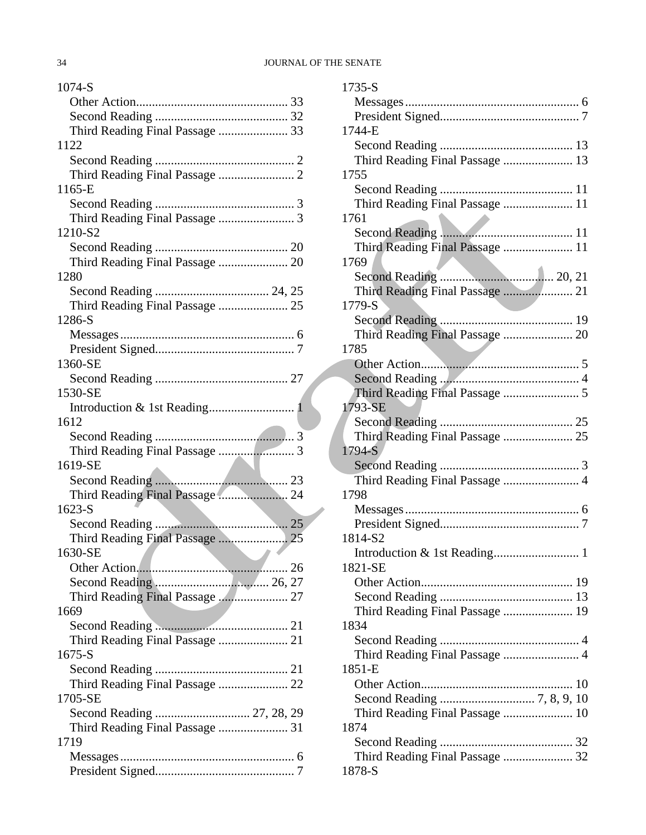| 1074-S                                       |
|----------------------------------------------|
|                                              |
|                                              |
| Third Reading Final Passage  33              |
| 1122                                         |
|                                              |
|                                              |
| 1165-E                                       |
|                                              |
| Third Reading Final Passage  3               |
| 1210-S2                                      |
|                                              |
| Third Reading Final Passage  20              |
| 1280                                         |
|                                              |
| Third Reading Final Passage  25              |
| 1286-S                                       |
|                                              |
|                                              |
| 1360-SE                                      |
|                                              |
| 1530-SE                                      |
|                                              |
| 1612                                         |
|                                              |
|                                              |
| 1619-SE                                      |
|                                              |
| Third Reading Final Passage  24              |
| $1623-S$                                     |
|                                              |
|                                              |
| 1630-SE<br>the control of the control of the |
|                                              |
|                                              |
| Third Reading Final Passage  27              |
| 1669                                         |
|                                              |
|                                              |
| $1675 - S$                                   |
|                                              |
| Third Reading Final Passage  22              |
| 1705-SE                                      |
| Second Reading  27, 28, 29                   |
| Third Reading Final Passage  31              |
| 1719                                         |
| Messages                                     |
|                                              |

| $1735-S$                        |
|---------------------------------|
|                                 |
|                                 |
| 1744-E                          |
|                                 |
| Third Reading Final Passage  13 |
| 1755                            |
|                                 |
| Third Reading Final Passage  11 |
| 1761                            |
|                                 |
| Third Reading Final Passage  11 |
| 1769                            |
|                                 |
| Third Reading Final Passage  21 |
| 1779-S                          |
|                                 |
| Third Reading Final Passage  20 |
| 1785                            |
|                                 |
|                                 |
|                                 |
| 1793-SE                         |
|                                 |
|                                 |
|                                 |
| 1794-S                          |
|                                 |
| Third Reading Final Passage  4  |
| 1798                            |
|                                 |
|                                 |
| 1814-S2                         |
|                                 |
| 1821-SE                         |
|                                 |
|                                 |
| Third Reading Final Passage  19 |
| 1834                            |
|                                 |
|                                 |
| 1851-E                          |
|                                 |
|                                 |
| Third Reading Final Passage  10 |
| 1874                            |
|                                 |
| Third Reading Final Passage  32 |
| 1878-S                          |